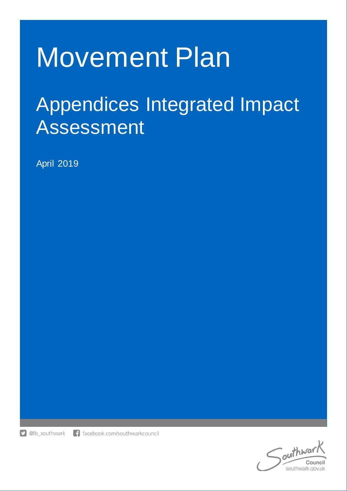# Movement Plan

# Appendices Integrated Impact Assessment

April 2019

**D** @lb\_southwark

f facebook.com/southwarkcouncil

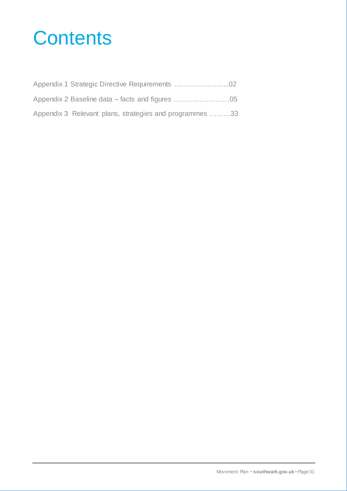# **Contents**

| Appendix 3 Relevant plans, strategies and programmes 33 |  |
|---------------------------------------------------------|--|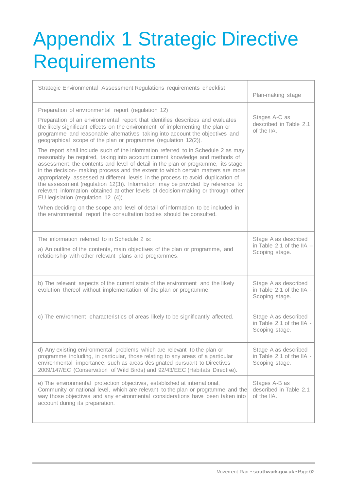# Appendix 1 Strategic Directive **Requirements**

| Strategic Environmental Assessment Regulations requirements checklist                                                                                                                                                                                                                                                                                                                                                                                                                                                                                                                                                                        | Plan-making stage                                                   |
|----------------------------------------------------------------------------------------------------------------------------------------------------------------------------------------------------------------------------------------------------------------------------------------------------------------------------------------------------------------------------------------------------------------------------------------------------------------------------------------------------------------------------------------------------------------------------------------------------------------------------------------------|---------------------------------------------------------------------|
| Preparation of environmental report (regulation 12)<br>Preparation of an environmental report that identifies describes and evaluates<br>the likely significant effects on the environment of implementing the plan or<br>programme and reasonable alternatives taking into account the objectives and<br>geographical scope of the plan or programme (regulation 12(2)).                                                                                                                                                                                                                                                                    | Stages A-C as<br>described in Table 2.1<br>of the IIA.              |
| The report shall include such of the information referred to in Schedule 2 as may<br>reasonably be required, taking into account current knowledge and methods of<br>assessment, the contents and level of detail in the plan or programme, its stage<br>in the decision- making process and the extent to which certain matters are more<br>appropriately assessed at different levels in the process to avoid duplication of<br>the assessment (regulation 12(3)). Information may be provided by reference to<br>relevant information obtained at other levels of decision-making or through other<br>EU legislation (regulation 12 (4)). |                                                                     |
| When deciding on the scope and level of detail of information to be included in<br>the environmental report the consultation bodies should be consulted.                                                                                                                                                                                                                                                                                                                                                                                                                                                                                     |                                                                     |
| The information referred to in Schedule 2 is:<br>a) An outline of the contents, main objectives of the plan or programme, and<br>relationship with other relevant plans and programmes.                                                                                                                                                                                                                                                                                                                                                                                                                                                      | Stage A as described<br>in Table 2.1 of the IIA -<br>Scoping stage. |
| b) The relevant aspects of the current state of the environment and the likely<br>evolution thereof without implementation of the plan or programme.                                                                                                                                                                                                                                                                                                                                                                                                                                                                                         | Stage A as described<br>in Table 2.1 of the IIA -<br>Scoping stage. |
| c) The environment characteristics of areas likely to be significantly affected.                                                                                                                                                                                                                                                                                                                                                                                                                                                                                                                                                             | Stage A as described<br>in Table 2.1 of the IIA -<br>Scoping stage. |
| d) Any existing environmental problems which are relevant to the plan or<br>programme including, in particular, those relating to any areas of a particular<br>environmental importance, such as areas designated pursuant to Directives<br>2009/147/EC (Conservation of Wild Birds) and 92/43/EEC (Habitats Directive).                                                                                                                                                                                                                                                                                                                     | Stage A as described<br>in Table 2.1 of the IIA -<br>Scoping stage. |
| e) The environmental protection objectives, established at international,<br>Community or national level, which are relevant to the plan or programme and the<br>way those objectives and any environmental considerations have been taken into<br>account during its preparation.                                                                                                                                                                                                                                                                                                                                                           | Stages A-B as<br>described in Table 2.1<br>of the IIA.              |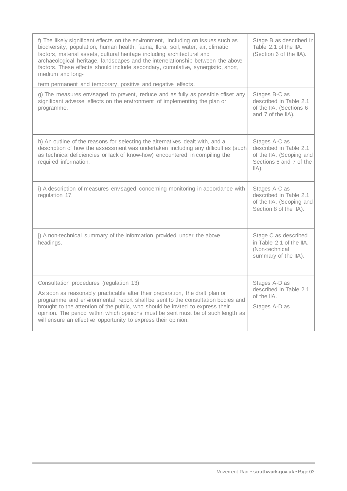| f) The likely significant effects on the environment, including on issues such as<br>biodiversity, population, human health, fauna, flora, soil, water, air, climatic<br>factors, material assets, cultural heritage including architectural and<br>archaeological heritage, landscapes and the interrelationship between the above<br>factors. These effects should include secondary, cumulative, synergistic, short,<br>medium and long-<br>term permanent and temporary, positive and negative effects. | Stage B as described in<br>Table 2.1 of the IIA.<br>(Section 6 of the IIA).                                |
|-------------------------------------------------------------------------------------------------------------------------------------------------------------------------------------------------------------------------------------------------------------------------------------------------------------------------------------------------------------------------------------------------------------------------------------------------------------------------------------------------------------|------------------------------------------------------------------------------------------------------------|
| g) The measures envisaged to prevent, reduce and as fully as possible offset any<br>significant adverse effects on the environment of implementing the plan or<br>programme.                                                                                                                                                                                                                                                                                                                                | Stages B-C as<br>described in Table 2.1<br>of the IIA. (Sections 6<br>and 7 of the IIA).                   |
| h) An outline of the reasons for selecting the alternatives dealt with, and a<br>description of how the assessment was undertaken including any difficulties (such<br>as technical deficiencies or lack of know-how) encountered in compiling the<br>required information.                                                                                                                                                                                                                                  | Stages A-C as<br>described in Table 2.1<br>of the IIA. (Scoping and<br>Sections 6 and 7 of the<br>$IIA$ ). |
| i) A description of measures envisaged concerning monitoring in accordance with<br>regulation 17.                                                                                                                                                                                                                                                                                                                                                                                                           | Stages A-C as<br>described in Table 2.1<br>of the IIA. (Scoping and<br>Section 8 of the IIA).              |
| j) A non-technical summary of the information provided under the above<br>headings.                                                                                                                                                                                                                                                                                                                                                                                                                         | Stage C as described<br>in Table 2.1 of the IIA.<br>(Non-technical<br>summary of the IIA).                 |
| Consultation procedures (regulation 13)<br>As soon as reasonably practicable after their preparation, the draft plan or<br>programme and environmental report shall be sent to the consultation bodies and<br>brought to the attention of the public, who should be invited to express their<br>opinion. The period within which opinions must be sent must be of such length as<br>will ensure an effective opportunity to express their opinion.                                                          | Stages A-D as<br>described in Table 2.1<br>of the IIA.<br>Stages A-D as                                    |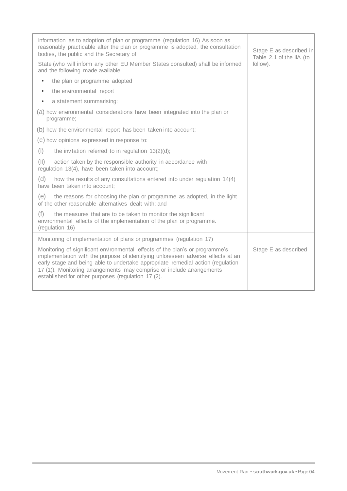| Information as to adoption of plan or programme (regulation 16) As soon as<br>reasonably practicable after the plan or programme is adopted, the consultation<br>bodies, the public and the Secretary of                                                                                                                                                                          | Stage E as described in<br>Table 2.1 of the IIA (to |
|-----------------------------------------------------------------------------------------------------------------------------------------------------------------------------------------------------------------------------------------------------------------------------------------------------------------------------------------------------------------------------------|-----------------------------------------------------|
| State (who will inform any other EU Member States consulted) shall be informed<br>and the following made available:                                                                                                                                                                                                                                                               | follow).                                            |
| the plan or programme adopted<br>$\bullet$                                                                                                                                                                                                                                                                                                                                        |                                                     |
| the environmental report<br>$\bullet$                                                                                                                                                                                                                                                                                                                                             |                                                     |
| a statement summarising:<br>$\bullet$                                                                                                                                                                                                                                                                                                                                             |                                                     |
| (a) how environmental considerations have been integrated into the plan or<br>programme;                                                                                                                                                                                                                                                                                          |                                                     |
| (b) how the environmental report has been taken into account;                                                                                                                                                                                                                                                                                                                     |                                                     |
| (c) how opinions expressed in response to:                                                                                                                                                                                                                                                                                                                                        |                                                     |
| (i)<br>the invitation referred to in regulation $13(2)(d)$ ;                                                                                                                                                                                                                                                                                                                      |                                                     |
| (ii)<br>action taken by the responsible authority in accordance with<br>regulation 13(4), have been taken into account;                                                                                                                                                                                                                                                           |                                                     |
| (d)<br>how the results of any consultations entered into under regulation 14(4)<br>have been taken into account;                                                                                                                                                                                                                                                                  |                                                     |
| (e)<br>the reasons for choosing the plan or programme as adopted, in the light<br>of the other reasonable alternatives dealt with; and                                                                                                                                                                                                                                            |                                                     |
| (f)<br>the measures that are to be taken to monitor the significant<br>environmental effects of the implementation of the plan or programme.<br>(regulation 16)                                                                                                                                                                                                                   |                                                     |
| Monitoring of implementation of plans or programmes (regulation 17)                                                                                                                                                                                                                                                                                                               |                                                     |
| Monitoring of significant environmental effects of the plan's or programme's<br>implementation with the purpose of identifying unforeseen adverse effects at an<br>early stage and being able to undertake appropriate remedial action (regulation<br>17 (1)). Monitoring arrangements may comprise or include arrangements<br>established for other purposes (regulation 17 (2). | Stage E as described                                |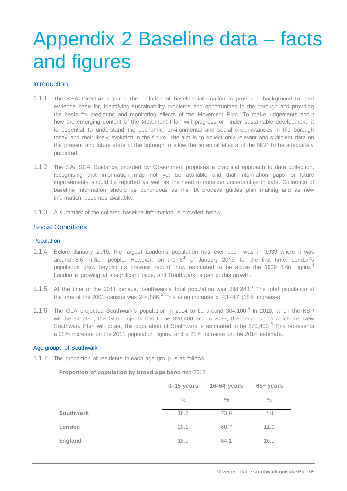# Appendix 2 Baseline data – facts and figures

## Introduction

- 1.1.1. The SEA Directive requires the collation of baseline information to provide a background to, and evidence base for, identifying sustainability problems and opportunities in the borough and providing the basis for predicting and monitoring effects of the Movement Plan. To make judgements about how the emerging content of the Movement Plan will progress or hinder sustainable development, it is essential to understand the economic, environmental and social circumstances in the borough today and their likely evolution in the future. The aim is to collect only relevant and sufficient data on the present and future state of the borough to allow the potential effects of the NSP to be adequately predicted.
- 1.1.2. The SA/ SEA Guidance provided by Government proposes a practical approach to data collection, recognising that information may not yet be available and that information gaps for future improvements should be reported as well as the need to consider uncertainties in data. Collection of baseline information should be continuous as the IIA process guides plan making and as new information becomes available.
- 1.1.3. A summary of the collated baseline information is provided below.

# Social Conditions

#### Population

- 1.1.4. Before January 2015, the largest London's population has ever been was in 1939 where it was around 8.6 million people. However, on the  $6<sup>th</sup>$  of January 2015, for the first time, London's population grew beyond its previous record, now estimated to be above the 1939 8.6m figure.<sup>1</sup> London is growing at a significant pace, and Southwark is part of this growth.
- 1.1.5. At the time of the 2011 census, Southwark's total population was 288,283.<sup>2</sup> The total population at the time of the 2001 census was 244,866.<sup>3</sup> This is an increase of 43,417 (18% increase).
- 1.1.6. The GLA projected Southwark's population in 2014 to be around 304,100.<sup>4</sup> In 2018, when the NSP will be adopted, the GLA projects this to be 326,400 and in 2033, the period up to which the New Southwark Plan will cover, the population of Southwark is estimated to be 370,400.<sup>5</sup> This represents a 28% increase on the 2011 population figure, and a 21% increase on the 2014 estimate.

#### Age groups of Southwark

1.1.7. The proportion of residents in each age group is as follows:

**Proportion of population by broad age band** mid-2012

|                  | $0 - 15$ years | 16-64 years | 65+ years |  |
|------------------|----------------|-------------|-----------|--|
|                  | $\%$           | $\%$        | $\%$      |  |
| <b>Southwark</b> | 18.6           | 73.6        | 7.8       |  |
| London           | 20.1           | 68.7        | 11.3      |  |
| England          | 18.9           | 64.1        | 16.9      |  |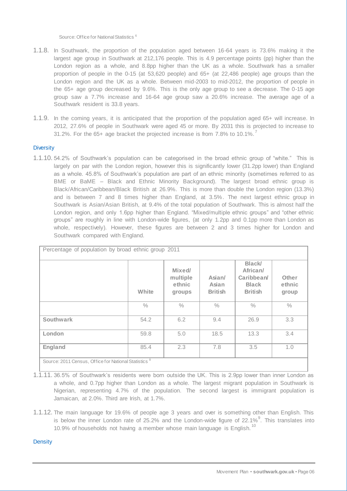Source: Office for National Statistics <sup>6</sup>

- 1.1.8. In Southwark, the proportion of the population aged between 16-64 years is 73.6% making it the largest age group in Southwark at 212,176 people. This is 4.9 percentage points (pp) higher than the London region as a whole, and 8.8pp higher than the UK as a whole. Southwark has a smaller proportion of people in the 0-15 (at 53,620 people) and 65+ (at 22,486 people) age groups than the London region and the UK as a whole. Between mid-2003 to mid-2012, the proportion of people in the 65+ age group decreased by 9.6%. This is the only age group to see a decrease. The 0-15 age group saw a 7.7% increase and 16-64 age group saw a 20.6% increase. The average age of a Southwark resident is 33.8 years.
- 1.1.9. In the coming years, it is anticipated that the proportion of the population aged 65+ will increase. In 2012, 27.6% of people in Southwark were aged 45 or more. By 2031 this is projected to increase to 31.2%. For the 65+ age bracket the projected increase is from  $7.8\%$  to 10.1%.

#### **Diversity**

1.1.10. 54.2% of Southwark's population can be categorised in the broad ethnic group of "white." This is largely on par with the London region, however this is significantly lower (31.2pp lower) than England as a whole. 45.8% of Southwark's population are part of an ethnic minority (sometimes referred to as BME or BaME – Black and Ethnic Minority Background). The largest broad ethnic group is Black/African/Caribbean/Black British at 26.9%. This is more than double the London region (13.3%) and is between 7 and 8 times higher than England, at 3.5%. The next largest ethnic group in Southwark is Asian/Asian British, at 9.4% of the total population of Southwark. This is almost half the London region, and only 1.6pp higher than England. "Mixed/multiple ethnic groups" and "other ethnic groups" are roughly in line with London-wide figures, (at only 1.2pp and 0.1pp more than London as whole, respectively). However, these figures are between 2 and 3 times higher for London and Southwark compared with England.

| Percentage of population by broad ethnic group 2011              |               |                                        |                                   |                                                                          |                          |
|------------------------------------------------------------------|---------------|----------------------------------------|-----------------------------------|--------------------------------------------------------------------------|--------------------------|
|                                                                  | White         | Mixed/<br>multiple<br>ethnic<br>groups | Asian/<br>Asian<br><b>British</b> | <b>Black</b><br>African/<br>Caribbean/<br><b>Black</b><br><b>British</b> | Other<br>ethnic<br>group |
|                                                                  | $\frac{0}{0}$ | $\frac{0}{0}$                          | $\frac{0}{0}$                     | $\frac{0}{0}$                                                            | $\%$                     |
| <b>Southwark</b>                                                 | 54.2          | 6.2                                    | 9.4                               | 26.9                                                                     | 3.3                      |
| London                                                           | 59.8          | 5.0                                    | 18.5                              | 13.3                                                                     | 3.4                      |
| <b>England</b>                                                   | 85.4          | 2.3                                    | 7.8                               | 3.5                                                                      | 1.0                      |
| Source: 2011 Census, Office for National Statistics <sup>8</sup> |               |                                        |                                   |                                                                          |                          |

<sup>1.1.11.</sup> 36.5% of Southwark's residents were born outside the UK. This is 2.9pp lower than inner London as a whole, and 0.7pp higher than London as a whole. The largest migrant population in Southwark is Nigerian, representing 4.7% of the population. The second largest is immigrant population is Jamaican, at 2.0%. Third are Irish, at 1.7%.

1.1.12. The main language for 19.6% of people age 3 years and over is something other than English. This is below the inner London rate of 25.2% and the London-wide figure of 22.1%<sup>9</sup>. This translates into 10.9% of households not having a member whose main language is English.<sup>10</sup>

**Density**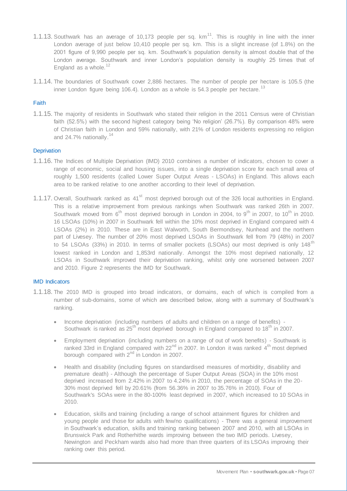- 1.1.13. Southwark has an average of 10,173 people per sq.  $km<sup>11</sup>$ . This is roughly in line with the inner London average of just below 10,410 people per sq. km. This is a slight increase (of 1.8%) on the 2001 figure of 9,990 people per sq. km. Southwark's population density is almost double that of the London average. Southwark and inner London's population density is roughly 25 times that of England as a whole. $^{12}$
- 1.1.14. The boundaries of Southwark cover 2,886 hectares. The number of people per hectare is 105.5 (the inner London figure being 106.4). London as a whole is 54.3 people per hectare.  $^{13}$

#### Faith

1.1.15. The majority of residents in Southwark who stated their religion in the 2011 Census were of Christian faith (52.5%) with the second highest category being 'No religion' (26.7%). By comparison 48% were of Christian faith in London and 59% nationally, with 21% of London residents expressing no religion and  $24.7\%$  nationally.<sup>14</sup>

#### **Deprivation**

- 1.1.16. The Indices of Multiple Deprivation (IMD) 2010 combines a number of indicators, chosen to cover a range of economic, social and housing issues, into a single deprivation score for each small area of roughly 1,500 residents (called Lower Super Output Areas - LSOAs) in England. This allows each area to be ranked relative to one another according to their level of deprivation.
- 1.1.17. Overall, Southwark ranked as 41<sup>st</sup> most deprived borough out of the 326 local authorities in England. This is a relative improvement from previous rankings when Southwark was ranked 26th in 2007. Southwark moved from  $6<sup>th</sup>$  most deprived borough in London in 2004, to  $9<sup>th</sup>$  in 2007, to 10<sup>th</sup> in 2010. 16 LSOAs (10%) in 2007 in Southwark fell within the 10% most deprived in England compared with 4 LSOAs (2%) in 2010. These are in East Walworth, South Bermondsey, Nunhead and the northern part of Livesey. The number of 20% most deprived LSOAs in Southwark fell from 79 (48%) in 2007 to 54 LSOAs (33%) in 2010. In terms of smaller pockets (LSOAs) our most deprived is only 148<sup>th</sup> lowest ranked in London and 1,853rd nationally. Amongst the 10% most deprived nationally, 12 LSOAs in Southwark improved their deprivation ranking, whilst only one worsened between 2007 and 2010. Figure 2 represents the IMD for Southwark.

#### IMD Indicators

- 1.1.18. The 2010 IMD is grouped into broad indicators, or domains, each of which is compiled from a number of sub-domains, some of which are described below, along with a summary of Southwark's ranking.
	- Income deprivation (including numbers of adults and children on a range of benefits) Southwark is ranked as  $25<sup>th</sup>$  most deprived borough in England compared to  $18<sup>th</sup>$  in 2007.
	- Employment deprivation (including numbers on a range of out of work benefits) Southwark is ranked 33rd in England compared with  $22<sup>nd</sup>$  in 2007. In London it was ranked  $4<sup>th</sup>$  most deprived borough compared with  $2^{nd}$  in London in 2007.
	- Health and disability (including figures on standardised measures of morbidity, disability and premature death) - Although the percentage of Super Output Areas (SOA) in the 10% most deprived increased from 2.42% in 2007 to 4.24% in 2010, the percentage of SOAs in the 20- 30% most deprived fell by 20.61% (from 56.36% in 2007 to 35.76% in 2010). Four of Southwark's SOAs were in the 80-100% least deprived in 2007, which increased to 10 SOAs in 2010.
	- Education, skills and training (including a range of school attainment figures for children and young people and those for adults with few/no qualifications) - There was a general improvement in Southwark's education, skills and training ranking between 2007 and 2010, with all LSOAs in Brunswick Park and Rotherhithe wards improving between the two IMD periods. Livesey, Newington and Peckham wards also had more than three quarters of its LSOAs improving their ranking over this period.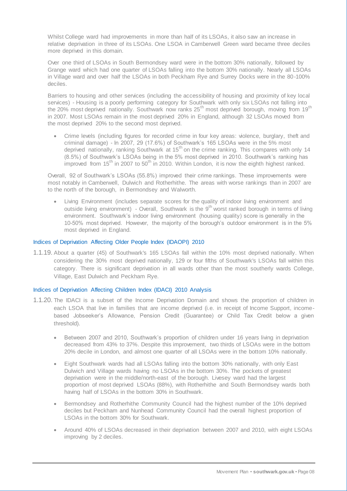Whilst College ward had improvements in more than half of its LSOAs, it also saw an increase in relative deprivation in three of its LSOAs. One LSOA in Camberwell Green ward became three deciles more deprived in this domain.

Over one third of LSOAs in South Bermondsey ward were in the bottom 30% nationally, followed by Grange ward which had one quarter of LSOAs falling into the bottom 30% nationally. Nearly all LSOAs in Village ward and over half the LSOAs in both Peckham Rye and Surrey Docks were in the 80-100% deciles.

Barriers to housing and other services (including the accessibility of housing and proximity of key local services) - Housing is a poorly performing category for Southwark with only six LSOAs not falling into the 20% most deprived nationally. Southwark now ranks 25<sup>th</sup> most deprived borough, moving from 19<sup>th</sup> in 2007. Most LSOAs remain in the most deprived 20% in England, although 32 LSOAs moved from the most deprived 20% to the second most deprived.

 Crime levels (including figures for recorded crime in four key areas: violence, burglary, theft and criminal damage) - In 2007, 29 (17.6%) of Southwark's 165 LSOAs were in the 5% most deprived nationally, ranking Southwark at 15<sup>th</sup> on the crime ranking. This compares with only 14 (8.5%) of Southwark's LSOAs being in the 5% most deprived in 2010. Southwark's ranking has improved from  $15<sup>th</sup>$  in 2007 to 50<sup>th</sup> in 2010. Within London, it is now the eighth highest ranked.

Overall, 92 of Southwark's LSOAs (55.8%) improved their crime rankings. These improvements were most notably in Camberwell, Dulwich and Rotherhithe. The areas with worse rankings than in 2007 are to the north of the borough, in Bermondsey and Walworth.

 Living Environment (includes separate scores for the quality of indoor living environment and outside living environment) - Overall, Southwark is the 9<sup>th</sup> worst ranked borough in terms of living environment. Southwark's indoor living environment (housing quality) score is generally in the 10-50% most deprived. However, the majority of the borough's outdoor environment is in the 5% most deprived in England.

#### Indices of Deprivation Affecting Older People Index (IDAOPI) 2010

1.1.19. About a quarter (45) of Southwark's 165 LSOAs fall within the 10% most deprived nationally. When considering the 30% most deprived nationally, 129 or four fifths of Southwark's LSOAs fall within this category. There is significant deprivation in all wards other than the most southerly wards College, Village, East Dulwich and Peckham Rye.

#### Indices of Deprivation Affecting Children Index (IDACI) 2010 Analysis

- 1.1.20. The IDACI is a subset of the Income Deprivation Domain and shows the proportion of children in each LSOA that live in families that are income deprived (i.e. in receipt of Income Support, incomebased Jobseeker's Allowance, Pension Credit (Guarantee) or Child Tax Credit below a given threshold).
	- Between 2007 and 2010, Southwark's proportion of children under 16 years living in deprivation decreased from 43% to 37%. Despite this improvement, two thirds of LSOAs were in the bottom 20% decile in London, and almost one quarter of all LSOAs were in the bottom 10% nationally.
	- Eight Southwark wards had all LSOAs falling into the bottom 30% nationally, with only East Dulwich and Village wards having no LSOAs in the bottom 30%. The pockets of greatest deprivation were in the middle/north-east of the borough. Livesey ward had the largest proportion of most deprived LSOAs (88%), with Rotherhithe and South Bermondsey wards both having half of LSOAs in the bottom 30% in Southwark.
	- Bermondsey and Rotherhithe Community Council had the highest number of the 10% deprived deciles but Peckham and Nunhead Community Council had the overall highest proportion of LSOAs in the bottom 30% for Southwark.
	- Around 40% of LSOAs decreased in their deprivation between 2007 and 2010, with eight LSOAs improving by 2 deciles.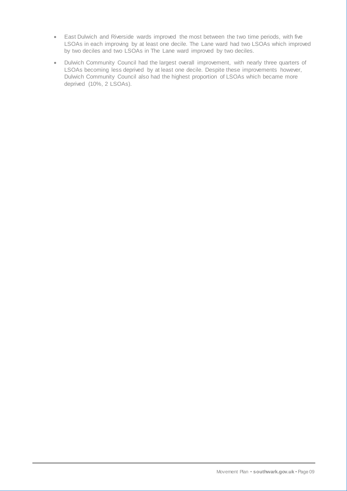- East Dulwich and Riverside wards improved the most between the two time periods, with five LSOAs in each improving by at least one decile. The Lane ward had two LSOAs which improved by two deciles and two LSOAs in The Lane ward improved by two deciles.
- Dulwich Community Council had the largest overall improvement, with nearly three quarters of LSOAs becoming less deprived by at least one decile. Despite these improvements however, Dulwich Community Council also had the highest proportion of LSOAs which became more deprived (10%, 2 LSOAs).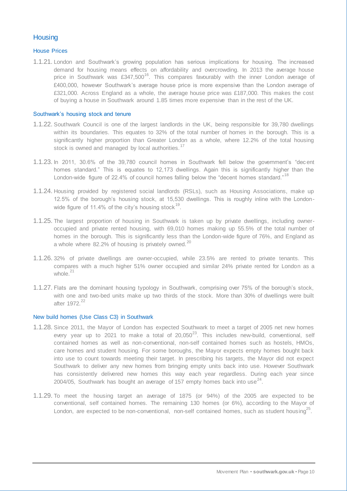# **Housing**

#### House Prices

1.1.21. London and Southwark's growing population has serious implications for housing. The increased demand for housing means effects on affordability and overcrowding. In 2013 the average house price in Southwark was £347,500<sup>16</sup>. This compares favourably with the inner London average of £400,000, however Southwark's average house price is more expensive than the London average of £321,000. Across England as a whole, the average house price was £187,000. This makes the cost of buying a house in Southwark around 1.85 times more expensive than in the rest of the UK.

#### Southwark's housing stock and tenure

- 1.1.22. Southwark Council is one of the largest landlords in the UK, being responsible for 39,780 dwellings within its boundaries. This equates to 32% of the total number of homes in the borough. This is a significantly higher proportion than Greater London as a whole, where 12.2% of the total housing stock is owned and managed by local authorities.<sup>17</sup>
- 1.1.23. In 2011, 30.6% of the 39,780 council homes in Southwark fell below the government's "dec ent homes standard." This is equates to 12,173 dwellings. Again this is significantly higher than the London-wide figure of 22.4% of council homes falling below the "decent homes standard."<sup>18</sup>
- 1.1.24. Housing provided by registered social landlords (RSLs), such as Housing Associations, make up 12.5% of the borough's housing stock, at 15,530 dwellings. This is roughly inline with the Londonwide figure of 11.4% of the city's housing stock  $^{19}$ .
- 1.1.25. The largest proportion of housing in Southwark is taken up by private dwellings, including owneroccupied and private rented housing, with 69,010 homes making up 55.5% of the total number of homes in the borough. This is significantly less than the London-wide figure of 76%, and England as a whole where 82.2% of housing is privately owned. $^{20}$
- 1.1.26. 32% of private dwellings are owner-occupied, while 23.5% are rented to private tenants. This compares with a much higher 51% owner occupied and similar 24% private rented for London as a whole. $21$
- 1.1.27. Flats are the dominant housing typology in Southwark, comprising over 75% of the borough's stock, with one and two-bed units make up two thirds of the stock. More than 30% of dwellings were built after 1972.<sup>22</sup>

#### New build homes (Use Class C3) in Southwark

- 1.1.28. Since 2011, the Mayor of London has expected Southwark to meet a target of 2005 net new homes every year up to 2021 to make a total of  $20,050^{23}$ . This includes new-build, conventional, self contained homes as well as non-conventional, non-self contained homes such as hostels, HMOs, care homes and student housing. For some boroughs, the Mayor expects empty homes bought back into use to count towards meeting their target. In prescribing his targets, the Mayor did not expect Southwark to deliver any new homes from bringing empty units back into use. However Southwark has consistently delivered new homes this way each year regardless. During each year since 2004/05, Southwark has bought an average of 157 empty homes back into use<sup>24</sup>.
- 1.1.29. To meet the housing target an average of 1875 (or 94%) of the 2005 are expected to be conventional, self contained homes. The remaining 130 homes (or 6%), according to the Mayor of London, are expected to be non-conventional, non-self contained homes, such as student housing<sup>25</sup>.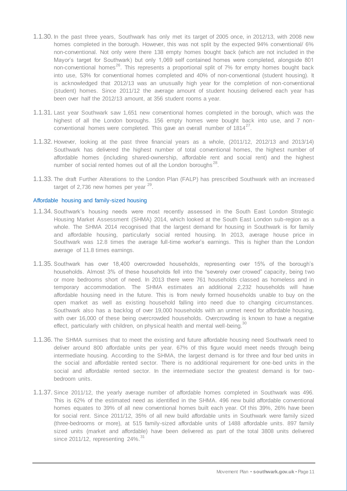- 1.1.30. In the past three years, Southwark has only met its target of 2005 once, in 2012/13, with 2008 new homes completed in the borough. However, this was not split by the expected 94% conventional/ 6% non-conventional. Not only were there 138 empty homes bought back (which are not included in the Mayor's target for Southwark) but only 1,069 self contained homes were completed, alongside 801 non-conventional homes<sup>26</sup>. This represents a proportional split of  $7\%$  for empty homes bought back into use, 53% for conventional homes completed and 40% of non-conventional (student housing). It is acknowledged that 2012/13 was an unusually high year for the completion of non-conventional (student) homes. Since 2011/12 the average amount of student housing delivered each year has been over half the 2012/13 amount, at 356 student rooms a year.
- 1.1.31. Last year Southwark saw 1,651 new conventional homes completed in the borough, which was the highest of all the London boroughs. 156 empty homes were bought back into use, and 7 nonconventional homes were completed. This gave an overall number of  $1814^{27}$ .
- 1.1.32. However, looking at the past three financial years as a whole, (2011/12, 2012/13 and 2013/14) Southwark has delivered the highest number of total conventional homes, the highest number of affordable homes (including shared-ownership, affordable rent and social rent) and the highest number of social rented homes out of all the London boroughs<sup>28</sup>.
- 1.1.33. The draft Further Alterations to the London Plan (FALP) has prescribed Southwark with an increased target of 2,736 new homes per year <sup>29</sup>.

#### Affordable housing and family-sized housing

- 1.1.34. Southwark's housing needs were most recently assessed in the South East London Strategic Housing Market Assessment (SHMA) 2014, which looked at the South East London sub-region as a whole. The SHMA 2014 recognised that the largest demand for housing in Southwark is for family and affordable housing, particularly social rented housing. In 2013, average house price in Southwark was 12.8 times the average full-time worker's earnings. This is higher than the London average of 11.8 times earnings.
- 1.1.35. Southwark has over 18,400 overcrowded households, representing over 15% of the borough's households. Almost 3% of these households fell into the "severely over crowed" capacity, being two or more bedrooms short of need. In 2013 there were 761 households classed as homeless and in temporary accommodation. The SHMA estimates an additional 2,232 households will have affordable housing need in the future. This is from newly formed households unable to buy on the open market as well as existing household falling into need due to changing circumstances. Southwark also has a backlog of over 19,000 households with an unmet need for affordable housing, with over 16,000 of these being overcrowded households. Overcrowding is known to have a negative effect, particularly with children, on physical health and mental well-being.<sup>30</sup>
- 1.1.36. The SHMA surmises that to meet the existing and future affordable housing need Southwark need to deliver around 800 affordable units per year. 67% of this figure would meet needs through being intermediate housing. According to the SHMA, the largest demand is for three and four bed units in the social and affordable rented sector. There is no additional requirement for one-bed units in the social and affordable rented sector. In the intermediate sector the greatest demand is for twobedroom units.
- 1.1.37. Since 2011/12, the yearly average number of affordable homes completed in Southwark was 496. This is 62% of the estimated need as identified in the SHMA. 496 new build affordable conventional homes equates to 39% of all new conventional homes built each year. Of this 39%, 26% have been for social rent. Since 2011/12, 35% of all new build affordable units in Southwark were family sized (three-bedrooms or more), at 515 family-sized affordable units of 1488 affordable units. 897 family sized units (market and affordable) have been delivered as part of the total 3808 units delivered since 2011/12, representing 24%.<sup>31</sup>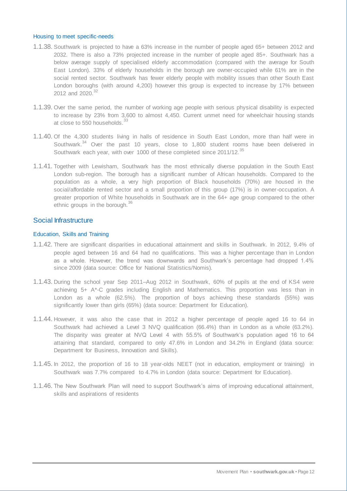#### Housing to meet specific-needs

- 1.1.38. Southwark is projected to have a 63% increase in the number of people aged 65+ between 2012 and 2032. There is also a 73% projected increase in the number of people aged 85+. Southwark has a below average supply of specialised elderly accommodation (compared with the average for South East London). 33% of elderly households in the borough are owner-occupied while 61% are in the social rented sector. Southwark has fewer elderly people with mobility issues than other South East London boroughs (with around 4,200) however this group is expected to increase by 17% between 2012 and 2020.<sup>32</sup>
- 1.1.39. Over the same period, the number of working age people with serious physical disability is expected to increase by 23% from 3,600 to almost 4,450. Current unmet need for wheelchair housing stands at close to 550 households.<sup>33</sup>
- 1.1.40. Of the 4,300 students living in halls of residence in South East London, more than half were in Southwark.<sup>34</sup> Over the past 10 years, close to 1,800 student rooms have been delivered in Southwark each year, with over 1000 of these completed since 2011/12.<sup>35</sup>
- 1.1.41. Together with Lewisham, Southwark has the most ethnically diverse population in the South East London sub-region. The borough has a significant number of African households. Compared to the population as a whole, a very high proportion of Black households (70%) are housed in the social/affordable rented sector and a small proportion of this group (17%) is in owner-occupation. A greater proportion of White households in Southwark are in the 64+ age group compared to the other ethnic groups in the borough.<sup>36</sup>

## Social Infrastructure

#### Education, Skills and Training

- 1.1.42. There are significant disparities in educational attainment and skills in Southwark. In 2012, 9.4% of people aged between 16 and 64 had no qualifications. This was a higher percentage than in London as a whole. However, the trend was downwards and Southwark's percentage had dropped 1.4% since 2009 (data source: Office for National Statistics/Nomis).
- 1.1.43. During the school year Sep 2011–Aug 2012 in Southwark, 60% of pupils at the end of KS4 were achieving 5+ A\*-C grades including English and Mathematics. This proportion was less than in London as a whole (62.5%). The proportion of boys achieving these standards (55%) was significantly lower than girls (65%) (data source: Department for Education).
- 1.1.44. However, it was also the case that in 2012 a higher percentage of people aged 16 to 64 in Southwark had achieved a Level 3 NVQ qualification (66.4%) than in London as a whole (63.2%). The disparity was greater at NVQ Level 4 with 55.5% of Southwark's population aged 16 to 64 attaining that standard, compared to only 47.6% in London and 34.2% in England (data source: Department for Business, Innovation and Skills).
- 1.1.45. In 2012, the proportion of 16 to 18 year-olds NEET (not in education, employment or training) in Southwark was 7.7% compared to 4.7% in London (data source: Department for Education).
- 1.1.46. The New Southwark Plan will need to support Southwark's aims of improving educational attainment, skills and aspirations of residents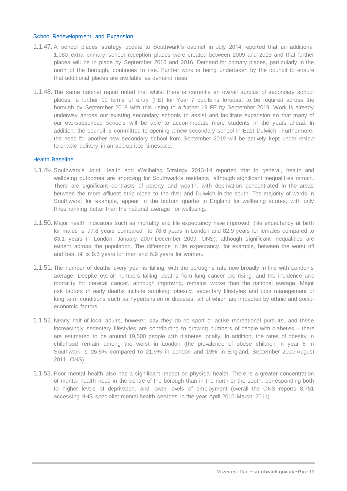#### School Redevelopment and Expansion

- 1.1.47. A school places strategy update to Southwark's cabinet in July 2014 reported that an additional 1,080 extra primary school reception places were created between 2009 and 2013 and that further places will be in place by September 2015 and 2016. Demand for primary places, particularly in the north of the borough, continues to rise. Further work is being undertaken by the council to ensure that additional places are available as demand rises.
- 1.1.48. The same cabinet report noted that whilst there is currently an overall surplus of secondary school places, a further 11 forms of entry (FE) for Year 7 pupils is forecast to be required across the borough by September 2018 with this rising to a further 19 FE by September 2019. Work is already underway across our existing secondary schools to assist and facilitate expansion so that many of our oversubscribed schools will be able to accommodate more students in the years ahead. In addition, the council is committed to opening a new secondary school in East Dulwich. Furthermore, the need for another new secondary school from September 2019 will be actively kept under review to enable delivery in an appropriate timescale.

#### Health Baseline

- 1.1.49. Southwark's Joint Health and Wellbeing Strategy 2013-14 reported that in general, health and wellbeing outcomes are improving for Southwark's residents, although significant inequalities remain. There are significant contrasts of poverty and wealth, with deprivation concentrated in the areas between the more affluent strip close to the river and Dulwich in the south. The majority of wards in Southwark, for example, appear in the bottom quarter in England for wellbeing scores, with only three ranking better than the national average for wellbeing.
- 1.1.50. Major health indicators such as mortality and life expectancy have improved (life expectancy at birth for males is 77.8 years compared to 78.6 years in London and 82.9 years for females compared to 83.1 years in London, January 2007-December 2009, ONS), although significant inequalities are evident across the population. The difference in life expectancy, for example, between the worst off and best off is 9.5 years for men and 6.9 years for women.
- 1.1.51. The number of deaths every year is falling, with the borough's rate now broadly in line with London's average. Despite overall numbers falling, deaths from lung cancer are rising, and the incidence and mortality for cervical cancer, although improving, remains worse than the national average. Major risk factors in early deaths include smoking, obesity, sedentary lifestyles and poor management of long term conditions such as hypertension or diabetes, all of which are impacted by ethnic and socioeconomic factors.
- 1.1.52. Nearly half of local adults, however, say they do no sport or active recreational pursuits, and these increasingly sedentary lifestyles are contributing to growing numbers of people with diabetes – there are estimated to be around 19,500 people with diabetes locally. In addition, the rates of obesity in childhood remain among the worst in London (the prevalence of obese children in year 6 in Southwark is 26.5% compared to 21.9% in London and 19% in England, September 2010-August 2011, ONS).
- 1.1.53. Poor mental health also has a significant impact on physical health. There is a greater concentration of mental health need in the centre of the borough than in the north or the south, corresponding both to higher levels of deprivation, and lower levels of employment (overall the ONS reports 8,751 accessing NHS specialist mental health services in the year April 2010-March 2011).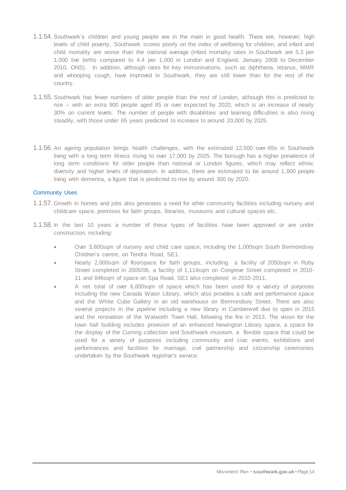- 1.1.54. Southwark's children and young people are in the main in good health. There are, however, high levels of child poverty, Southwark scores poorly on the index of wellbeing for children, and infant and child mortality are worse than the national average (infant mortality rates in Southwark are 5.3 per 1,000 live births compared to 4.4 per 1,000 in London and England, January 2008 to December 2010, ONS). In addition, although rates for key immunisations, such as diphtheria, tetanus, MMR and whooping cough, have improved in Southwark, they are still lower than for the rest of the country.
- 1.1.55. Southwark has fewer numbers of older people than the rest of London, although this is predicted to rise – with an extra 900 people aged 85 or over expected by 2020, which is an increase of nearly 30% on current levels. The number of people with disabilities and learning difficulties is also rising steadily, with those under 65 years predicted to increase to around 20,000 by 2025.
- 1.1.56. An ageing population brings health challenges, with the estimated 12,500 over-65s in Southwark living with a long term illness rising to over 17,000 by 2025. The borough has a higher prevalence of long term conditions for older people than national or London figures, which may reflect ethnic diversity and higher levels of deprivation. In addition, there are estimated to be around 1,800 people living with dementia, a figure that is predicted to rise by around 300 by 2020.

#### Community Uses

- 1.1.57. Growth in homes and jobs also generates a need for other community facilities including nursery and childcare space, premises for faith groups, libraries, museums and cultural spaces etc.
- 1.1.58. In the last 10 years a number of these types of facilities have been approved or are under construction, including:
	- Over 3,800sqm of nursery and child care space, including the 1,000sqm South Bermondsey Children's centre, on Tendra Road, SE1.
	- Nearly 2,000sqm of floorspace for faith groups, including a facility of 2050sqm in Ruby Street completed in 2005/06, a facility of 1,114sqm on Congreve Street completed in 2010- 11 and 846sqm of space on Spa Road, SE1 also completed in 2010-2011.
	- A net total of over 6,800sqm of space which has been used for a variety of purposes including the new Canada Water Library, which also provides a café and performance space and the White Cube Gallery in an old warehouse on Bermondsey Street. There are also several projects in the pipeline including a new library in Camberwell due to open in 2015 and the renovation of the Walworth Town Hall, following the fire in 2013. The vision for the town hall building includes provision of an enhanced Newington Library space, a space for the display of the Cuming collection and Southwark museum, a flexible space that could be used for a variety of purposes including community and civic events, exhibitions and performances and facilities for marriage, civil partnership and citizenship ceremonies undertaken by the Southwark registrar's service.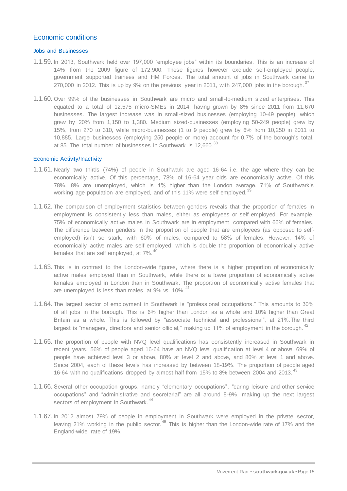# Economic conditions

#### Jobs and Businesses

- 1.1.59. In 2013, Southwark held over 197,000 "employee jobs" within its boundaries. This is an increase of 14% from the 2009 figure of 172,900. These figures however exclude self-employed people, government supported trainees and HM Forces. The total amount of jobs in Southwark came to 270,000 in 2012. This is up by 9% on the previous year in 2011, with 247,000 jobs in the borough.  $37$
- 1.1.60. Over 99% of the businesses in Southwark are micro and small-to-medium sized enterprises. This equated to a total of 12,575 micro-SMEs in 2014, having grown by 8% since 2011 from 11,670 businesses. The largest increase was in small-sized businesses (employing 10-49 people), which grew by 20% from 1,150 to 1,380. Medium sized-businesses (employing 50-249 people) grew by 15%, from 270 to 310, while micro-businesses (1 to 9 people) grew by 6% from 10,250 in 2011 to 10,885. Large businesses (employing 250 people or more) account for 0.7% of the borough's total, at 85. The total number of businesses in Southwark is 12,660.<sup>38</sup>

#### Economic Activity/Inactivity

- 1.1.61. Nearly two thirds (74%) of people in Southwark are aged 16-64 i.e. the age where they can be economically active. Of this percentage, 78% of 16-64 year olds are economically active. Of this 78%, 8% are unemployed, which is 1% higher than the London average. 71% of Southwark's working age population are employed, and of this 11% were self employed.<sup>3</sup>
- 1.1.62. The comparison of employment statistics between genders reveals that the proportion of females in employment is consistently less than males, either as employees or self employed. For example, 75% of economically active males in Southwark are in employment, compared with 66% of females. The difference between genders in the proportion of people that are employees (as opposed to selfemployed) isn't so stark, with 60% of males, compared to 58% of females. However, 14% of economically active males are self employed, which is double the proportion of economically active females that are self employed, at  $7\%$ .<sup>40</sup>
- 1.1.63. This is in contrast to the London-wide figures, where there is a higher proportion of economically active males employed than in Southwark, while there is a lower proportion of economically active females employed in London than in Southwark. The proportion of economically active females that are unemployed is less than males, at 9% vs. 10%.<sup>41</sup>
- 1.1.64. The largest sector of employment in Southwark is "professional occupations." This amounts to 30% of all jobs in the borough. This is 6% higher than London as a whole and 10% higher than Great Britain as a whole. This is followed by "associate technical and professional", at 21%.The third largest is "managers, directors and senior official," making up 11% of employment in the borough.<sup>42</sup>
- 1.1.65. The proportion of people with NVQ level qualifications has consistently increased in Southwark in recent years. 56% of people aged 16-64 have an NVQ level qualification at level 4 or above. 69% of people have achieved level 3 or above, 80% at level 2 and above, and 86% at level 1 and above. Since 2004, each of these levels has increased by between 18-19%. The proportion of people aged 16-64 with no qualifications dropped by almost half from 15% to 8% between 2004 and 2013.
- 1.1.66. Several other occupation groups, namely "elementary occupations", "caring leisure and other service occupations" and "administrative and secretarial" are all around 8-9%, making up the next largest sectors of employment in Southwark.<sup>44</sup>
- 1.1.67. In 2012 almost 79% of people in employment in Southwark were employed in the private sector, leaving 21% working in the public sector.<sup>45</sup> This is higher than the London-wide rate of 17% and the England-wide rate of 19%.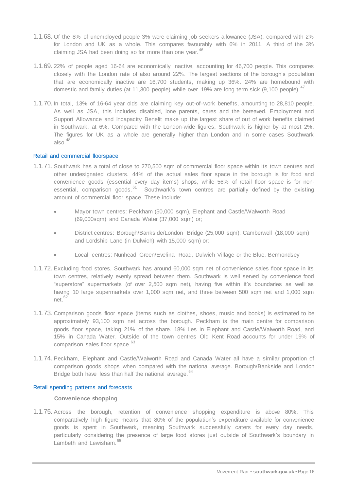- 1.1.68. Of the 8% of unemployed people 3% were claiming job seekers allowance (JSA), compared with 2% for London and UK as a whole. This compares favourably with 6% in 2011. A third of the 3% claiming JSA had been doing so for more than one year.<sup>46</sup>
- 1.1.69. 22% of people aged 16-64 are economically inactive, accounting for 46,700 people. This compares closely with the London rate of also around 22%. The largest sections of the borough's population that are economically inactive are 16,700 students, making up 36%. 24% are homebound with domestic and family duties (at 11,300 people) while over 19% are long term sick (9,100 people).
- 1.1.70. In total, 13% of 16-64 year olds are claiming key out-of–work benefits, amounting to 28,810 people. As well as JSA, this includes disabled, lone parents, cares and the bereaved. Employment and Support Allowance and Incapacity Benefit make up the largest share of out of work benefits claimed in Southwark, at 6%. Compared with the London-wide figures, Southwark is higher by at most 2%. The figures for UK as a whole are generally higher than London and in some cases Southwark also $48$

#### Retail and commercial floorspace

- 1.1.71. Southwark has a total of close to 270,500 sqm of commercial floor space within its town centres and other undesignated clusters. 44% of the actual sales floor space in the borough is for food and convenience goods (essential every day items) shops, while 56% of retail floor space is for nonessential, comparison goods. $61$  Southwark's town centres are partially defined by the existing amount of commercial floor space. These include:
	- Mayor town centres: Peckham (50,000 sqm), Elephant and Castle/Walworth Road (69,000sqm) and Canada Water (37,000 sqm) or;
	- District centres: Borough/Bankside/London Bridge (25,000 sqm), Camberwell (18,000 sqm) and Lordship Lane (in Dulwich) with 15,000 sqm) or;
	- Local centres: Nunhead Green/Evelina Road, Dulwich Village or the Blue, Bermondsey
- 1.1.72. Excluding food stores, Southwark has around 60,000 sqm net of convenience sales floor space in its town centres, relatively evenly spread between them. Southwark is well served by convenience food "superstore" supermarkets (of over 2,500 sqm net), having five within it's boundaries as well as having 10 large supermarkets over 1,000 sqm net, and three between 500 sqm net and 1,000 sqm net.<sup>6</sup>
- 1.1.73. Comparison goods floor space (items such as clothes, shoes, music and books) is estimated to be approximately 93,100 sqm net across the borough. Peckham is the main centre for comparison goods floor space, taking 21% of the share. 18% lies in Elephant and Castle/Walworth Road, and 15% in Canada Water. Outside of the town centres Old Kent Road accounts for under 19% of comparison sales floor space.<sup>63</sup>
- 1.1.74. Peckham, Elephant and Castle/Walworth Road and Canada Water all have a similar proportion of comparison goods shops when compared with the national average. Borough/Bankside and London Bridge both have less than half the national average.<sup>64</sup>

#### Retail spending patterns and forecasts

## **Convenience shopping**

1.1.75. Across the borough, retention of convenience shopping expenditure is above 80%. This comparatively high figure means that 80% of the population's expenditure available for convenience goods is spent in Southwark, meaning Southwark successfully caters for every day needs, particularly considering the presence of large food stores just outside of Southwark's boundary in Lambeth and Lewisham.<sup>65</sup>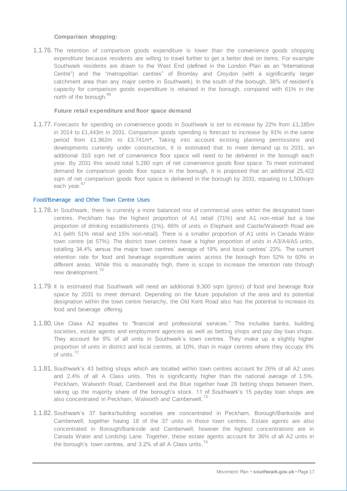#### **Comparison shopping:**

1.1.76. The retention of comparison goods expenditure is lower than the convenience goods shopping expenditure because residents are willing to travel further to get a better deal on items. For example Southwark residents are drawn to the West End (defined in the London Plan as an "International Centre") and the "metropolitan centres" of Bromley and Croydon (with a significantly larger catchment area than any major centre in Southwark). In the south of the borough, 38% of resident's capacity for comparison goods expenditure is retained in the borough, compared with 61% in the north of the borough.<sup>66</sup>

#### **Future retail expenditure and floor space demand**

1.1.77. Forecasts for spending on convenience goods in Southwark is set to increase by 22% from £1,185m in 2014 to £1,443m in 2031. Comparison goods spending is forecast to increase by 91% in the same period from £1,962m to £3,741m**\*.** Taking into account existing planning permissions and developments currently under construction, it is estimated that to meet demand up to 2031, an additional 310 sqm net of convenience floor space will need to be delivered in the borough each year. By 2031 this would total 5,280 sqm of net convenience goods floor space. To meet estimated demand for comparison goods floor space in the borough, it is proposed that an additional 25,422 sqm of net comparison goods floor space is delivered in the borough by 2031, equating to 1,500sqm each vear.<sup>67</sup>

#### Food/Beverage and Other Town Centre Uses

- 1.1.78. In Southwark, there is currently a more balanced mix of commercial uses within the designated town centres. Peckham has the highest proportion of A1 retail (71%) and A1 non-retail but a low proportion of drinking establishments (1%). 66% of units in Elephant and Castle/Walworth Road are A1 (with 51% retail and 15% non-retail). There is a smaller proportion of A1 units in Canada Water town centre (at 57%). The district town centres have a higher proportion of units in A3/A4/A5 units, totalling 34.4% versus the major town centres' average of 19% and local centres' 23%. The current retention rate for food and beverage expenditure varies across the borough from 52% to 60% in different areas. While this is reasonably high, there is scope to increase the retention rate through new development.<sup>70</sup>
- 1.1.79. It is estimated that Southwark will need an additional 9,300 sqm (gross) of food and beverage floor space by 2031 to meet demand. Depending on the future population of the area and its potential designation within the town centre hierarchy, the Old Kent Road also has the potential to increase its food and beverage offering.
- 1.1.80. Use Class A2 equates to "financial and professional services." This includes banks, building societies, estate agents and employment agencies as well as betting shops and pay day loan shops. They account for 9% of all units in Southwark's town centres. They make up a slightly higher proportion of units in district and local centres, at 10%, than in major centres where they occupy 8% of units.<sup>72</sup>
- 1.1.81. Southwark's 43 betting shops which are located within town centres account for 26% of all A2 uses and 2.4% of all A Class units. This is significantly higher than the national average of 1.5%. Peckham, Walworth Road, Camberwell and the Blue together have 28 betting shops between them, taking up the majority share of the borough's stock. 11 of Southwark's 15 payday loan shops are also concentrated in Peckham, Walworth and Camberwell.<sup>73</sup>
- 1.1.82. Southwark's 37 banks/building societies are concentrated in Peckham, Borough/Bankside and Camberwell, together having 18 of the 37 units in those town centres. Estate agents are also concentrated in Borough/Bankside and Camberwell, however the highest concentrations are in Canada Water and Lordship Lane. Together, these estate agents account for 36% of all A2 units in the borough's town centres, and  $3.2\%$  of all A Class units.<sup>74</sup>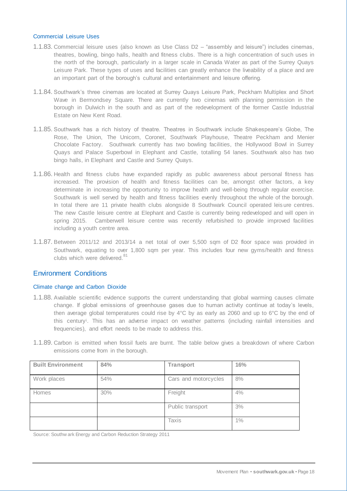#### Commercial Leisure Uses

- 1.1.83. Commercial leisure uses (also known as Use Class D2 "assembly and leisure") includes cinemas, theatres, bowling, bingo halls, health and fitness clubs. There is a high concentration of such uses in the north of the borough, particularly in a larger scale in Canada Water as part of the Surrey Quays Leisure Park. These types of uses and facilities can greatly enhance the liveability of a place and are an important part of the borough's cultural and entertainment and leisure offering.
- 1.1.84. Southwark's three cinemas are located at Surrey Quays Leisure Park, Peckham Multiplex and Short Wave in Bermondsey Square. There are currently two cinemas with planning permission in the borough in Dulwich in the south and as part of the redevelopment of the former Castle Industrial Estate on New Kent Road.
- 1.1.85. Southwark has a rich history of theatre. Theatres in Southwark include Shakespeare's Globe, The Rose, The Union, The Unicorn, Coronet, Southwark Playhouse, Theatre Peckham and Menier Chocolate Factory. Southwark currently has two bowling facilities, the Hollywood Bowl in Surrey Quays and Palace Superbowl in Elephant and Castle, totalling 54 lanes. Southwark also has two bingo halls, in Elephant and Castle and Surrey Quays.
- 1.1.86. Health and fitness clubs have expanded rapidly as public awareness about personal fitness has increased. The provision of health and fitness facilities can be, amongst other factors, a key determinate in increasing the opportunity to improve health and well-being through regular exercise. Southwark is well served by health and fitness facilities evenly throughout the whole of the borough. In total there are 11 private health clubs alongside 8 Southwark Council operated leis ure centres. The new Castle leisure centre at Elephant and Castle is currently being redeveloped and will open in spring 2015. Camberwell leisure centre was recently refurbished to provide improved facilities including a youth centre area.
- 1.1.87. Between 2011/12 and 2013/14 a net total of over 5,500 sqm of D2 floor space was provided in Southwark, equating to over 1,800 sqm per year. This includes four new gyms/health and fitness clubs which were delivered.<sup>81</sup>

# Environment Conditions

#### Climate change and Carbon Dioxide

- 1.1.88. Available scientific evidence supports the current understanding that global warming causes climate change. If global emissions of greenhouse gases due to human activity continue at today's levels, then average global temperatures could rise by 4°C by as early as 2060 and up to 6°C by the end of this century<sup>i</sup> . This has an adverse impact on weather patterns (including rainfall intensities and frequencies), and effort needs to be made to address this.
- 1.1.89. Carbon is emitted when fossil fuels are burnt. The table below gives a breakdown of where Carbon emissions come from in the borough.

| <b>Built Environment</b> | 84% | <b>Transport</b>     | 16% |
|--------------------------|-----|----------------------|-----|
| Work places              | 54% | Cars and motorcycles | 8%  |
| Homes                    | 30% | Freight              | 4%  |
|                          |     | Public transport     | 3%  |
|                          |     | <b>Taxis</b>         | 1%  |

Source: Southw ark Energy and Carbon Reduction Strategy 2011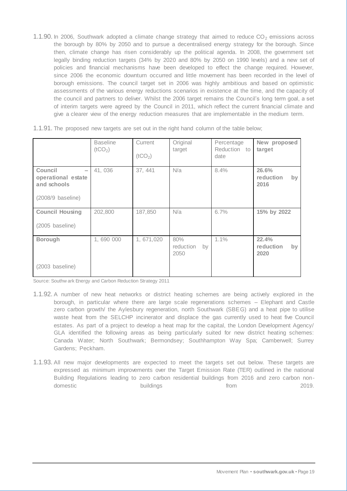1.1.90. In 2006, Southwark adopted a climate change strategy that aimed to reduce  $CO<sub>2</sub>$  emissions across the borough by 80% by 2050 and to pursue a decentralised energy strategy for the borough. Since then, climate change has risen considerably up the political agenda. In 2008, the government set legally binding reduction targets (34% by 2020 and 80% by 2050 on 1990 levels) and a new set of policies and financial mechanisms have been developed to effect the change required. However, since 2006 the economic downturn occurred and little movement has been recorded in the level of borough emissions. The council target set in 2006 was highly ambitious and based on optimistic assessments of the various energy reductions scenarios in existence at the time, and the capacity of the council and partners to deliver. Whilst the 2006 target remains the Council's long term goal, a set of interim targets were agreed by the Council in 2011, which reflect the current financial climate and give a clearer view of the energy reduction measures that are implementable in the medium term.

|                                                          | <b>Baseline</b><br>(tCO <sub>2</sub> ) | Current<br>(tCO <sub>2</sub> ) | Original<br>target             | Percentage<br>Reduction to<br>date | New proposed<br>target           |
|----------------------------------------------------------|----------------------------------------|--------------------------------|--------------------------------|------------------------------------|----------------------------------|
| Council<br>$\equiv$<br>operational estate<br>and schools | 41,036                                 | 37, 441                        | N/a                            | 8.4%                               | 26.6%<br>reduction<br>by<br>2016 |
| (2008/9 baseline)                                        |                                        |                                |                                |                                    |                                  |
| <b>Council Housing</b>                                   | 202,800                                | 187,850                        | N/a                            | 6.7%                               | 15% by 2022                      |
| (2005 baseline)                                          |                                        |                                |                                |                                    |                                  |
| <b>Borough</b>                                           | 1,690 000                              | 1,671,020                      | 80%<br>reduction<br>by<br>2050 | 1.1%                               | 22.4%<br>reduction<br>by<br>2020 |
| (2003 baseline)                                          |                                        |                                |                                |                                    |                                  |

1.1.91. The proposed new targets are set out in the right hand column of the table below;

Source: Southw ark Energy and Carbon Reduction Strategy 2011

- 1.1.92. A number of new heat networks or district heating schemes are being actively explored in the borough, in particular where there are large scale regenerations schemes – Elephant and Castle zero carbon growth/ the Aylesbury regeneration, north Southwark (SBEG) and a heat pipe to utilise waste heat from the SELCHP incinerator and displace the gas currently used to heat five Council estates. As part of a project to develop a heat map for the capital, the London Development Agency/ GLA identified the following areas as being particularly suited for new district heating schemes: Canada Water; North Southwark; Bermondsey; Southhampton Way Spa; Camberwell; Surrey Gardens; Peckham.
- 1.1.93. All new major developments are expected to meet the targets set out below. These targets are expressed as minimum improvements over the Target Emission Rate (TER) outlined in the national Building Regulations leading to zero carbon residential buildings from 2016 and zero carbon nondomestic buildings buildings from the 2019.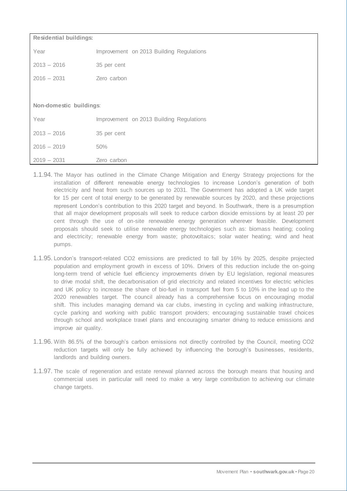| <b>Residential buildings:</b> |                                          |  |
|-------------------------------|------------------------------------------|--|
| Year                          | Improvement on 2013 Building Regulations |  |
| $2013 - 2016$                 | 35 per cent                              |  |
| $2016 - 2031$                 | Zero carbon                              |  |
|                               |                                          |  |
| Non-domestic buildings:       |                                          |  |
| Year                          | Improvement on 2013 Building Regulations |  |
| $2013 - 2016$                 | 35 per cent                              |  |
| $2016 - 2019$                 | 50%                                      |  |
| $2019 - 2031$                 | Zero carbon                              |  |

- 1.1.94. The Mayor has outlined in the Climate Change Mitigation and Energy Strategy projections for the installation of different renewable energy technologies to increase London's generation of both electricity and heat from such sources up to 2031. The Government has adopted a UK wide target for 15 per cent of total energy to be generated by renewable sources by 2020, and these projections represent London's contribution to this 2020 target and beyond. In Southwark, there is a presumption that all major development proposals will seek to reduce carbon dioxide emissions by at least 20 per cent through the use of on-site renewable energy generation wherever feasible. Development proposals should seek to utilise renewable energy technologies such as: biomass heating; cooling and electricity; renewable energy from waste; photovoltaics; solar water heating; wind and heat pumps.
- 1.1.95. London's transport-related CO2 emissions are predicted to fall by 16% by 2025, despite projected population and employment growth in excess of 10%. Drivers of this reduction include the on-going long-term trend of vehicle fuel efficiency improvements driven by EU legislation, regional measures to drive modal shift, the decarbonisation of grid electricity and related incentives for electric vehicles and UK policy to increase the share of bio-fuel in transport fuel from 5 to 10% in the lead up to the 2020 renewables target. The council already has a comprehensive focus on encouraging modal shift. This includes managing demand via car clubs, investing in cycling and walking infrastructure, cycle parking and working with public transport providers; encouraging sustainable travel choices through school and workplace travel plans and encouraging smarter driving to reduce emissions and improve air quality.
- 1.1.96. With 86.5% of the borough's carbon emissions not directly controlled by the Council, meeting CO2 reduction targets will only be fully achieved by influencing the borough's businesses, residents, landlords and building owners.
- 1.1.97. The scale of regeneration and estate renewal planned across the borough means that housing and commercial uses in particular will need to make a very large contribution to achieving our climate change targets.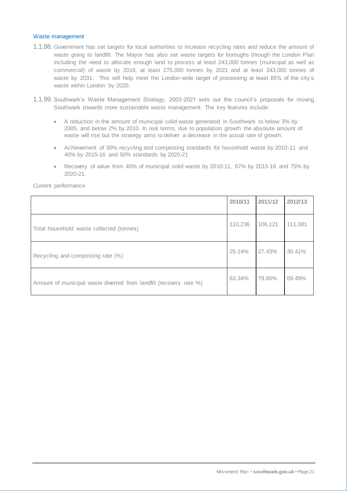#### Waste management

- 1.1.98. Government has set targets for local authorities to increase recycling rates and reduce the amount of waste going to landfill. The Mayor has also set waste targets for boroughs through the London Plan including the need to allocate enough land to process at least 243,000 tonnes (municipal as well as commercial) of waste by 2016, at least 275,000 tonnes by 2021 and at least 343,000 tonnes of waste by 2031. This will help meet the London-wide target of processing at least 85% of the city's waste within London by 2020.
- 1.1.99. Southwark's Waste Management Strategy, 2003-2021 sets out the council's proposals for moving Southwark towards more sustainable waste management. The key features include:
	- A reduction in the amount of municipal solid waste generated in Southwark to below 3% by 2005, and below 2% by 2010. In real terms, due to population growth the absolute amount of waste will rise but the strategy aims to deliver a decrease in the actual rate of growth.
	- Achievement of 30% recycling and composting standards for household waste by 2010-11 and 40% by 2015-16 and 50% standards by 2020-21
	- Recovery of value from 45% of municipal solid waste by 2010-11, 67% by 2015-16 and 75% by 2020-21.

Current performance

|                                                                    | 2010/11 | 2011/12 | 2012/13 |
|--------------------------------------------------------------------|---------|---------|---------|
| Total household waste collected (tonnes)                           | 110,236 | 106,121 | 111,081 |
| Recycling and composting rate (%)                                  | 25.14%  | 27.43%  | 30.41%  |
| Amount of municipal waste diverted from landfill (recovery rate %) | 63.34%  | 79.65%  | 69.49%  |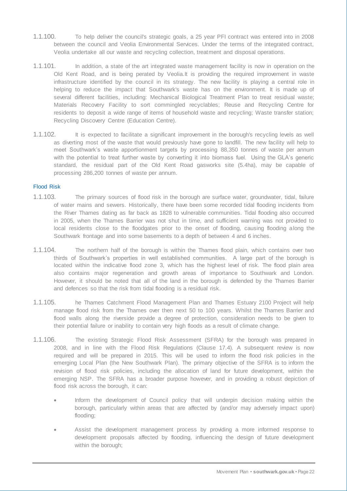- 1.1.100. To help deliver the council's strategic goals, a 25 year PFI contract was entered into in 2008 between the council and Veolia Environmental Services. Under the terms of the integrated contract, Veolia undertake all our waste and recycling collection, treatment and disposal operations.
- 1.1.101. In addition, a state of the art integrated waste management facility is now in operation on the Old Kent Road, and is being perated by Veolia.It is providing the required improvement in waste infrastructure identified by the council in its strategy. The new facility is playing a central role in helping to reduce the impact that Southwark's waste has on the environment. It is made up of several different facilities, including: Mechanical Biological Treatment Plan to treat residual waste; Materials Recovery Facility to sort commingled recyclables; Reuse and Recycling Centre for residents to deposit a wide range of items of household waste and recycling; Waste transfer station; Recycling Discovery Centre (Education Centre).
- 1.1.102. It is expected to facilitate a significant improvement in the borough's recycling levels as well as diverting most of the waste that would previously have gone to landfill. The new facility will help to meet Southwark's waste apportionment targets by processing 88,350 tonnes of waste per annum with the potential to treat further waste by converting it into biomass fuel. Using the GLA's generic standard, the residual part of the Old Kent Road gasworks site (5.4ha), may be capable of processing 286,200 tonnes of waste per annum.

#### Flood Risk

- 1.1.103. The primary sources of flood risk in the borough are surface water, groundwater, tidal, failure of water mains and sewers. Historically, there have been some recorded tidal flooding incidents from the River Thames dating as far back as 1828 to vulnerable communities. Tidal flooding also occurred in 2005, when the Thames Barrier was not shut in time, and sufficient warning was not provided to local residents close to the floodgates prior to the onset of flooding, causing flooding along the Southwark frontage and into some basements to a depth of between 4 and 6 inches.
- 1.1.104. The northern half of the borough is within the Thames flood plain, which contains over two thirds of Southwark's properties in well established communities. A large part of the borough is located within the indicative flood zone 3, which has the highest level of risk. The flood plain area also contains major regeneration and growth areas of importance to Southwark and London. However, it should be noted that all of the land in the borough is defended by the Thames Barrier and defences so that the risk from tidal flooding is a residual risk.
- 1.1.105. he Thames Catchment Flood Management Plan and Thames Estuary 2100 Project will help manage flood risk from the Thames over then next 50 to 100 years. Whilst the Thames Barrier and flood walls along the riverside provide a degree of protection, consideration needs to be given to their potential failure or inability to contain very high floods as a result of climate change.
- 1.1.106. The existing Strategic Flood Risk Assessment (SFRA) for the borough was prepared in 2008, and in line with the Flood Risk Regulations (Clause 17.4). A subsequent review is now required and will be prepared in 2015. This will be used to inform the flood risk policies in the emerging Local Plan (the New Southwark Plan). The primary objective of the SFRA is to inform the revision of flood risk policies, including the allocation of land for future development, within the emerging NSP. The SFRA has a broader purpose however, and in providing a robust depiction of flood risk across the borough, it can:
	- Inform the development of Council policy that will underpin decision making within the borough, particularly within areas that are affected by (and/or may adversely impact upon) flooding;
	- Assist the development management process by providing a more informed response to development proposals affected by flooding, influencing the design of future development within the borough;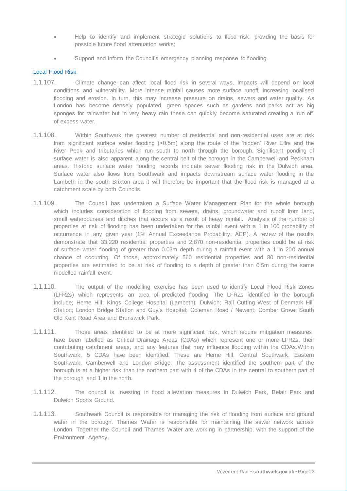- Help to identify and implement strategic solutions to flood risk, providing the basis for possible future flood attenuation works;
- Support and inform the Council's emergency planning response to flooding.

### Local Flood Risk

- 1.1.107. Climate change can affect local flood risk in several ways. Impacts will depend on local conditions and vulnerability. More intense rainfall causes more surface runoff, increasing localised flooding and erosion. In turn, this may increase pressure on drains, sewers and water quality. As London has become densely populated, green spaces such as gardens and parks act as big sponges for rainwater but in very heavy rain these can quickly become saturated creating a 'run off' of excess water.
- 1.1.108. Within Southwark the greatest number of residential and non-residential uses are at risk from significant surface water flooding (>0.5m) along the route of the 'hidden' River Effra and the River Peck and tributaries which run south to north through the borough. Significant ponding of surface water is also apparent along the central belt of the borough in the Camberwell and Peckham areas. Historic surface water flooding records indicate sewer flooding risk in the Dulwich area. Surface water also flows from Southwark and impacts downstream surface water flooding in the Lambeth in the south Brixton area it will therefore be important that the flood risk is managed at a catchment scale by both Councils.
- 1.1.109. The Council has undertaken a Surface Water Management Plan for the whole borough which includes consideration of flooding from sewers, drains, groundwater and runoff from land, small watercourses and ditches that occurs as a result of heavy rainfall. Analysis of the number of properties at risk of flooding has been undertaken for the rainfall event with a 1 in 100 probability of occurrence in any given year (1% Annual Exceedance Probability, AEP). A review of the results demonstrate that 33,220 residential properties and 2,870 non-residential properties could be at risk of surface water flooding of greater than 0.03m depth during a rainfall event with a 1 in 200 annual chance of occurring. Of those, approximately 560 residential properties and 80 non-residential properties are estimated to be at risk of flooding to a depth of greater than 0.5m during the same modelled rainfall event.
- 1.1.110. The output of the modelling exercise has been used to identify Local Flood Risk Zones (LFRZs) which represents an area of predicted flooding. The LFRZs identified in the borough include; Herne Hill; Kings College Hospital (Lambeth); Dulwich; Rail Cutting West of Denmark Hill Station; London Bridge Station and Guy's Hospital; Coleman Road / Newent; Comber Grove; South Old Kent Road Area and Brunswick Park.
- 1.1.111. Those areas identified to be at more significant risk, which require mitigation measures, have been labelled as Critical Drainage Areas (CDAs) which represent one or more LFRZs, their contributing catchment areas, and any features that may influence flooding within the CDAs.Within Southwark, 5 CDAs have been identified. These are Herne Hill, Central Southwark, Eastern Southwark, Camberwell and London Bridge, The assessment identified the southern part of the borough is at a higher risk than the northern part with 4 of the CDAs in the central to southern part of the borough and 1 in the north.
- 1.1.112. The council is investing in flood alleviation measures in Dulwich Park, Belair Park and Dulwich Sports Ground.
- 1.1.113. Southwark Council is responsible for managing the risk of flooding from surface and ground water in the borough. Thames Water is responsible for maintaining the sewer network across London. Together the Council and Thames Water are working in partnership, with the support of the Environment Agency.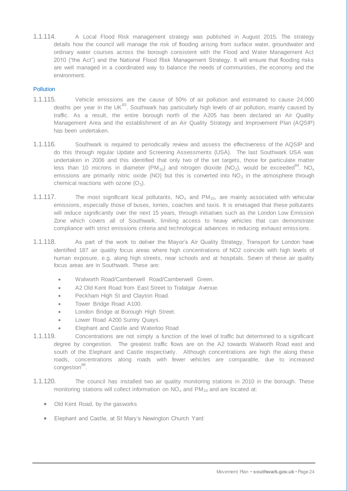1.1.114. A Local Flood Risk management strategy was published in August 2015. The strategy details how the council will manage the risk of flooding arising from surface water, groundwater and ordinary water courses across the borough consistent with the Flood and Water Management Act 2010 ("the Act") and the National Flood Risk Management Strategy. It will ensure that flooding risks are well managed in a coordinated way to balance the needs of communities, the economy and the environment.

### **Pollution**

- 1.1.115. Vehicle emissions are the cause of 50% of air pollution and estimated to cause 24,000 deaths per year in the UK<sup>83</sup>. Southwark has particularly high levels of air pollution, mainly caused by traffic. As a result, the entire borough north of the A205 has been declared an Air Quality Management Area and the establishment of an Air Quality Strategy and Improvement Plan (AQSIP) has been undertaken.
- 1.1.116. Southwark is required to periodically review and assess the effectiveness of the AQSIP and do this through regular Update and Screening Assessments (USA). The last Southwark USA was undertaken in 2006 and this identified that only two of the set targets, those for particulate matter less than 10 microns in diameter (PM<sub>10</sub>) and nitrogen dioxide (NO<sub>2</sub>), would be exceeded<sup>84</sup>. NO<sub>x</sub> emissions are primarily nitric oxide (NO) but this is converted into  $NO<sub>2</sub>$  in the atmosphere through chemical reactions with ozone  $(O_3)$ .
- 1.1.117. The most significant local pollutants,  $NO<sub>x</sub>$  and  $PM<sub>10</sub>$ , are mainly associated with vehicular emissions, especially those of buses, lorries, coaches and taxis. It is envisaged that these pollutants will reduce significantly over the next 15 years, through initiatives such as the London Low Emission Zone which covers all of Southwark, limiting access to heavy vehicles that can demonstrate compliance with strict emissions criteria and technological advances in reducing exhaust emissions.
- 1.1.118. As part of the work to deliver the Mayor's Air Quality Strategy, Transport for London have identified 187 air quality focus areas where high concentrations of NO2 coincide with high levels of human exposure, e.g. along high streets, near schools and at hospitals. Seven of these air quality focus areas are in Southwark. These are:
	- Walworth Road/Camberwell Road/Camberwell Green.
	- A2 Old Kent Road from East Street to Trafalgar Avenue.
	- Peckham High St and Clayton Road.
	- Tower Bridge Road A100.
	- London Bridge at Borough High Street.
	- Lower Road A200 Surrey Quays.
	- Elephant and Castle and Waterloo Road
- 1.1.119. Concentrations are not simply a function of the level of traffic but determined to a significant degree by congestion. The greatest traffic flows are on the A2 towards Walworth Road east and south of the Elephant and Castle respectively. Although concentrations are high the along these roads, concentrations along roads with fewer vehicles are comparable, due to increased congestion<sup>86</sup>.
- 1.1.120. The council has installed two air quality monitoring stations in 2010 in the borough. These monitoring stations will collect information on  $NO<sub>x</sub>$  and  $PM<sub>10</sub>$  and are located at:
	- Old Kent Road, by the gasworks
	- Elephant and Castle, at St Mary's Newington Church Yard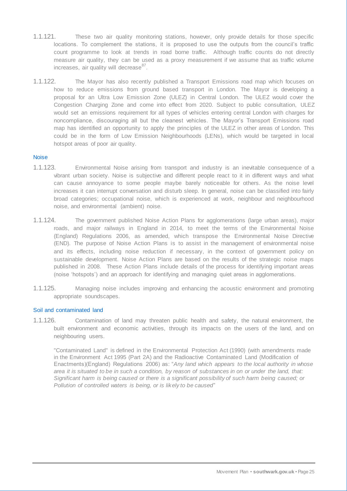- 1.1.121. These two air quality monitoring stations, however, only provide details for those specific locations. To complement the stations, it is proposed to use the outputs from the council's traffic count programme to look at trends in road borne traffic. Although traffic counts do not directly measure air quality, they can be used as a proxy measurement if we assume that as traffic volume increases, air quality will decrease<sup>87</sup>.
- 1.1.122. The Mayor has also recently published a Transport Emissions road map which focuses on how to reduce emissions from ground based transport in London. The Mayor is developing a proposal for an Ultra Low Emission Zone (ULEZ) in Central London. The ULEZ would cover the Congestion Charging Zone and come into effect from 2020. Subject to public consultation, ULEZ would set an emissions requirement for all types of vehicles entering central London with charges for noncompliance, discouraging all but the cleanest vehicles. The Mayor's Transport Emissions road map has identified an opportunity to apply the principles of the ULEZ in other areas of London. This could be in the form of Low Emission Neighbourhoods (LENs), which would be targeted in local hotspot areas of poor air quality.

#### **Noise**

- 1.1.123. Environmental Noise arising from transport and industry is an inevitable consequence of a vibrant urban society. Noise is subjective and different people react to it in different ways and what can cause annoyance to some people maybe barely noticeable for others. As the noise level increases it can interrupt conversation and disturb sleep. In general, noise can be classified into fairly broad categories; occupational noise, which is experienced at work, neighbour and neighbourhood noise, and environmental (ambient) noise.
- 1.1.124. The government published Noise Action Plans for agglomerations (large urban areas), major roads, and major railways in England in 2014, to meet the terms of the Environmental Noise (England) Regulations 2006, as amended, which transpose the Environmental Noise Directive (END). The purpose of Noise Action Plans is to assist in the management of environmental noise and its effects, including noise reduction if necessary, in the context of government policy on sustainable development. Noise Action Plans are based on the results of the strategic noise maps published in 2008. These Action Plans include details of the process for identifying important areas (noise 'hotspots') and an approach for identifying and managing quiet areas in agglomerations.
- 1.1.125. Managing noise includes improving and enhancing the acoustic environment and promoting appropriate soundscapes.

#### Soil and contaminated land

1.1.126. Contamination of land may threaten public health and safety, the natural environment, the built environment and economic activities, through its impacts on the users of the land, and on neighbouring users.

"Contaminated Land" is defined in the Environmental Protection Act (1990) (with amendments made in the Environment Act 1995 (Part 2A) and the Radioactive Contaminated Land (Modification of Enactments)(England) Regulations 2006) as: "*Any land which appears to the local authority in whose area it is situated to be in such a condition, by reason of substances in on or under the land, that: Significant harm is being caused or there is a significant possibility of such harm being caused; or Pollution of controlled waters is being, or is likely to be caused*"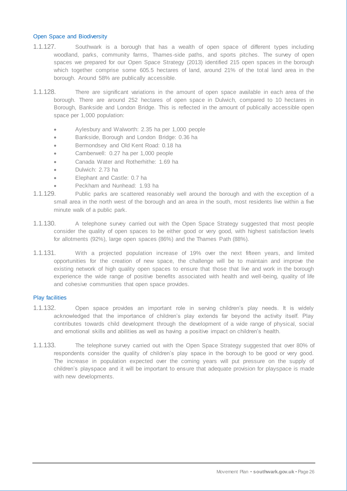#### Open Space and Biodiversity

- 1.1.127. Southwark is a borough that has a wealth of open space of different types including woodland, parks, community farms, Thames-side paths, and sports pitches. The survey of open spaces we prepared for our Open Space Strategy (2013) identified 215 open spaces in the borough which together comprise some 605.5 hectares of land, around 21% of the total land area in the borough. Around 58% are publically accessible.
- 1.1.128. There are significant variations in the amount of open space available in each area of the borough. There are around 252 hectares of open space in Dulwich, compared to 10 hectares in Borough, Bankside and London Bridge. This is reflected in the amount of publically accessible open space per 1,000 population:
	- Aylesbury and Walworth: 2.35 ha per 1,000 people
	- Bankside, Borough and London Bridge: 0.36 ha
	- Bermondsey and Old Kent Road: 0.18 ha
	- Camberwell: 0.27 ha per 1,000 people
	- Canada Water and Rotherhithe: 1.69 ha
	- Dulwich: 2.73 ha
	- Elephant and Castle: 0.7 ha
	- Peckham and Nunhead: 1.93 ha
- 1.1.129. Public parks are scattered reasonably well around the borough and with the exception of a small area in the north west of the borough and an area in the south, most residents live within a five minute walk of a public park.
- 1.1.130. A telephone survey carried out with the Open Space Strategy suggested that most people consider the quality of open spaces to be either good or very good, with highest satisfaction levels for allotments (92%), large open spaces (86%) and the Thames Path (88%).
- 1.1.131. With a projected population increase of 19% over the next fifteen years, and limited opportunities for the creation of new space, the challenge will be to maintain and improve the existing network of high quality open spaces to ensure that those that live and work in the borough experience the wide range of positive benefits associated with health and well-being, quality of life and cohesive communities that open space provides.

#### Play facilities

- 1.1.132. Open space provides an important role in serving children's play needs. It is widely acknowledged that the importance of children's play extends far beyond the activity itself. Play contributes towards child development through the development of a wide range of physical, social and emotional skills and abilities as well as having a positive impact on children's health.
- 1.1.133. The telephone survey carried out with the Open Space Strategy suggested that over 80% of respondents consider the quality of children's play space in the borough to be good or very good. The increase in population expected over the coming years will put pressure on the supply of children's playspace and it will be important to ensure that adequate provision for playspace is made with new developments.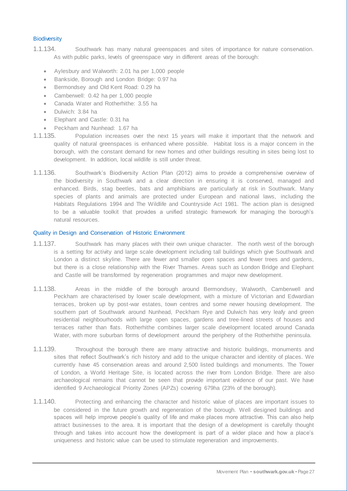#### **Biodiversity**

- 1.1.134. Southwark has many natural greenspaces and sites of importance for nature conservation. As with public parks, levels of greenspace vary in different areas of the borough:
	- Aylesbury and Walworth: 2.01 ha per 1,000 people
	- Bankside, Borough and London Bridge: 0.97 ha
	- Bermondsey and Old Kent Road: 0.29 ha
	- Camberwell: 0.42 ha per 1,000 people
	- Canada Water and Rotherhithe: 3.55 ha
	- Dulwich: 3.84 ha
	- Elephant and Castle: 0.31 ha
	- Peckham and Nunhead: 1.67 ha
- 1.1.135. Population increases over the next 15 years will make it important that the network and quality of natural greenspaces is enhanced where possible. Habitat loss is a major concern in the borough, with the constant demand for new homes and other buildings resulting in sites being lost to development. In addition, local wildlife is still under threat.
- 1.1.136. Southwark's Biodiversity Action Plan (2012) aims to provide a comprehensive overview of the biodiversity in Southwark and a clear direction in ensuring it is conserved, managed and enhanced. Birds, stag beetles, bats and amphibians are particularly at risk in Southwark. Many species of plants and animals are protected under European and national laws, including the Habitats Regulations 1994 and The Wildlife and Countryside Act 1981. The action plan is designed to be a valuable toolkit that provides a unified strategic framework for managing the borough's natural resources.

#### Quality in Design and Conservation of Historic Environment

- 1.1.137. Southwark has many places with their own unique character. The north west of the borough is a setting for activity and large scale development including tall buildings which give Southwark and London a distinct skyline. There are fewer and smaller open spaces and fewer trees and gardens, but there is a close relationship with the River Thames. Areas such as London Bridge and Elephant and Castle will be transformed by regeneration programmes and major new development.
- 1.1.138. Areas in the middle of the borough around Bermondsey, Walworth, Camberwell and Peckham are characterised by lower scale development, with a mixture of Victorian and Edwardian terraces, broken up by post-war estates, town centres and some newer housing development. The southern part of Southwark around Nunhead, Peckham Rye and Dulwich has very leafy and green residential neighbourhoods with large open spaces, gardens and tree-lined streets of houses and terraces rather than flats. Rotherhithe combines larger scale development located around Canada Water, with more suburban forms of development around the periphery of the Rotherhithe peninsula.
- 1.1.139. Throughout the borough there are many attractive and historic buildings, monuments and sites that reflect Southwark's rich history and add to the unique character and identity of places. We currently have 45 conservation areas and around 2,500 listed buildings and monuments. The Tower of London, a World Heritage Site, is located across the river from London Bridge. There are also archaeological remains that cannot be seen that provide important evidence of our past. We have identified 9 Archaeological Priority Zones (APZs) covering 679ha (23% of the borough).
- 1.1.140. Protecting and enhancing the character and historic value of places are important issues to be considered in the future growth and regeneration of the borough. Well designed buildings and spaces will help improve people's quality of life and make places more attractive. This can also help attract businesses to the area. It is important that the design of a development is carefully thought through and takes into account how the development is part of a wider place and how a place's uniqueness and historic value can be used to stimulate regeneration and improvements.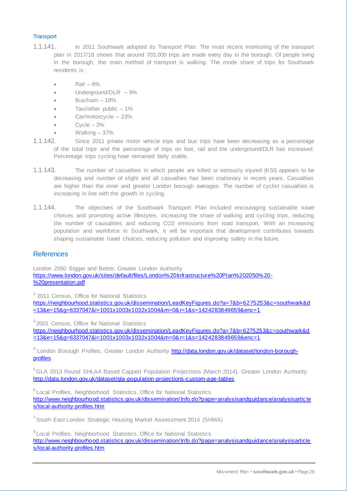# **Transport**

- 1.1.141. In 2011 Southwark adopted its Transport Plan. The most recent monitoring of the transport plan in 2017/18 shows that around 703,000 trips are made every day in the borough. Of people living in the borough, the main method of transport is walking. The mode share of trips for Southwark residents is:
	- $\bullet$  Rail  $-8\%$
	- Underground/DLR 9%
	- $\bullet$  Bus/tram  $-19\%$
	- Taxi/other public 1%
	- Car/motorcycle 23%
	- Cycle 3%
	- Walking 37%
- 1.1.142. Since 2011 private motor vehicle trips and bus trips have been decreasing as a percentage of the total trips and the percentage of trips on foot, rail and the underground/DLR has increased. Percentage trips cycling have remained fairly stable.
- 1.1.143. The number of casualties in which people are killed or seriously injured (KSI) appears to be decreasing and number of slight and all casualties has been stationary in recent years. Casualties are higher than the inner and greater London borough averages. The number of cyclist casualties is increasing in line with the growth in cycling.
- 1.1.144. The objectives of the Southwark Transport Plan included encouraging sustainable travel choices and promoting active lifestyles, increasing the share of walking and cycling trips, reducing the number of causalities and reducing CO2 emissions from road transport. With an increasing population and workforce in Southwark, it will be important that development contributes towards shaping sustainable travel choices, reducing pollution and improving safety in the future.

# **References**

London 2050 Bigger and Better, Greater London Authority [https://www.london.gov.uk/sites/default/files/London%20Infrastructure%20Plan%202050%20-](https://www.london.gov.uk/sites/default/files/London%20Infrastructure%20Plan%202050%20-%20presentation.pdf) [%20presentation.pdf](https://www.london.gov.uk/sites/default/files/London%20Infrastructure%20Plan%202050%20-%20presentation.pdf)

<sup>2</sup> 2011 Census, Office for National Statistics

[https://neighbourhood.statistics.gov.uk/dissemination/LeadKeyFigures.do?a=7&b=6275253&c=southwark&d](https://neighbourhood.statistics.gov.uk/dissemination/LeadKeyFigures.do?a=7&b=6275253&c=southwark&d=13&e=15&g=6337047&i=1001x1003x1032x1004&m=0&r=1&s=1424283849659&enc=1) [=13&e=15&g=6337047&i=1001x1003x1032x1004&m=0&r=1&s=1424283849659&enc=1](https://neighbourhood.statistics.gov.uk/dissemination/LeadKeyFigures.do?a=7&b=6275253&c=southwark&d=13&e=15&g=6337047&i=1001x1003x1032x1004&m=0&r=1&s=1424283849659&enc=1)

<sup>3</sup> 2001 Census, Office for National Statistics [https://neighbourhood.statistics.gov.uk/dissemination/LeadKeyFigures.do?a=7&b=6275253&c=southwark&d](https://neighbourhood.statistics.gov.uk/dissemination/LeadKeyFigures.do?a=7&b=6275253&c=southwark&d=13&e=15&g=6337047&i=1001x1003x1032x1004&m=0&r=1&s=1424283849659&enc=1)  $\frac{1}{1}$ [=13&e=15&g=6337047&i=1001x1003x1032x1004&m=0&r=1&s=1424283849659&enc=1](https://neighbourhood.statistics.gov.uk/dissemination/LeadKeyFigures.do?a=7&b=6275253&c=southwark&d=13&e=15&g=6337047&i=1001x1003x1032x1004&m=0&r=1&s=1424283849659&enc=1)

<sup>4</sup> London Borough Profiles, Greater London Authority *http://data.london.gov.uk/dataset/london-borough*[profiles](http://data.london.gov.uk/dataset/london-borough-profiles)

<sup>5</sup> GLA 2013 Round SHLAA Based Capped Population Projections (March 2014), Greater London Authority <http://data.london.gov.uk/dataset/gla-population-projections-custom-age-tables>

<sup>6</sup> Local Profiles, Neighborhood Statistics, Office for National Statistics [http://www.neighbourhood.statistics.gov.uk/dissemination/Info.do?page=analysisandguidance/analysisartic](http://www.neighbourhood.statistics.gov.uk/dissemination/Info.do?page=analysisandguidance/analysisarticles/local-authority-profiles.htm) le [s/local-authority-profiles.htm](http://www.neighbourhood.statistics.gov.uk/dissemination/Info.do?page=analysisandguidance/analysisarticles/local-authority-profiles.htm)

<sup>7</sup> South East London Strategic Housing Market Assessment 2014 (SHMA)

<sup>8</sup>Local Profiles, Neighborhood Statistics, Office for National Statistics [http://www.neighbourhood.statistics.gov.uk/dissemination/Info.do?page=analysisandguidance/analysisarticle](http://www.neighbourhood.statistics.gov.uk/dissemination/Info.do?page=analysisandguidance/analysisarticles/local-authority-profiles.htm) [s/local-authority-profiles.htm](http://www.neighbourhood.statistics.gov.uk/dissemination/Info.do?page=analysisandguidance/analysisarticles/local-authority-profiles.htm)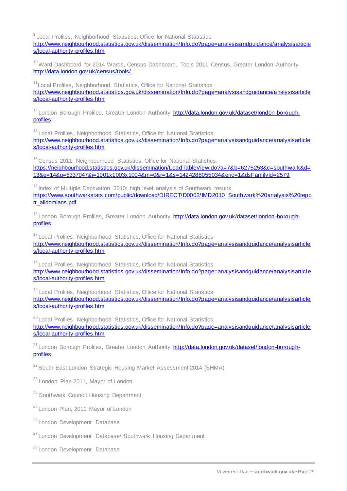<sup>9</sup> Local Profiles, Neighborhood Statistics, Office for National Statistics [http://www.neighbourhood.statistics.gov.uk/dissemination/Info.do?page=analysisandguidance/analysisarticle](http://www.neighbourhood.statistics.gov.uk/dissemination/Info.do?page=analysisandguidance/analysisarticles/local-authority-profiles.htm) [s/local-authority-profiles.htm](http://www.neighbourhood.statistics.gov.uk/dissemination/Info.do?page=analysisandguidance/analysisarticles/local-authority-profiles.htm)

<sup>10</sup> Ward Dashboard for 2014 Wards, Census Dashboard, Tools 2011 Census, Greater London Authority <http://data.london.gov.uk/census/tools/>

<sup>11</sup> Local Profiles, Neighborhood Statistics, Office for National Statistics [http://www.neighbourhood.statistics.gov.uk/dissemination/Info.do?page=analysisandguidance/analysisarticle](http://www.neighbourhood.statistics.gov.uk/dissemination/Info.do?page=analysisandguidance/analysisarticles/local-authority-profiles.htm) [s/local-authority-profiles.htm](http://www.neighbourhood.statistics.gov.uk/dissemination/Info.do?page=analysisandguidance/analysisarticles/local-authority-profiles.htm)

<sup>12</sup> London Borough Profiles, Greater London Authority **http://data.london.gov.uk/dataset/london-borough**[profiles](http://data.london.gov.uk/dataset/london-borough-profiles)

<sup>13</sup> Local Profiles, Neighborhood Statistics, Office for National Statistics [http://www.neighbourhood.statistics.gov.uk/dissemination/Info.do?page=analysisandguidance/analysisarticle](http://www.neighbourhood.statistics.gov.uk/dissemination/Info.do?page=analysisandguidance/analysisarticles/local-authority-profiles.htm) [s/local-authority-profiles.htm](http://www.neighbourhood.statistics.gov.uk/dissemination/Info.do?page=analysisandguidance/analysisarticles/local-authority-profiles.htm)

<sup>14</sup> Census 2011, Neighbourhood Statistics, Office for National Statistics, [https://neighbourhood.statistics.gov.uk/dissemination/LeadTableView.do?a=7&b=6275253&c=southwark&d=](https://neighbourhood.statistics.gov.uk/dissemination/LeadTableView.do?a=7&b=6275253&c=southwark&d=13&e=14&g=6337047&i=1001x1003x1004&m=0&r=1&s=1424288055034&enc=1&dsFamilyId=2579) [13&e=14&g=6337047&i=1001x1003x1004&m=0&r=1&s=1424288055034&enc=1&dsFamilyId=2579](https://neighbourhood.statistics.gov.uk/dissemination/LeadTableView.do?a=7&b=6275253&c=southwark&d=13&e=14&g=6337047&i=1001x1003x1004&m=0&r=1&s=1424288055034&enc=1&dsFamilyId=2579)

 $15$  Index of Multiple Deprivation 2010: high level analysis of Southwark results [https://www.southwarkstats.com/public/download/DIRECT/D0002/IMD2010\\_Southwark%20analysis%20repo](https://www.southwarkstats.com/public/download/DIRECT/D0002/IMD2010_Southwark%20analysis%20report_alldomians.pdf) [rt\\_alldomians.pdf](https://www.southwarkstats.com/public/download/DIRECT/D0002/IMD2010_Southwark%20analysis%20report_alldomians.pdf)

<sup>16</sup> London Borough Profiles, Greater London Authority [http://data.london.gov.uk/dataset/london-borough](http://data.london.gov.uk/dataset/london-borough-profiles)[profiles](http://data.london.gov.uk/dataset/london-borough-profiles)

<sup>17</sup> Local Profiles, Neighborhood Statistics, Office for National Statistics [http://www.neighbourhood.statistics.gov.uk/dissemination/Info.do?page=analysisandguidance/analysisarticle](http://www.neighbourhood.statistics.gov.uk/dissemination/Info.do?page=analysisandguidance/analysisarticles/local-authority-profiles.htm) [s/local-authority-profiles.htm](http://www.neighbourhood.statistics.gov.uk/dissemination/Info.do?page=analysisandguidance/analysisarticles/local-authority-profiles.htm)

<sup>18</sup> Local Profiles, Neighborhood Statistics, Office for National Statistics [http://www.neighbourhood.statistics.gov.uk/dissemination/Info.do?page=analysisandguidance/analysisarticl](http://www.neighbourhood.statistics.gov.uk/dissemination/Info.do?page=analysisandguidance/analysisarticles/local-authority-profiles.htm)e [s/local-authority-profiles.htm](http://www.neighbourhood.statistics.gov.uk/dissemination/Info.do?page=analysisandguidance/analysisarticles/local-authority-profiles.htm)

<sup>19</sup> Local Profiles, Neighborhood Statistics, Office for National Statistics [http://www.neighbourhood.statistics.gov.uk/dissemination/Info.do?page=analysisandguidance/analysisarticle](http://www.neighbourhood.statistics.gov.uk/dissemination/Info.do?page=analysisandguidance/analysisarticles/local-authority-profiles.htm) [s/local-authority-profiles.htm](http://www.neighbourhood.statistics.gov.uk/dissemination/Info.do?page=analysisandguidance/analysisarticles/local-authority-profiles.htm)

<sup>20</sup> Local Profiles, Neighborhood Statistics, Office for National Statistics [http://www.neighbourhood.statistics.gov.uk/dissemination/Info.do?page=analysisandguidance/analysisarticle](http://www.neighbourhood.statistics.gov.uk/dissemination/Info.do?page=analysisandguidance/analysisarticles/local-authority-profiles.htm) [s/local-authority-profiles.htm](http://www.neighbourhood.statistics.gov.uk/dissemination/Info.do?page=analysisandguidance/analysisarticles/local-authority-profiles.htm)

<sup>21</sup> London Borough Profiles, Greater London Authority **http://data.london.gov.uk/dataset/london-borough**[profiles](http://data.london.gov.uk/dataset/london-borough-profiles)

<sup>22</sup> South East London Strategic Housing Market Assessment 2014 (SHMA)

<sup>23</sup> London Plan 2011, Mayor of London

<sup>24</sup> Southwark Council Housing Department

<sup>25</sup> London Plan, 2011 Mayor of London

<sup>26</sup> London Development Database

<sup>27</sup> London Development Database/ Southwark Housing Department

<sup>28</sup> London Development Database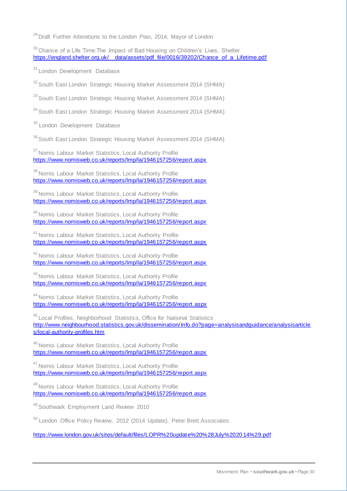<sup>29</sup> Draft Further Alterations to the London Plan, 2014, Mayor of London

 $30$  Chance of a Life Time: The Impact of Bad Housing on Children's Lives, Shelter [https://england.shelter.org.uk/\\_\\_data/assets/pdf\\_file/0016/39202/Chance\\_of\\_a\\_Lifetime.pdf](https://england.shelter.org.uk/__data/assets/pdf_file/0016/39202/Chance_of_a_Lifetime.pdf)

<sup>31</sup> London Development Database

<sup>32</sup> South East London Strategic Housing Market Assessment 2014 (SHMA)

<sup>33</sup> South East London Strategic Housing Market Assessment 2014 (SHMA)

<sup>34</sup> South East London Strategic Housing Market Assessment 2014 (SHMA)

<sup>35</sup> London Development Database

<sup>36</sup> South East London Strategic Housing Market Assessment 2014 (SHMA)

<sup>37</sup> Nomis Labour Market Statistics, Local Authority Profile <https://www.nomisweb.co.uk/reports/lmp/la/1946157256/report.aspx>

<sup>38</sup> Nomis Labour Market Statistics, Local Authority Profile <https://www.nomisweb.co.uk/reports/lmp/la/1946157256/report.aspx>

<sup>39</sup> Nomis Labour Market Statistics, Local Authority Profile <https://www.nomisweb.co.uk/reports/lmp/la/1946157256/report.aspx>

<sup>40</sup> Nomis Labour Market Statistics, Local Authority Profile <https://www.nomisweb.co.uk/reports/lmp/la/1946157256/report.aspx>

<sup>41</sup> Nomis Labour Market Statistics, Local Authority Profile <https://www.nomisweb.co.uk/reports/lmp/la/1946157256/report.aspx>

<sup>42</sup> Nomis Labour Market Statistics, Local Authority Profile <https://www.nomisweb.co.uk/reports/lmp/la/1946157256/report.aspx>

43 Nomis Labour Market Statistics, Local Authority Profile <https://www.nomisweb.co.uk/reports/lmp/la/1946157256/report.aspx>

44 Nomis Labour Market Statistics, Local Authority Profile <https://www.nomisweb.co.uk/reports/lmp/la/1946157256/report.aspx>

45 Local Profiles, Neighborhood Statistics, Office for National Statistics [http://www.neighbourhood.statistics.gov.uk/dissemination/Info.do?page=analysisandguidance/analysisarticle](http://www.neighbourhood.statistics.gov.uk/dissemination/Info.do?page=analysisandguidance/analysisarticles/local-authority-profiles.htm) [s/local-authority-profiles.htm](http://www.neighbourhood.statistics.gov.uk/dissemination/Info.do?page=analysisandguidance/analysisarticles/local-authority-profiles.htm)

<sup>46</sup> Nomis Labour Market Statistics, Local Authority Profile <https://www.nomisweb.co.uk/reports/lmp/la/1946157256/report.aspx>

<sup>47</sup> Nomis Labour Market Statistics, Local Authority Profile <https://www.nomisweb.co.uk/reports/lmp/la/1946157256/report.aspx>

<sup>48</sup> Nomis Labour Market Statistics, Local Authority Profile <https://www.nomisweb.co.uk/reports/lmp/la/1946157256/report.aspx>

49 Southwark Employment Land Review 2010

<sup>50</sup> London Office Policy Review, 2012 (2014 Update), Peter Brett Associates

[https://www.london.gov.uk/sites/default/files/LOPR%20update%20%28July%2020](https://www.london.gov.uk/sites/default/files/LOPR%20update%20%28July%202014%29.pdf) 14%29.pdf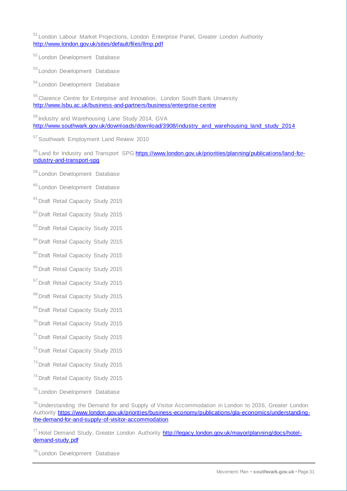<sup>51</sup>London Labour Market Projections, London Enterprise Panel, Greater London Authority <http://www.london.gov.uk/sites/default/files/llmp.pdf>

<sup>52</sup>London Development Database

<sup>53</sup> London Development Database

<sup>54</sup> London Development Database

<sup>55</sup> Clarence Centre for Enterprise and Innovation, London South Bank University <http://www.lsbu.ac.uk/business-and-partners/business/enterprise-centre>

56 Industry and Warehousing Lane Study 2014, GVA [http://www.southwark.gov.uk/downloads/download/3908/industry\\_and\\_warehousing\\_land\\_study\\_2014](http://www.southwark.gov.uk/downloads/download/3908/industry_and_warehousing_land_study_2014)

<sup>57</sup> Southwark Employment Land Review 2010

<sup>58</sup> Land for Industry and Transport SP[G https://www.london.gov.uk/priorities/planning/publications/land-for](https://www.london.gov.uk/priorities/planning/publications/land-for-industry-and-transport-spg)[industry-and-transport-spg](https://www.london.gov.uk/priorities/planning/publications/land-for-industry-and-transport-spg)

<sup>59</sup>London Development Database

<sup>60</sup> London Development Database

<sup>61</sup> Draft Retail Capacity Study 2015

<sup>62</sup> Draft Retail Capacity Study 2015

<sup>63</sup> Draft Retail Capacity Study 2015

<sup>64</sup> Draft Retail Capacity Study 2015

<sup>65</sup> Draft Retail Capacity Study 2015

<sup>66</sup> Draft Retail Capacity Study 2015

<sup>67</sup> Draft Retail Capacity Study 2015

<sup>68</sup> Draft Retail Capacity Study 2015

<sup>69</sup> Draft Retail Capacity Study 2015

<sup>70</sup> Draft Retail Capacity Study 2015

<sup>71</sup> Draft Retail Capacity Study 2015

<sup>72</sup> Draft Retail Capacity Study 2015

<sup>73</sup> Draft Retail Capacity Study 2015

<sup>74</sup> Draft Retail Capacity Study 2015

<sup>75</sup> London Development Database

<sup>76</sup> Understanding the Demand for and Supply of Visitor Accommodation in London to 2036, Greater London Authority [https://www.london.gov.uk/priorities/business-economy/publications/gla-economics/understanding](https://www.london.gov.uk/priorities/business-economy/publications/gla-economics/understanding-the-demand-for-and-supply-of-visitor-accommodation)[the-demand-for-and-supply-of-visitor-accommodation](https://www.london.gov.uk/priorities/business-economy/publications/gla-economics/understanding-the-demand-for-and-supply-of-visitor-accommodation)

<sup>77</sup> Hotel Demand Study, Greater London Authority [http://legacy.london.gov.uk/mayor/planning/docs/hotel](http://legacy.london.gov.uk/mayor/planning/docs/hotel-demand-study.pdf)[demand-study.pdf](http://legacy.london.gov.uk/mayor/planning/docs/hotel-demand-study.pdf)

<sup>78</sup> London Development Database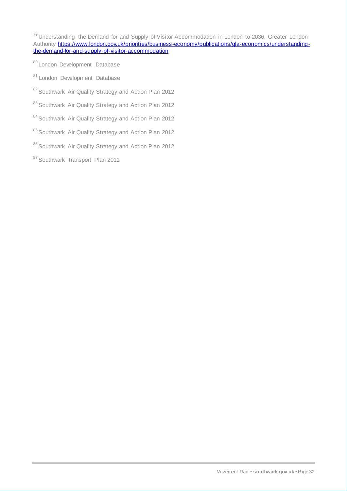<sup>79</sup> Understanding the Demand for and Supply of Visitor Accommodation in London to 2036, Greater London Authority [https://www.london.gov.uk/priorities/business-economy/publications/gla-economics/understanding](https://www.london.gov.uk/priorities/business-economy/publications/gla-economics/understanding-the-demand-for-and-supply-of-visitor-accommodation)[the-demand-for-and-supply-of-visitor-accommodation](https://www.london.gov.uk/priorities/business-economy/publications/gla-economics/understanding-the-demand-for-and-supply-of-visitor-accommodation)

- 80 London Development Database
- 81 London Development Database
- 82 Southwark Air Quality Strategy and Action Plan 2012
- 83 Southwark Air Quality Strategy and Action Plan 2012
- 84 Southwark Air Quality Strategy and Action Plan 2012
- 85 Southwark Air Quality Strategy and Action Plan 2012
- 86 Southwark Air Quality Strategy and Action Plan 2012
- 87 Southwark Transport Plan 2011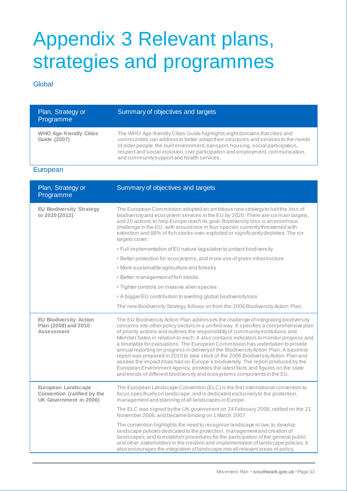# Appendix 3 Relevant plans, strategies and programmes

# **Global**

| Plan, Strategy or<br>Programme                        | Summary of objectives and targets                                                                                                                                                                                                                                                                                                                                                       |
|-------------------------------------------------------|-----------------------------------------------------------------------------------------------------------------------------------------------------------------------------------------------------------------------------------------------------------------------------------------------------------------------------------------------------------------------------------------|
| <b>WHO Age-friendly Cities</b><br><b>Guide (2007)</b> | The WHO Age-friendly Cities Guide highlights eight domains that cities and<br>communities can address to better adapt their structures and services to the needs<br>of older people: the built environment, transport, housing, social participation,<br>respect and social inclusion, civic participation and employment, communication,<br>and community support and health services. |

## European

| Plan, Strategy or<br>Programme                                              | Summary of objectives and targets                                                                                                                                                                                                                                                                                                                                                                                                                                                                                                                                                                                                                                                                                                                                                                                                                                              |
|-----------------------------------------------------------------------------|--------------------------------------------------------------------------------------------------------------------------------------------------------------------------------------------------------------------------------------------------------------------------------------------------------------------------------------------------------------------------------------------------------------------------------------------------------------------------------------------------------------------------------------------------------------------------------------------------------------------------------------------------------------------------------------------------------------------------------------------------------------------------------------------------------------------------------------------------------------------------------|
| <b>EU Biodiversity Strategy</b><br>to 2020 (2012)                           | The European Commission adopted an ambitious new strategy to halt the loss of<br>biodiversity and ecosystem services in the EU by 2020. There are six main targets,<br>and 20 actions to help Europe reach its goal. Biodiversity loss is an enormous<br>challenge in the EU, with around one in four species currently threatened with<br>extinction and 88% of fish stocks over-exploited or significantly depleted. The six<br>targets cover:                                                                                                                                                                                                                                                                                                                                                                                                                               |
|                                                                             | • Full implementation of EU nature legislation to protect biodiversity                                                                                                                                                                                                                                                                                                                                                                                                                                                                                                                                                                                                                                                                                                                                                                                                         |
|                                                                             | • Better protection for ecosystems, and more use of green infrastructure                                                                                                                                                                                                                                                                                                                                                                                                                                                                                                                                                                                                                                                                                                                                                                                                       |
|                                                                             | • More sustainable agriculture and forestry                                                                                                                                                                                                                                                                                                                                                                                                                                                                                                                                                                                                                                                                                                                                                                                                                                    |
|                                                                             | • Better management of fish stocks                                                                                                                                                                                                                                                                                                                                                                                                                                                                                                                                                                                                                                                                                                                                                                                                                                             |
|                                                                             | • Tighter controls on invasive alien species                                                                                                                                                                                                                                                                                                                                                                                                                                                                                                                                                                                                                                                                                                                                                                                                                                   |
|                                                                             | • A bigger EU contribution to averting global biodiversity loss                                                                                                                                                                                                                                                                                                                                                                                                                                                                                                                                                                                                                                                                                                                                                                                                                |
|                                                                             | The new Biodiversity Strategy follows on from the 2006 Biodiversity Action Plan.                                                                                                                                                                                                                                                                                                                                                                                                                                                                                                                                                                                                                                                                                                                                                                                               |
| <b>EU Biodiversity Action</b><br>Plan (2008) and 2010<br><b>Assessment</b>  | The EU Biodiversity Action Plan addresses the challenge of integrating biodiversity<br>concerns into other policy sectors in a unified way. It specifies a comprehensive plan<br>of priority actions and outlines the responsibility of community institutions and<br>Member Sates in relation to each. It also contains indicators to monitor progress and<br>a timetable for evaluations. The European Commission has undertaken to provide<br>annual reporting on progress in delivery of the Biodiversity Action Plan. A baseline<br>report was prepared in 2010 to take stock of the 2006 Biodiversity Action Plan and<br>assess the impactithas had on Europe's biodiversity. The report produced by the<br>European Environment Agency, provides the latest facts and figures on the state<br>and trends of different biodiversity and ecosystems components in the EU. |
| European Landscape<br>Convention (ratified by the<br>UK Government in 2006) | The European Landscape Convention (ELC) is the first international convention to<br>focus specifically on landscape, and is dedicated exclusively to the protection,<br>management and planning of all landscapes in Europe.                                                                                                                                                                                                                                                                                                                                                                                                                                                                                                                                                                                                                                                   |
|                                                                             | The ELC was signed by the UK government on 24 February 2006, ratified on the 21<br>November 2006, and became binding on 1 March 2007.                                                                                                                                                                                                                                                                                                                                                                                                                                                                                                                                                                                                                                                                                                                                          |
|                                                                             | The convention highlights the need to recognise landscape in law, to develop<br>landscape policies dedicated to the protection, management and creation of<br>landscapes, and to establish procedures for the participation of the general public<br>and other stakeholders in the creation and implementation of landscape policies. It<br>also encourages the integration of landscape into all relevant areas of policy,                                                                                                                                                                                                                                                                                                                                                                                                                                                    |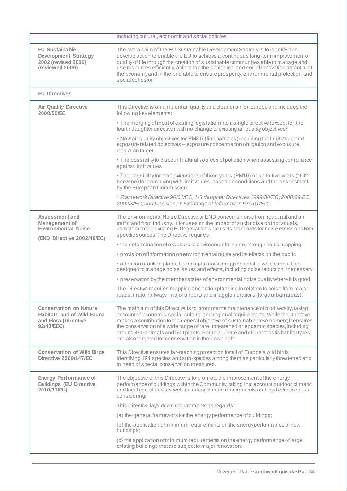|                                                                                                           | including cultural, economic and social policies                                                                                                                                                                                                                                                                                                                                                                                                                                                         |
|-----------------------------------------------------------------------------------------------------------|----------------------------------------------------------------------------------------------------------------------------------------------------------------------------------------------------------------------------------------------------------------------------------------------------------------------------------------------------------------------------------------------------------------------------------------------------------------------------------------------------------|
| <b>EU Sustainable</b><br><b>Development Strategy</b><br>2002 (revised 2006)<br>(reviewed 2009)            | The overall aim of the EU Sustainable Development Strategy is to identify and<br>develop action to enable the EU to achieve a continuous long-term improvement of<br>quality of life through the creation of sustainable communities able to manage and<br>use resources efficiently, able to tap the ecological and social innovation potential of<br>the economy and in the end able to ensure prosperity, environmental protection and<br>social cohesion                                             |
| <b>EU Directives</b>                                                                                      |                                                                                                                                                                                                                                                                                                                                                                                                                                                                                                          |
| <b>Air Quality Directive</b><br>2008/50/EC                                                                | This Directive is on ambient air quality and cleaner air for Europe and includes the<br>following key elements:                                                                                                                                                                                                                                                                                                                                                                                          |
|                                                                                                           | . The merging of most of existing legislation into a single directive (except for the<br>fourth daughter directive) with no change to existing air quality objectives*                                                                                                                                                                                                                                                                                                                                   |
|                                                                                                           | . New air quality objectives for PM2.5 (fine particles) including the limit value and<br>exposure related objectives - exposure concentration obligation and exposure<br>reduction target                                                                                                                                                                                                                                                                                                                |
|                                                                                                           | • The possibility to discount natural sources of pollution when assessing compliance<br>againstlimitvalues                                                                                                                                                                                                                                                                                                                                                                                               |
|                                                                                                           | • The possibility for time extensions of three years (PM10) or up to five years (NO2,<br>benzene) for complying with limit values, based on conditions and the assessment<br>by the European Commission.                                                                                                                                                                                                                                                                                                 |
|                                                                                                           | * Framework Directive 96/62/EC, 1-3 daughter Directives 1999/30/EC, 2000/69/EC,<br>2002/3/EC, and Decision on Exchange of Information 97/101/EC.                                                                                                                                                                                                                                                                                                                                                         |
| Assessment and<br><b>Management of</b><br><b>Environmental Noise</b><br>(END Directive 2002/49/EC)        | The Environmental Noise Directive or END concerns noise from road, rail and air<br>traffic and from industry. It focuses on the impact of such noise on individuals,<br>complementing existing EU legislation which sets standards for noise emissions from<br>specific sources. The Directive requires:                                                                                                                                                                                                 |
|                                                                                                           | • the determination of exposure to environmental noise, through noise mapping                                                                                                                                                                                                                                                                                                                                                                                                                            |
|                                                                                                           | • provision of information on environmental noise and its effects on the public                                                                                                                                                                                                                                                                                                                                                                                                                          |
|                                                                                                           | • adoption of action plans, based upon noise mapping results, which should be<br>designed to manage noise issues and effects, including noise reduction if necessary                                                                                                                                                                                                                                                                                                                                     |
|                                                                                                           | • preservation by the member states of environmental noise quality where it is good.                                                                                                                                                                                                                                                                                                                                                                                                                     |
|                                                                                                           | The Directive requires mapping and action planning in relation to noise from major<br>roads, major railways, major airports and in agglomerations (large urban areas).                                                                                                                                                                                                                                                                                                                                   |
| <b>Conservation on Natural</b><br><b>Habitats and of Wild Fauna</b><br>and Flora (Directive<br>92/43/EEC) | The main aim of this Directive is to promote the maintenance of biodiversity, taking<br>account of economic, social, cultural and regional requirements. While the Directive<br>makes a contribution to the general objective of sustainable development; it ensures<br>the conservation of a wide range of rare, threatened or endemic species, including<br>around 450 animals and 500 plants. Some 200 rare and characteristic habitat types<br>are also targeted for conservation in their own right |
| <b>Conservation of Wild Birds</b><br><b>Directive 2009/147/EC</b>                                         | This Directive ensures far-reaching protection for all of Europe's wild birds,<br>identifying 194 species and sub-species among them as particularly threatened and<br>in need of special conservation measures.                                                                                                                                                                                                                                                                                         |
| <b>Energy Performance of</b><br><b>Buildings (EU Directive</b><br>2010/31/EU)                             | The objective of this Directive is to promote the improvement of the energy<br>performance of buildings within the Community, taking into account outdoor climatic<br>and local conditions, as well as indoor climate requirements and cost effectiveness<br>considering;                                                                                                                                                                                                                                |
|                                                                                                           | This Directive lays down requirements as regards:                                                                                                                                                                                                                                                                                                                                                                                                                                                        |
|                                                                                                           | (a) the general framework for the energy performance of buildings;                                                                                                                                                                                                                                                                                                                                                                                                                                       |
|                                                                                                           | (b) the application of minimum requirements on the energy performance of new<br>buildings;                                                                                                                                                                                                                                                                                                                                                                                                               |
|                                                                                                           | (c) the application of minimum requirements on the energy performance of large<br>existing buildings that are subject to major renovation;                                                                                                                                                                                                                                                                                                                                                               |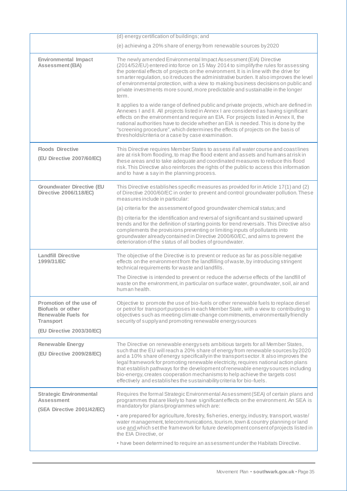|                                                                                         | (d) energy certification of buildings; and                                                                                                                                                                                                                                                                                                                                                                                                                                                                                                                                                       |
|-----------------------------------------------------------------------------------------|--------------------------------------------------------------------------------------------------------------------------------------------------------------------------------------------------------------------------------------------------------------------------------------------------------------------------------------------------------------------------------------------------------------------------------------------------------------------------------------------------------------------------------------------------------------------------------------------------|
|                                                                                         | (e) achieving a 20% share of energy from renewable sources by 2020                                                                                                                                                                                                                                                                                                                                                                                                                                                                                                                               |
| <b>Environmental Impact</b><br><b>Assessment (EIA)</b>                                  | The newly amended Environmental Impact Assessment (EIA) Directive<br>(2014/52/EU) entered into force on 15 May 2014 to simplify the rules for assessing<br>the potential effects of projects on the environment. It is in line with the drive for<br>smarter regulation, so it reduces the administrative burden. It also improves the level<br>of environmental protection, with a view to making business decisions on public and<br>private investments more sound, more predictable and sustainable in the longer<br>term.                                                                   |
|                                                                                         | It applies to a wide range of defined public and private projects, which are defined in<br>Annexes I and II. All projects listed in Annex I are considered as having significant<br>effects on the environment and require an EIA. For projects listed in Annex II, the<br>national authorities have to decide whether an EIA is needed. This is done by the<br>"screening procedure", which determines the effects of projects on the basis of<br>thresholds/criteria or a case by case examination.                                                                                            |
| <b>Floods Directive</b><br>(EU Directive 2007/60/EC)                                    | This Directive requires Member States to assess if all water course and coast lines<br>are at risk from flooding, to map the flood extent and assets and humans at risk in<br>these areas and to take adequate and coordinated measures to reduce this flood<br>risk. This Directive also reinforces the rights of the public to access this information<br>and to have a say in the planning process.                                                                                                                                                                                           |
| <b>Groundwater Directive (EU</b><br><b>Directive 2006/118/EC)</b>                       | This Directive establishes specific measures as provided for in Article 17(1) and (2)<br>of Directive 2000/60/EC in order to prevent and control groundwater pollution. These<br>measures include in particular:                                                                                                                                                                                                                                                                                                                                                                                 |
|                                                                                         | (a) criteria for the assessment of good groundwater chemical status; and                                                                                                                                                                                                                                                                                                                                                                                                                                                                                                                         |
|                                                                                         | (b) criteria for the identification and reversal of significant and sustained upward<br>trends and for the definition of starting points for trend reversals. This Directive also<br>complements the provisions preventing or limiting inputs of pollutants into<br>groundwater already contained in Directive 2000/60/EC, and aims to prevent the<br>deterioration of the status of all bodies of groundwater.                                                                                                                                                                                  |
| <b>Landfill Directive</b><br>1999/31/EC                                                 | The objective of the Directive is to prevent or reduce as far as possible negative<br>effects on the environment from the landfilling of waste, by introducing stringent<br>technical requirements for waste and landfills.                                                                                                                                                                                                                                                                                                                                                                      |
|                                                                                         | The Directive is intended to prevent or reduce the adverse effects of the landfill of<br>waste on the environment, in particular on surface water, groundwater, soil, air and<br>human health.                                                                                                                                                                                                                                                                                                                                                                                                   |
| Promotion of the use of<br>Biofuels or other<br>Renewable Fuels for<br><b>Transport</b> | Objective to promote the use of bio-fuels or other renewable fuels to replace diesel<br>or petrol for transport purposes in each Member State, with a view to contributing to<br>objectives such as meeting climate change commitments, environmentally friendly<br>security of supply and promoting renewable energy sources                                                                                                                                                                                                                                                                    |
| (EU Directive 2003/30/EC)                                                               |                                                                                                                                                                                                                                                                                                                                                                                                                                                                                                                                                                                                  |
| <b>Renewable Energy</b><br>(EU Directive 2009/28/EC)                                    | The Directive on renewable energy sets ambitious targets for all Member States,<br>such that the EU will reach a 20% share of energy from renewable sources by 2020<br>and a 10% share of energy specifically in the transport sector. It also improves the<br>legal framework for promoting renewable electricity, requires national action plans<br>that establish pathways for the development of renewable energy sources including<br>bio-energy, creates cooperation mechanisms to help achieve the targets cost<br>effectively and establishes the sustainability criteria for bio-fuels. |
| <b>Strategic Environmental</b><br><b>Assessment</b><br>(SEA Directive 2001/42/EC)       | Requires the formal Strategic Environmental Assessment (SEA) of certain plans and<br>programmes that are likely to have significant effects on the environment. An SEA is<br>mandatory for plans/programmes which are:                                                                                                                                                                                                                                                                                                                                                                           |
|                                                                                         | • are prepared for agriculture, forestry, fisheries, energy, industry, transport, waste/<br>water management, telecommunications, tourism, town & country planning or land<br>use and which set the framework for future development consent of projects listed in<br>the EIA Directive, or                                                                                                                                                                                                                                                                                                      |
|                                                                                         | • have been determined to require an assessment under the Habitats Directive.                                                                                                                                                                                                                                                                                                                                                                                                                                                                                                                    |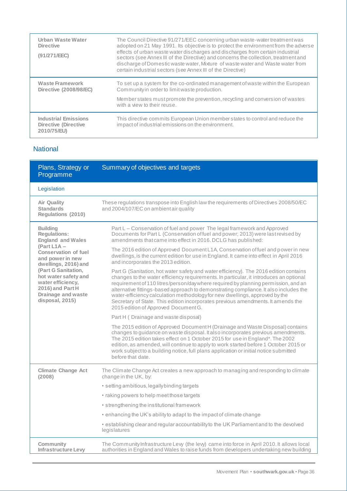| Urban Waste Water<br><b>Directive</b><br>(91/271/EEC)                     | The Council Directive 91/271/EEC concerning urban waste-water treatment was<br>adopted on 21 May 1991. Its objective is to protect the environment from the adverse<br>effects of urban waste water discharges and discharges from certain industrial<br>sectors (see Annex III of the Directive) and concerns the collection, treatment and<br>discharge of Domestic waste water, Mixture of waste water and Waste water from<br>certain industrial sectors (see Annex III of the Directive) |
|---------------------------------------------------------------------------|-----------------------------------------------------------------------------------------------------------------------------------------------------------------------------------------------------------------------------------------------------------------------------------------------------------------------------------------------------------------------------------------------------------------------------------------------------------------------------------------------|
| <b>Waste Framework</b><br>Directive (2008/98/EC)                          | To set up a system for the co-ordinated management of waste within the European<br>Community in order to limit was te production.                                                                                                                                                                                                                                                                                                                                                             |
|                                                                           | Member states must promote the prevention, recycling and conversion of wastes<br>with a view to their reuse.                                                                                                                                                                                                                                                                                                                                                                                  |
| <b>Industrial Emissions</b><br><b>Directive (Directive</b><br>2010/75/EU) | This directive commits European Union member states to control and reduce the<br>impact of industrial emissions on the environment.                                                                                                                                                                                                                                                                                                                                                           |

## **National**

| Plans, Strategy or<br>Programme                                                                                               | Summary of objectives and targets                                                                                                                                                                                                                                                                                                                                                                                                                                                                                                                                         |
|-------------------------------------------------------------------------------------------------------------------------------|---------------------------------------------------------------------------------------------------------------------------------------------------------------------------------------------------------------------------------------------------------------------------------------------------------------------------------------------------------------------------------------------------------------------------------------------------------------------------------------------------------------------------------------------------------------------------|
| Legislation                                                                                                                   |                                                                                                                                                                                                                                                                                                                                                                                                                                                                                                                                                                           |
| <b>Air Quality</b><br><b>Standards</b><br>Regulations (2010)                                                                  | These regulations transpose into English law the requirements of Directives 2008/50/EC<br>and 2004/107/EC on ambient air quality                                                                                                                                                                                                                                                                                                                                                                                                                                          |
| <b>Building</b><br><b>Regulations:</b><br><b>England and Wales</b>                                                            | Part L - Conservation of fuel and power The legal framework and Approved<br>Documents for Part L (Conservation of fuel and power; 2013) were last revised by<br>amendments that came into effect in 2016. DCLG has published:                                                                                                                                                                                                                                                                                                                                             |
| (Part L1A $-$<br><b>Conservation of fuel</b><br>and power in new<br>dwellings, 2016) and                                      | The 2016 edition of Approved Document L1A, Conservation of fuel and power in new<br>dwellings, is the current edition for use in England. It came into effect in April 2016<br>and incorporates the 2013 edition.                                                                                                                                                                                                                                                                                                                                                         |
| (Part G Sanitation,<br>hot water safety and<br>water efficiency,<br>2016) and Part H<br>Drainage and waste<br>disposal, 2015) | Part G (Sanitation, hot water safety and water efficiency). The 2016 edition contains<br>changes to the water efficiency requirements. In particular, it introduces an optional<br>requirement of 110 litres/person/day where required by planning permission, and an<br>alternative fittings-based approach to demonstrating compliance. It also includes the<br>water-efficiency calculation methodology for new dwellings, approved by the<br>Secretary of State. This edition incorporates previous amendments. It amends the<br>2015 edition of Approved Document G. |
|                                                                                                                               | Part H (Drainage and waste disposal)                                                                                                                                                                                                                                                                                                                                                                                                                                                                                                                                      |
|                                                                                                                               | The 2015 edition of Approved Document H (Drainage and Waste Disposal) contains<br>changes to guidance on waste disposal. It also incorporates previous amendments.<br>The 2015 edition takes effect on 1 October 2015 for use in England*. The 2002<br>edition, as amended, will continue to apply to work started before 1 October 2015 or<br>work subject to a building notice, full plans application or initial notice submitted<br>before that date.                                                                                                                 |
| <b>Climate Change Act</b><br>(2008)                                                                                           | The Climate Change Act creates a new approach to managing and responding to climate<br>change in the UK, by:                                                                                                                                                                                                                                                                                                                                                                                                                                                              |
|                                                                                                                               | · setting ambitious, legally binding targets                                                                                                                                                                                                                                                                                                                                                                                                                                                                                                                              |
|                                                                                                                               | • raking powers to help meet those targets                                                                                                                                                                                                                                                                                                                                                                                                                                                                                                                                |
|                                                                                                                               | • strengthening the institutional framework                                                                                                                                                                                                                                                                                                                                                                                                                                                                                                                               |
|                                                                                                                               | • enhancing the UK's ability to adapt to the impact of climate change                                                                                                                                                                                                                                                                                                                                                                                                                                                                                                     |
|                                                                                                                               | • establishing clear and regular accountability to the UK Parliament and to the devolved<br>legislatures                                                                                                                                                                                                                                                                                                                                                                                                                                                                  |
| Community<br><b>Infrastructure Levy</b>                                                                                       | The Community Infrastructure Levy (the levy) came into force in April 2010. It allows local<br>authorities in England and Wales to raise funds from developers undertaking new building                                                                                                                                                                                                                                                                                                                                                                                   |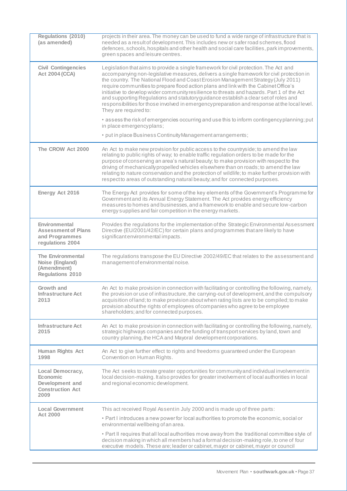| Regulations (2010)<br>(as amended)                                                    | projects in their area. The money can be used to fund a wide range of infrastructure that is<br>needed as a result of development. This includes new or safer road schemes, flood<br>defences, schools, hospitals and other health and social care facilities, park improvements,<br>green spaces and leisure centres.                                                                                                                                                                                                                                                                                                                                                           |
|---------------------------------------------------------------------------------------|----------------------------------------------------------------------------------------------------------------------------------------------------------------------------------------------------------------------------------------------------------------------------------------------------------------------------------------------------------------------------------------------------------------------------------------------------------------------------------------------------------------------------------------------------------------------------------------------------------------------------------------------------------------------------------|
| <b>Civil Contingencies</b><br><b>Act 2004 (CCA)</b>                                   | Legislation that aims to provide a single framework for civil protection. The Act and<br>accompanying non-legislative measures, delivers a single framework for civil protection in<br>the country. The National Flood and Coast Erosion Management Strategy (July 2011)<br>require communities to prepare flood action plans and link with the Cabinet Office's<br>initiative to develop wider community resilience to threats and hazards. Part 1 of the Act<br>and supporting Regulations and statutory guidance establish a clear set of roles and<br>responsibilities for those involved in emergency preparation and response at the local level.<br>They are required to: |
|                                                                                       | • assess the risk of emergencies occurring and use this to inform contingencyplanning; put<br>in place emergencyplans;                                                                                                                                                                                                                                                                                                                                                                                                                                                                                                                                                           |
|                                                                                       | · put in place Business Continuity Management arrangements;                                                                                                                                                                                                                                                                                                                                                                                                                                                                                                                                                                                                                      |
| The CROW Act 2000                                                                     | An Act to make new provision for public access to the countryside; to amend the law<br>relating to public rights of way; to enable traffic regulation orders to be made for the<br>purpose of conserving an area's natural beauty; to make provision with respect to the<br>driving of mechanicallypropelled vehicles elsewhere than on roads; to amend the law<br>relating to nature conservation and the protection of wildlife; to make further provision with<br>respect to areas of outstanding natural beauty; and for connected purposes.                                                                                                                                 |
| Energy Act 2016                                                                       | The Energy Act provides for some of the key elements of the Government's Programme for<br>Government and its Annual Energy Statement. The Act provides energy efficiency<br>measures to homes and businesses, and a framework to enable and secure low-carbon<br>energy supplies and fair competition in the energy markets.                                                                                                                                                                                                                                                                                                                                                     |
| Environmental<br><b>Assessment of Plans</b><br>and Programmes<br>regulations 2004     | Provides the regulations for the implementation of the Strategic Environmental Assessment<br>Directive (EU/2001/42/EC) for certain plans and programmes that are likely to have<br>significant environmental impacts.                                                                                                                                                                                                                                                                                                                                                                                                                                                            |
| <b>The Environmental</b><br>Noise (England)<br>(Amendment)<br><b>Regulations 2010</b> | The regulations transpose the EU Directive 2002/49/EC that relates to the assessment and<br>management of environmental noise.                                                                                                                                                                                                                                                                                                                                                                                                                                                                                                                                                   |
| Growth and<br><b>Infrastructure Act</b><br>2013                                       | An Act to make provision in connection with facilitating or controlling the following, namely,<br>the provision or use of infrastructure, the carrying-out of development, and the compulsory<br>acquisition of land; to make provision about when rating lists are to be compiled; to make<br>provision about the rights of employees of companies who agree to be employee<br>shareholders; and for connected purposes.                                                                                                                                                                                                                                                        |
| <b>Infrastructure Act</b><br>2015                                                     | An Act to make provision in connection with facilitating or controlling the following, namely,<br>strategic highways companies and the funding of transport services by land, town and<br>country planning, the HCA and Mayoral development corporations.                                                                                                                                                                                                                                                                                                                                                                                                                        |
| Human Rights Act<br>1998                                                              | An Act to give further effect to rights and freedoms guaranteed under the European<br>Convention on Human Rights.                                                                                                                                                                                                                                                                                                                                                                                                                                                                                                                                                                |
| Local Democracy,<br>Economic<br>Development and<br><b>Construction Act</b><br>2009    | The Act seeks to create greater opportunities for community and individual involvement in<br>local decision-making. It also provides for greater involvement of local authorities in local<br>and regional economic development.                                                                                                                                                                                                                                                                                                                                                                                                                                                 |
| <b>Local Government</b>                                                               | This act received Royal Assentin July 2000 and is made up of three parts:                                                                                                                                                                                                                                                                                                                                                                                                                                                                                                                                                                                                        |
| Act 2000                                                                              | • Part I introduces a new power for local authorities to promote the economic, social or<br>environmental wellbeing of an area.                                                                                                                                                                                                                                                                                                                                                                                                                                                                                                                                                  |
|                                                                                       | • Part II requires that all local authorities move away from the traditional committee style of<br>decision making in which all members had a formal decision-making role, to one of four<br>executive models. These are; leader or cabinet, mayor or cabinet, mayor or council                                                                                                                                                                                                                                                                                                                                                                                                  |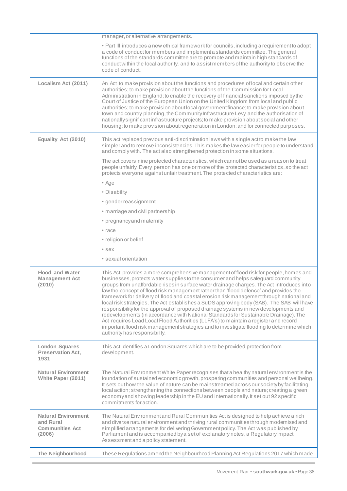| • Part III introduces a new ethical framework for councils, including a requirement to adopt<br>a code of conduct for members and implement a standards committee. The general<br>functions of the standards committee are to promote and maintain high standards of<br>conduct within the local authority, and to assist members of the authority to observe the<br>code of conduct.<br>Localism Act (2011)<br>An Act to make provision about the functions and procedures of local and certain other<br>authorities; to make provision about the functions of the Commission for Local<br>Administration in England; to enable the recovery of financial sanctions imposed by the<br>Court of Justice of the European Union on the United Kingdom from local and public<br>authorities; to make provision about local government finance; to make provision about<br>town and country planning, the Community Infrastructure Levy and the authorisation of<br>nationally significant infrastructure projects; to make provision about social and other<br>housing; to make provision about regeneration in London; and for connected purposes.<br>Equality Act (2010)<br>This act replaced previous anti-discrimination laws with a single act to make the law<br>simpler and to remove inconsistencies. This makes the law easier for people to understand<br>and comply with. The act also strengthened protection in some situations.<br>The act covers nine protected characteristics, which cannot be used as a reason to treat<br>people unfairly. Every person has one or more of the protected characteristics, so the act<br>protects everyone against unfair treatment. The protected characteristics are:<br>• Age<br>• Disability<br>• gender reassignment<br>• marriage and civil partnership<br>• pregnancy and maternity<br>• race<br>• religion or belief<br>• sex<br>• sexual orientation<br><b>Flood and Water</b><br>This Act provides a more comprehensive management of flood risk for people, homes and<br>businesses, protects water supplies to the consumer and helps safeguard community<br><b>Management Act</b><br>groups from unaffordable rises in surface water drainage charges. The Act introduces into<br>(2010)<br>law the concept of flood risk management rather than 'flood defence' and provides the<br>framework for delivery of flood and coastal erosion risk management through national and<br>local risk strategies. The Act establishes a SuDS approving body (SAB). The SAB will have<br>responsibility for the approval of proposed drainage systems in new developments and<br>redevelopments (in accordance with National Standards for Sustainable Drainage). The<br>Act requires Lead Local Flood Authorities (LLFA's) to maintain a register and record<br>important flood risk management strategies and to investigate flooding to determine which<br>authority has responsibility.<br>This act identifies a London Squares which are to be provided protection from<br><b>London Squares</b><br><b>Preservation Act,</b><br>development.<br>1931<br><b>Natural Environment</b><br>The Natural Environment White Paper recognises that a healthy natural environment is the<br>foundation of sustained economic growth, prospering communities and personal wellbeing.<br>White Paper (2011)<br>It sets out how the value of nature can be mainstreamed across our society by facilitating<br>local action; strengthening the connections between people and nature; creating a green<br>economyand showing leadership in the EU and internationally. It set out 92 specific<br>commitments for action.<br><b>Natural Environment</b><br>The Natural Environment and Rural Communities Act is designed to help achieve a rich<br>and Rural<br>and diverse natural environment and thriving rural communities through modernised and<br>simplified arrangements for delivering Government policy. The Act was published by<br><b>Communities Act</b><br>Parliament and is accompanied by a set of explanatory notes, a Regulatory Impact<br>(2006)<br>Assessment and a policy statement.<br>These Regulations amend the Neighbourhood Planning Act Regulations 2017 which made<br>The Neighbourhood | manager, or alternative arrangements. |
|-------------------------------------------------------------------------------------------------------------------------------------------------------------------------------------------------------------------------------------------------------------------------------------------------------------------------------------------------------------------------------------------------------------------------------------------------------------------------------------------------------------------------------------------------------------------------------------------------------------------------------------------------------------------------------------------------------------------------------------------------------------------------------------------------------------------------------------------------------------------------------------------------------------------------------------------------------------------------------------------------------------------------------------------------------------------------------------------------------------------------------------------------------------------------------------------------------------------------------------------------------------------------------------------------------------------------------------------------------------------------------------------------------------------------------------------------------------------------------------------------------------------------------------------------------------------------------------------------------------------------------------------------------------------------------------------------------------------------------------------------------------------------------------------------------------------------------------------------------------------------------------------------------------------------------------------------------------------------------------------------------------------------------------------------------------------------------------------------------------------------------------------------------------------------------------------------------------------------------------------------------------------------------------------------------------------------------------------------------------------------------------------------------------------------------------------------------------------------------------------------------------------------------------------------------------------------------------------------------------------------------------------------------------------------------------------------------------------------------------------------------------------------------------------------------------------------------------------------------------------------------------------------------------------------------------------------------------------------------------------------------------------------------------------------------------------------------------------------------------------------------------------------------------------------------------------------------------------------------------------------------------------------------------------------------------------------------------------------------------------------------------------------------------------------------------------------------------------------------------------------------------------------------------------------------------------------------------------------------------------------------------------------------------------------------------------------------------------------------------------------------------------------------------------------------------------------------------------------------------------------------------------------------------------------------------------------------------------------------------------------------------------------------------------------------------------------------------------------------------------------------------------------------------------------------------------------------------------------------------------------------------|---------------------------------------|
|                                                                                                                                                                                                                                                                                                                                                                                                                                                                                                                                                                                                                                                                                                                                                                                                                                                                                                                                                                                                                                                                                                                                                                                                                                                                                                                                                                                                                                                                                                                                                                                                                                                                                                                                                                                                                                                                                                                                                                                                                                                                                                                                                                                                                                                                                                                                                                                                                                                                                                                                                                                                                                                                                                                                                                                                                                                                                                                                                                                                                                                                                                                                                                                                                                                                                                                                                                                                                                                                                                                                                                                                                                                                                                                                                                                                                                                                                                                                                                                                                                                                                                                                                                                                                                                             |                                       |
|                                                                                                                                                                                                                                                                                                                                                                                                                                                                                                                                                                                                                                                                                                                                                                                                                                                                                                                                                                                                                                                                                                                                                                                                                                                                                                                                                                                                                                                                                                                                                                                                                                                                                                                                                                                                                                                                                                                                                                                                                                                                                                                                                                                                                                                                                                                                                                                                                                                                                                                                                                                                                                                                                                                                                                                                                                                                                                                                                                                                                                                                                                                                                                                                                                                                                                                                                                                                                                                                                                                                                                                                                                                                                                                                                                                                                                                                                                                                                                                                                                                                                                                                                                                                                                                             |                                       |
|                                                                                                                                                                                                                                                                                                                                                                                                                                                                                                                                                                                                                                                                                                                                                                                                                                                                                                                                                                                                                                                                                                                                                                                                                                                                                                                                                                                                                                                                                                                                                                                                                                                                                                                                                                                                                                                                                                                                                                                                                                                                                                                                                                                                                                                                                                                                                                                                                                                                                                                                                                                                                                                                                                                                                                                                                                                                                                                                                                                                                                                                                                                                                                                                                                                                                                                                                                                                                                                                                                                                                                                                                                                                                                                                                                                                                                                                                                                                                                                                                                                                                                                                                                                                                                                             |                                       |
|                                                                                                                                                                                                                                                                                                                                                                                                                                                                                                                                                                                                                                                                                                                                                                                                                                                                                                                                                                                                                                                                                                                                                                                                                                                                                                                                                                                                                                                                                                                                                                                                                                                                                                                                                                                                                                                                                                                                                                                                                                                                                                                                                                                                                                                                                                                                                                                                                                                                                                                                                                                                                                                                                                                                                                                                                                                                                                                                                                                                                                                                                                                                                                                                                                                                                                                                                                                                                                                                                                                                                                                                                                                                                                                                                                                                                                                                                                                                                                                                                                                                                                                                                                                                                                                             |                                       |
|                                                                                                                                                                                                                                                                                                                                                                                                                                                                                                                                                                                                                                                                                                                                                                                                                                                                                                                                                                                                                                                                                                                                                                                                                                                                                                                                                                                                                                                                                                                                                                                                                                                                                                                                                                                                                                                                                                                                                                                                                                                                                                                                                                                                                                                                                                                                                                                                                                                                                                                                                                                                                                                                                                                                                                                                                                                                                                                                                                                                                                                                                                                                                                                                                                                                                                                                                                                                                                                                                                                                                                                                                                                                                                                                                                                                                                                                                                                                                                                                                                                                                                                                                                                                                                                             |                                       |
|                                                                                                                                                                                                                                                                                                                                                                                                                                                                                                                                                                                                                                                                                                                                                                                                                                                                                                                                                                                                                                                                                                                                                                                                                                                                                                                                                                                                                                                                                                                                                                                                                                                                                                                                                                                                                                                                                                                                                                                                                                                                                                                                                                                                                                                                                                                                                                                                                                                                                                                                                                                                                                                                                                                                                                                                                                                                                                                                                                                                                                                                                                                                                                                                                                                                                                                                                                                                                                                                                                                                                                                                                                                                                                                                                                                                                                                                                                                                                                                                                                                                                                                                                                                                                                                             |                                       |
|                                                                                                                                                                                                                                                                                                                                                                                                                                                                                                                                                                                                                                                                                                                                                                                                                                                                                                                                                                                                                                                                                                                                                                                                                                                                                                                                                                                                                                                                                                                                                                                                                                                                                                                                                                                                                                                                                                                                                                                                                                                                                                                                                                                                                                                                                                                                                                                                                                                                                                                                                                                                                                                                                                                                                                                                                                                                                                                                                                                                                                                                                                                                                                                                                                                                                                                                                                                                                                                                                                                                                                                                                                                                                                                                                                                                                                                                                                                                                                                                                                                                                                                                                                                                                                                             |                                       |
|                                                                                                                                                                                                                                                                                                                                                                                                                                                                                                                                                                                                                                                                                                                                                                                                                                                                                                                                                                                                                                                                                                                                                                                                                                                                                                                                                                                                                                                                                                                                                                                                                                                                                                                                                                                                                                                                                                                                                                                                                                                                                                                                                                                                                                                                                                                                                                                                                                                                                                                                                                                                                                                                                                                                                                                                                                                                                                                                                                                                                                                                                                                                                                                                                                                                                                                                                                                                                                                                                                                                                                                                                                                                                                                                                                                                                                                                                                                                                                                                                                                                                                                                                                                                                                                             |                                       |
|                                                                                                                                                                                                                                                                                                                                                                                                                                                                                                                                                                                                                                                                                                                                                                                                                                                                                                                                                                                                                                                                                                                                                                                                                                                                                                                                                                                                                                                                                                                                                                                                                                                                                                                                                                                                                                                                                                                                                                                                                                                                                                                                                                                                                                                                                                                                                                                                                                                                                                                                                                                                                                                                                                                                                                                                                                                                                                                                                                                                                                                                                                                                                                                                                                                                                                                                                                                                                                                                                                                                                                                                                                                                                                                                                                                                                                                                                                                                                                                                                                                                                                                                                                                                                                                             |                                       |
|                                                                                                                                                                                                                                                                                                                                                                                                                                                                                                                                                                                                                                                                                                                                                                                                                                                                                                                                                                                                                                                                                                                                                                                                                                                                                                                                                                                                                                                                                                                                                                                                                                                                                                                                                                                                                                                                                                                                                                                                                                                                                                                                                                                                                                                                                                                                                                                                                                                                                                                                                                                                                                                                                                                                                                                                                                                                                                                                                                                                                                                                                                                                                                                                                                                                                                                                                                                                                                                                                                                                                                                                                                                                                                                                                                                                                                                                                                                                                                                                                                                                                                                                                                                                                                                             |                                       |
|                                                                                                                                                                                                                                                                                                                                                                                                                                                                                                                                                                                                                                                                                                                                                                                                                                                                                                                                                                                                                                                                                                                                                                                                                                                                                                                                                                                                                                                                                                                                                                                                                                                                                                                                                                                                                                                                                                                                                                                                                                                                                                                                                                                                                                                                                                                                                                                                                                                                                                                                                                                                                                                                                                                                                                                                                                                                                                                                                                                                                                                                                                                                                                                                                                                                                                                                                                                                                                                                                                                                                                                                                                                                                                                                                                                                                                                                                                                                                                                                                                                                                                                                                                                                                                                             |                                       |
|                                                                                                                                                                                                                                                                                                                                                                                                                                                                                                                                                                                                                                                                                                                                                                                                                                                                                                                                                                                                                                                                                                                                                                                                                                                                                                                                                                                                                                                                                                                                                                                                                                                                                                                                                                                                                                                                                                                                                                                                                                                                                                                                                                                                                                                                                                                                                                                                                                                                                                                                                                                                                                                                                                                                                                                                                                                                                                                                                                                                                                                                                                                                                                                                                                                                                                                                                                                                                                                                                                                                                                                                                                                                                                                                                                                                                                                                                                                                                                                                                                                                                                                                                                                                                                                             |                                       |
|                                                                                                                                                                                                                                                                                                                                                                                                                                                                                                                                                                                                                                                                                                                                                                                                                                                                                                                                                                                                                                                                                                                                                                                                                                                                                                                                                                                                                                                                                                                                                                                                                                                                                                                                                                                                                                                                                                                                                                                                                                                                                                                                                                                                                                                                                                                                                                                                                                                                                                                                                                                                                                                                                                                                                                                                                                                                                                                                                                                                                                                                                                                                                                                                                                                                                                                                                                                                                                                                                                                                                                                                                                                                                                                                                                                                                                                                                                                                                                                                                                                                                                                                                                                                                                                             |                                       |
|                                                                                                                                                                                                                                                                                                                                                                                                                                                                                                                                                                                                                                                                                                                                                                                                                                                                                                                                                                                                                                                                                                                                                                                                                                                                                                                                                                                                                                                                                                                                                                                                                                                                                                                                                                                                                                                                                                                                                                                                                                                                                                                                                                                                                                                                                                                                                                                                                                                                                                                                                                                                                                                                                                                                                                                                                                                                                                                                                                                                                                                                                                                                                                                                                                                                                                                                                                                                                                                                                                                                                                                                                                                                                                                                                                                                                                                                                                                                                                                                                                                                                                                                                                                                                                                             |                                       |
|                                                                                                                                                                                                                                                                                                                                                                                                                                                                                                                                                                                                                                                                                                                                                                                                                                                                                                                                                                                                                                                                                                                                                                                                                                                                                                                                                                                                                                                                                                                                                                                                                                                                                                                                                                                                                                                                                                                                                                                                                                                                                                                                                                                                                                                                                                                                                                                                                                                                                                                                                                                                                                                                                                                                                                                                                                                                                                                                                                                                                                                                                                                                                                                                                                                                                                                                                                                                                                                                                                                                                                                                                                                                                                                                                                                                                                                                                                                                                                                                                                                                                                                                                                                                                                                             |                                       |
|                                                                                                                                                                                                                                                                                                                                                                                                                                                                                                                                                                                                                                                                                                                                                                                                                                                                                                                                                                                                                                                                                                                                                                                                                                                                                                                                                                                                                                                                                                                                                                                                                                                                                                                                                                                                                                                                                                                                                                                                                                                                                                                                                                                                                                                                                                                                                                                                                                                                                                                                                                                                                                                                                                                                                                                                                                                                                                                                                                                                                                                                                                                                                                                                                                                                                                                                                                                                                                                                                                                                                                                                                                                                                                                                                                                                                                                                                                                                                                                                                                                                                                                                                                                                                                                             |                                       |
|                                                                                                                                                                                                                                                                                                                                                                                                                                                                                                                                                                                                                                                                                                                                                                                                                                                                                                                                                                                                                                                                                                                                                                                                                                                                                                                                                                                                                                                                                                                                                                                                                                                                                                                                                                                                                                                                                                                                                                                                                                                                                                                                                                                                                                                                                                                                                                                                                                                                                                                                                                                                                                                                                                                                                                                                                                                                                                                                                                                                                                                                                                                                                                                                                                                                                                                                                                                                                                                                                                                                                                                                                                                                                                                                                                                                                                                                                                                                                                                                                                                                                                                                                                                                                                                             |                                       |
|                                                                                                                                                                                                                                                                                                                                                                                                                                                                                                                                                                                                                                                                                                                                                                                                                                                                                                                                                                                                                                                                                                                                                                                                                                                                                                                                                                                                                                                                                                                                                                                                                                                                                                                                                                                                                                                                                                                                                                                                                                                                                                                                                                                                                                                                                                                                                                                                                                                                                                                                                                                                                                                                                                                                                                                                                                                                                                                                                                                                                                                                                                                                                                                                                                                                                                                                                                                                                                                                                                                                                                                                                                                                                                                                                                                                                                                                                                                                                                                                                                                                                                                                                                                                                                                             |                                       |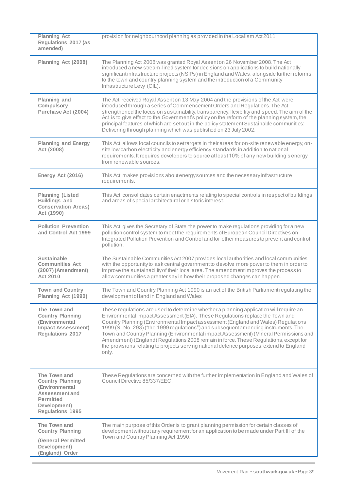| <b>Planning Act</b><br><b>Regulations 2017 (as</b><br>amended)                                                                             | provision for neighbourhood planning as provided in the Localism Act 2011                                                                                                                                                                                                                                                                                                                                                                                                                                                                                                                                                                |
|--------------------------------------------------------------------------------------------------------------------------------------------|------------------------------------------------------------------------------------------------------------------------------------------------------------------------------------------------------------------------------------------------------------------------------------------------------------------------------------------------------------------------------------------------------------------------------------------------------------------------------------------------------------------------------------------------------------------------------------------------------------------------------------------|
| Planning Act (2008)                                                                                                                        | The Planning Act 2008 was granted Royal Assent on 26 November 2008. The Act<br>introduced a new stream-lined system for decisions on applications to build nationally<br>significant infrastructure projects (NSIPs) in England and Wales, alongside further reforms<br>to the town and country planning system and the introduction of a Community<br>Infrastructure Levy (CIL).                                                                                                                                                                                                                                                        |
| <b>Planning and</b><br>Compulsory<br>Purchase Act (2004)                                                                                   | The Act received Royal Assenton 13 May 2004 and the provisions of the Act were<br>introduced through a series of Commencement Orders and Regulations. The Act<br>strengthened the focus on sustainability, transparency, flexibility and speed. The aim of the<br>Act is to give effect to the Government's policy on the reform of the planning system, the<br>principal features of which are set out in the policy statement Sustainable communities:<br>Delivering through planning which was published on 23 July 2002.                                                                                                             |
| <b>Planning and Energy</b><br>Act (2008)                                                                                                   | This Act allows local councils to set targets in their areas for on-site renewable energy, on-<br>site low carbon electricity and energy efficiency standards in addition to national<br>requirements. It requires developers to source at least 10% of any new building's energy<br>from renewable sources.                                                                                                                                                                                                                                                                                                                             |
| Energy Act (2016)                                                                                                                          | This Act makes provisions about energy sources and the necessary infrastructure<br>requirements.                                                                                                                                                                                                                                                                                                                                                                                                                                                                                                                                         |
| <b>Planning (Listed</b><br><b>Buildings and</b><br><b>Conservation Areas)</b><br>Act (1990)                                                | This Act consolidates certain enactments relating to special controls in respect of buildings<br>and areas of special architectural or historic interest.                                                                                                                                                                                                                                                                                                                                                                                                                                                                                |
| <b>Pollution Prevention</b><br>and Control Act 1999                                                                                        | This Act gives the Secretary of State the power to make regulations providing for a new<br>pollution control system to meet the requirements of European Council Directives on<br>Integrated Pollution Prevention and Control and for other measures to prevent and control<br>pollution.                                                                                                                                                                                                                                                                                                                                                |
| <b>Sustainable</b><br><b>Communities Act</b><br>(2007) (Amendment)<br><b>Act 2010</b>                                                      | The Sustainable Communities Act 2007 provides local authorities and local communities<br>with the opportunity to ask central government to devolve more power to them in order to<br>improve the sustainability of their local area. The amendment improves the process to<br>allow communities a greater say in how their proposed changes can happen.                                                                                                                                                                                                                                                                                  |
| <b>Town and Country</b><br>Planning Act (1990)                                                                                             | The Town and Country Planning Act 1990 is an act of the British Parliament regulating the<br>development of land in England and Wales                                                                                                                                                                                                                                                                                                                                                                                                                                                                                                    |
| The Town and<br><b>Country Planning</b><br>(Environmental<br><b>Impact Assessment)</b><br><b>Regulations 2017</b>                          | These regulations are used to determine whether a planning application will require an<br>Environmental Impact Assessment (EIA). These Regulations replace the Town and<br>Country Planning (Environmental Impact assessment (England and Wales) Regulations<br>1999 (SI No. 293) ("the 1999 regulations") and subsequent amending instruments. The<br>Town and Country Planning (Environmental impact Assessment) (Mineral Permissions and<br>Amendment) (England) Regulations 2008 remain in force. These Regulations, except for<br>the provisions relating to projects serving national defence purposes, extend to England<br>only. |
| The Town and<br><b>Country Planning</b><br>(Environmental<br>Assessment and<br><b>Permitted</b><br>Development)<br><b>Regulations 1995</b> | These Regulations are concerned with the further implementation in England and Wales of<br>Council Directive 85/337/EEC.                                                                                                                                                                                                                                                                                                                                                                                                                                                                                                                 |
| The Town and<br><b>Country Planning</b><br><b>(General Permitted</b><br>Development)<br>(England) Order                                    | The main purpose of this Order is to grant planning permission for certain classes of<br>development without any requirement for an application to be made under Part III of the<br>Town and Country Planning Act 1990.                                                                                                                                                                                                                                                                                                                                                                                                                  |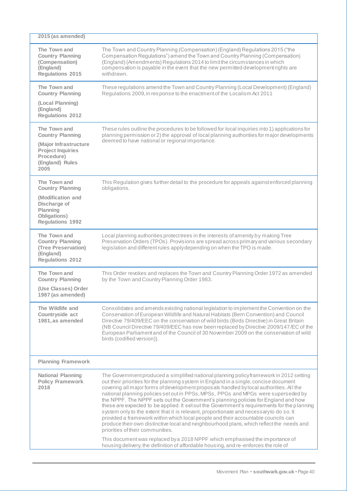| 2015 (as amended)                                                                                                                     |                                                                                                                                                                                                                                                                                                                                                                                                                                                                                                                                                                                                                                                                                                                                                                                                                                                                                                                                                                                                                                               |
|---------------------------------------------------------------------------------------------------------------------------------------|-----------------------------------------------------------------------------------------------------------------------------------------------------------------------------------------------------------------------------------------------------------------------------------------------------------------------------------------------------------------------------------------------------------------------------------------------------------------------------------------------------------------------------------------------------------------------------------------------------------------------------------------------------------------------------------------------------------------------------------------------------------------------------------------------------------------------------------------------------------------------------------------------------------------------------------------------------------------------------------------------------------------------------------------------|
| The Town and<br><b>Country Planning</b><br>(Compensation)<br>(England)<br><b>Regulations 2015</b>                                     | The Town and Country Planning (Compensation) (England) Regulations 2015 ("the<br>Compensation Regulations") amend the Town and Country Planning (Compensation)<br>(England) (Amendments) Regulations 2014 to limit the circumstances in which<br>compensation is payable in the event that the new permitted development rights are<br>withdrawn.                                                                                                                                                                                                                                                                                                                                                                                                                                                                                                                                                                                                                                                                                             |
| The Town and<br><b>Country Planning</b><br>(Local Planning)<br>(England)<br><b>Regulations 2012</b>                                   | These regulations amend the Town and Country Planning (Local Development) (England)<br>Regulations 2009, in response to the enactment of the Localism Act 2011                                                                                                                                                                                                                                                                                                                                                                                                                                                                                                                                                                                                                                                                                                                                                                                                                                                                                |
| The Town and<br><b>Country Planning</b><br>(Major Infrastructure<br><b>Project Inquiries</b><br>Procedure)<br>(England) Rules<br>2005 | These rules outline the procedures to be followed for local inquiries into 1) applications for<br>planning permission or 2) the approval of local planning authorities for major developments<br>deemed to have national or regional importance.                                                                                                                                                                                                                                                                                                                                                                                                                                                                                                                                                                                                                                                                                                                                                                                              |
| The Town and<br><b>Country Planning</b><br>(Modification and<br>Discharge of<br>Planning<br>Obligations)<br><b>Regulations 1992</b>   | This Regulation gives further detail to the procedure for appeals against enforced planning<br>obligations.                                                                                                                                                                                                                                                                                                                                                                                                                                                                                                                                                                                                                                                                                                                                                                                                                                                                                                                                   |
| The Town and<br><b>Country Planning</b><br>(Tree Preservation)<br>(England)<br><b>Regulations 2012</b>                                | Local planning authorities protect trees in the interests of amenity by making Tree<br>Preservation Orders (TPOs). Provisions are spread across primary and various secondary<br>legislation and different rules apply depending on when the TPO is made.                                                                                                                                                                                                                                                                                                                                                                                                                                                                                                                                                                                                                                                                                                                                                                                     |
| The Town and<br><b>Country Planning</b><br>(Use Classes) Order<br>1987 (as amended)                                                   | This Order revokes and replaces the Town and Country Planning Order 1972 as amended<br>by the Town and Country Planning Order 1983.                                                                                                                                                                                                                                                                                                                                                                                                                                                                                                                                                                                                                                                                                                                                                                                                                                                                                                           |
| The Wildlife and<br>Countryside act<br>1981, as amended                                                                               | Consolidates and amends existing national legislation to implement the Convention on the<br>Conservation of European Wildlife and Natural Habitats (Bern Convention) and Council<br>Directive 79/409/EEC on the conservation of wild birds (Birds Directive) in Great Britain<br>(NB Council Directive 79/409/EEC has now been replaced by Directive 2009/147/EC of the<br>European Parliament and of the Council of 30 November 2009 on the conservation of wild<br>birds (codified version)).                                                                                                                                                                                                                                                                                                                                                                                                                                                                                                                                               |
| <b>Planning Framework</b>                                                                                                             |                                                                                                                                                                                                                                                                                                                                                                                                                                                                                                                                                                                                                                                                                                                                                                                                                                                                                                                                                                                                                                               |
| <b>National Planning</b><br><b>Policy Framework</b><br>2018                                                                           | The Government produced a simplified national planning policy framework in 2012 setting<br>out their priorities for the planning system in England in a single, concise document<br>covering all major forms of development proposals handled by local authorities. All the<br>national planning policies set out in PPSs, MPSs, PPGs and MPGs were superseded by<br>the NPPF. The NPPF sets out the Government's planning policies for England and how<br>these are expected to be applied. It set out the Government's requirements for the planning<br>system only to the extent that it is relevant, proportionate and necessary to do so. It<br>provided a framework within which local people and their accountable councils can<br>produce their own distinctive local and neighbourhood plans, which reflect the needs and<br>priorities of their communities.<br>This document was replaced by a 2018 NPPF which emphasised the importance of<br>housing delivery, the definition of affordable housing, and re-enforces the role of |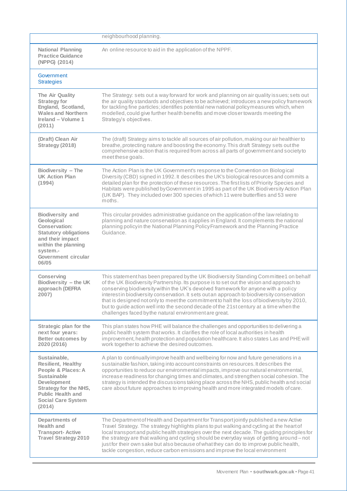|                                                                                                                                                                                                                | neighbourhood planning.                                                                                                                                                                                                                                                                                                                                                                                                                                                                                                                                                                                                   |
|----------------------------------------------------------------------------------------------------------------------------------------------------------------------------------------------------------------|---------------------------------------------------------------------------------------------------------------------------------------------------------------------------------------------------------------------------------------------------------------------------------------------------------------------------------------------------------------------------------------------------------------------------------------------------------------------------------------------------------------------------------------------------------------------------------------------------------------------------|
| <b>National Planning</b><br><b>Practice Guidance</b><br>(NPPG) (2014)                                                                                                                                          | An online resource to aid in the application of the NPPF.                                                                                                                                                                                                                                                                                                                                                                                                                                                                                                                                                                 |
| Government<br><b>Strategies</b>                                                                                                                                                                                |                                                                                                                                                                                                                                                                                                                                                                                                                                                                                                                                                                                                                           |
| The Air Quality<br><b>Strategy for</b><br>England, Scotland,<br><b>Wales and Northern</b><br>Ireland - Volume 1<br>(2011)                                                                                      | The Strategy: sets out a way forward for work and planning on air quality issues; sets out<br>the air quality standards and objectives to be achieved; introduces a new policy framework<br>for tackling fine particles; identifies potential new national policymeasures which, when<br>modelled, could give further health benefits and move closer towards meeting the<br>Strategy's objectives.                                                                                                                                                                                                                       |
| (Draft) Clean Air<br>Strategy (2018)                                                                                                                                                                           | The (draft) Strategy aims to tackle all sources of air pollution, making our air healthier to<br>breathe, protecting nature and boosting the economy. This draft Strategy sets out the<br>comprehensive action that is required from across all parts of government and society to<br>meet these goals.                                                                                                                                                                                                                                                                                                                   |
| Biodiversity - The<br><b>UK Action Plan</b><br>(1994)                                                                                                                                                          | The Action Plan is the UK Government's response to the Convention on Biological<br>Diversity (CBD) signed in 1992. It describes the UK's biological resources and commits a<br>detailed plan for the protection of these resources. The first lists of Priority Species and<br>Habitats were published by Government in 1995 as part of the UK Biodiversity Action Plan<br>(UK BAP). They included over 300 species of which 11 were butterflies and 53 were<br>moths.                                                                                                                                                    |
| <b>Biodiversity and</b><br>Geological<br><b>Conservation:</b><br><b>Statutory obligations</b><br>and their impact<br>within the planning<br>system.-<br>Government circular<br>06/05                           | This circular provides administrative guidance on the application of the law relating to<br>planning and nature conservation as it applies in England. It complements the national<br>planning policyin the National Planning Policy Framework and the Planning Practice<br>Guidance.                                                                                                                                                                                                                                                                                                                                     |
| Conserving<br>Biodiversity - the UK<br>approach (DEFRA<br>2007)                                                                                                                                                | This statement has been prepared by the UK Biodiversity Standing Committee1 on behalf<br>of the UK Biodiversity Partnership. Its purpose is to set out the vision and approach to<br>conserving biodiversity within the UK's devolved framework for anyone with a policy<br>interest in biodiversity conservation. It sets out an approach to biodiversity conservation<br>that is designed not only to meet the commitment to halt the loss of biodiversity by 2010,<br>but to guide action well into the second decade of the 21st century at a time when the<br>challenges faced by the natural environment are great. |
| Strategic plan for the<br>next four years:<br><b>Better outcomes by</b><br>2020 (2016)                                                                                                                         | This plan states how PHE will balance the challenges and opportunities to delivering a<br>public health system that works. It clarifies the role of local authorities in health<br>improvement, health protection and population healthcare. It also states Las and PHE will<br>work together to achieve the desired outcomes.                                                                                                                                                                                                                                                                                            |
| Sustainable,<br><b>Resilient, Healthy</b><br>People & Places: A<br><b>Sustainable</b><br><b>Development</b><br><b>Strategy for the NHS,</b><br><b>Public Health and</b><br><b>Social Care System</b><br>(2014) | A plan to continuallyimprove health and wellbeing for now and future generations in a<br>sustainable fashion, taking into account constraints on resources. It describes the<br>opportunities to reduce our environmental impacts, improve our natural environmental,<br>increase readiness for changing times and climates, and strengthen social cohesion. The<br>strategy is intended the discussions taking place across the NHS, public health and social<br>care about future approaches to improving health and more integrated models of care.                                                                    |
| Departments of<br>Health and<br><b>Transport-Active</b><br><b>Travel Strategy 2010</b>                                                                                                                         | The Department of Health and Department for Transport jointly published a new Active<br>Travel Strategy. The strategy highlights plans to put walking and cycling at the heart of<br>local transport and public health strategies over the next decade. The guiding principles for<br>the strategy are that walking and cycling should be everyday ways of getting around – not<br>just for their own sake but also because of what they can do to improve public health,<br>tackle congestion, reduce carbon emissions and improve the local environment                                                                 |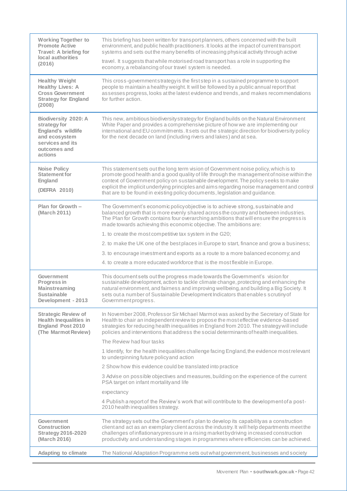| <b>Working Together to</b><br><b>Promote Active</b><br>Travel: A briefing for<br>local authorities<br>(2016)                      | This briefing has been written for transport planners, others concerned with the built<br>environment, and public health practitioners. It looks at the impact of current transport<br>systems and sets out the many benefits of increasing physical activity through active                                                                                                                                                                          |
|-----------------------------------------------------------------------------------------------------------------------------------|-------------------------------------------------------------------------------------------------------------------------------------------------------------------------------------------------------------------------------------------------------------------------------------------------------------------------------------------------------------------------------------------------------------------------------------------------------|
|                                                                                                                                   | travel. It suggests that while motorised road transport has a role in supporting the<br>economy, a rebalancing of our travel system is needed.                                                                                                                                                                                                                                                                                                        |
| <b>Healthy Weight</b><br><b>Healthy Lives: A</b><br><b>Cross Government</b><br><b>Strategy for England</b><br>(2008)              | This cross-government strategy is the first step in a sustained programme to support<br>people to maintain a healthy weight. It will be followed by a public annual report that<br>assesses progress, looks at the latest evidence and trends, and makes recommendations<br>for further action.                                                                                                                                                       |
| <b>Biodiversity 2020: A</b><br>strategy for<br>England's wildlife<br>and ecosystem<br>services and its<br>outcomes and<br>actions | This new, ambitious biodiversity strategy for England builds on the Natural Environment<br>White Paper and provides a comprehensive picture of how we are implementing our<br>international and EU commitments. It sets out the strategic direction for biodiversity policy<br>for the next decade on land (including rivers and lakes) and at sea.                                                                                                   |
| <b>Noise Policy</b><br><b>Statement for</b><br><b>England</b><br>(DEFRA 2010)                                                     | This statement sets out the long term vision of Government noise policy, which is to<br>promote good health and a good quality of life through the management of noise within the<br>context of Government policy on sustainable development. The policy seeks to make<br>explicit the implicit underlying principles and aims regarding noise management and control<br>that are to be found in existing policy documents, legislation and guidance. |
| Plan for Growth -<br>(March 2011)                                                                                                 | The Government's economic policy objective is to achieve strong, sustainable and<br>balanced growth that is more evenly shared across the country and between industries.<br>The Plan for Growth contains four overarching ambitions that will ensure the progress is<br>made towards achieving this economic objective. The ambitions are:                                                                                                           |
|                                                                                                                                   | 1. to create the most competitive tax system in the G20;                                                                                                                                                                                                                                                                                                                                                                                              |
|                                                                                                                                   | 2. to make the UK one of the best places in Europe to start, finance and grow a business;                                                                                                                                                                                                                                                                                                                                                             |
|                                                                                                                                   | 3. to encourage investment and exports as a route to a more balanced economy; and                                                                                                                                                                                                                                                                                                                                                                     |
|                                                                                                                                   | 4. to create a more educated workforce that is the most flexible in Europe.                                                                                                                                                                                                                                                                                                                                                                           |
| Government<br>Progress in<br><b>Mainstreaming</b><br><b>Sustainable</b><br>Development - 2013                                     | This document sets out the progress made towards the Government's vision for<br>sustainable development, action to tackle climate change, protecting and enhancing the<br>natural environment, and fairness and improving wellbeing, and building a Big Society. It<br>sets out a number of Sustainable Development Indicators that enables scrutiny of<br>Government progress.                                                                       |
| <b>Strategic Review of</b><br><b>Health Inequalities in</b><br><b>England Post 2010</b><br>(The Marmot Review)                    | In November 2008, Professor Sir Michael Marmot was asked by the Secretary of State for<br>Health to chair an independent review to propose the most effective evidence-based<br>strategies for reducing health inequalities in England from 2010. The strategy will include<br>policies and interventions that address the social determinants of health inequalities.                                                                                |
|                                                                                                                                   | The Review had four tasks                                                                                                                                                                                                                                                                                                                                                                                                                             |
|                                                                                                                                   | 1 Identify, for the health inequalities challenge facing England, the evidence most relevant<br>to underpinning future policy and action                                                                                                                                                                                                                                                                                                              |
|                                                                                                                                   | 2 Show how this evidence could be translated into practice                                                                                                                                                                                                                                                                                                                                                                                            |
|                                                                                                                                   | 3 Advise on possible objectives and measures, building on the experience of the current<br>PSA target on infant mortality and life                                                                                                                                                                                                                                                                                                                    |
|                                                                                                                                   | expectancy                                                                                                                                                                                                                                                                                                                                                                                                                                            |
|                                                                                                                                   | 4 Publish a report of the Review's work that will contribute to the development of a post-<br>2010 health inequalities strategy.                                                                                                                                                                                                                                                                                                                      |
| Government<br><b>Construction</b><br><b>Strategy 2016-2020</b><br>(March 2016)                                                    | The strategy sets out the Government's plan to develop its capability as a construction<br>client and act as an exemplary client across the industry. It will help departments meet the<br>challenges of inflationary pressure in a rising market by driving increased construction<br>productivity and understanding stages in programmes where efficiencies can be achieved.                                                                        |
| <b>Adapting to climate</b>                                                                                                        | The National Adaptation Programme sets out what government, businesses and society                                                                                                                                                                                                                                                                                                                                                                    |
|                                                                                                                                   |                                                                                                                                                                                                                                                                                                                                                                                                                                                       |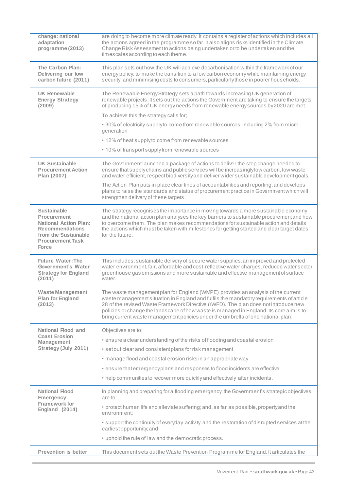| change: national<br>adaptation<br>programme (2013)                                                                                                      | are doing to become more climate ready. It contains a register of actions which includes all<br>the actions agreed in the programme so far. It also aligns risks identified in the Climate<br>Change Risk Assessment to actions being undertaken or to be undertaken and the<br>times cales according to each theme.                                                                                                                              |
|---------------------------------------------------------------------------------------------------------------------------------------------------------|---------------------------------------------------------------------------------------------------------------------------------------------------------------------------------------------------------------------------------------------------------------------------------------------------------------------------------------------------------------------------------------------------------------------------------------------------|
| The Carbon Plan:<br>Delivering our low<br>carbon future (2011)                                                                                          | This plan sets out how the UK will achieve decarbonisation within the framework of our<br>energy policy: to make the transition to a low carbon economy while maintaining energy<br>security, and minimising costs to consumers, particularly those in poorer households.                                                                                                                                                                         |
| <b>UK Renewable</b><br><b>Energy Strategy</b><br>(2009)                                                                                                 | The Renewable Energy Strategy sets a path towards increasing UK generation of<br>renewable projects. It sets out the actions the Government are taking to ensure the targets<br>of producing 15% of UK energy needs from renewable energy sources by 2020 are met.                                                                                                                                                                                |
|                                                                                                                                                         | To achieve this the strategy calls for;                                                                                                                                                                                                                                                                                                                                                                                                           |
|                                                                                                                                                         | • 30% of electricity supplyto come from renewable sources, including 2% from micro-<br>generation                                                                                                                                                                                                                                                                                                                                                 |
|                                                                                                                                                         | • 12% of heat supply to come from renewable sources                                                                                                                                                                                                                                                                                                                                                                                               |
|                                                                                                                                                         | • 10% of transport supply from renewable sources                                                                                                                                                                                                                                                                                                                                                                                                  |
| <b>UK Sustainable</b><br><b>Procurement Action</b><br>Plan (2007)                                                                                       | The Government launched a package of actions to deliver the step change needed to<br>ensure that supply chains and public services will be increasingly low carbon, low waste<br>and water efficient, respect biodiversity and deliver wider sustainable development goals.                                                                                                                                                                       |
|                                                                                                                                                         | The Action Plan puts in place clear lines of accountabilities and reporting, and develops<br>plans to raise the standards and status of procurement practice in Government which will<br>strengthen delivery of these targets.                                                                                                                                                                                                                    |
| <b>Sustainable</b><br>Procurement<br><b>National Action Plan:</b><br><b>Recommendations</b><br>from the Sustainable<br><b>Procurement Task</b><br>Force | The strategy recognises the importance in moving towards a more sustainable economy<br>and the national action plan analyses the key barriers to sustainable procurement and how<br>to overcome them. The plan makes recommendations for sustainable action and details<br>the actions which must be taken with milestones for getting started and clear target dates<br>for the future.                                                          |
| <b>Future Water: The</b><br>Government's Water<br><b>Strategy for England</b><br>(2011)                                                                 | This includes: sustainable delivery of secure water supplies, an improved and protected<br>water environment, fair, affordable and cost-reflective water charges, reduced water sector<br>greenhouse gas emissions and more sustainable and effective management of surface<br>water.                                                                                                                                                             |
| <b>Waste Management</b><br>Plan for England<br>(2013)                                                                                                   | The waste management plan for England (WMPE) provides an analysis of the current<br>waste management situation in England and fulfils the mandatory requirements of article<br>28 of the revised Waste Framework Directive (rWFD). The plan does not introduce new<br>policies or change the landscape of how waste is managed in England. Its core aim is to<br>bring current waste management policies under the umbrella of one national plan. |
| National Flood and                                                                                                                                      | Objectives are to:                                                                                                                                                                                                                                                                                                                                                                                                                                |
| <b>Coast Erosion</b><br>Management                                                                                                                      | • ensure a clear understanding of the risks of flooding and coastal erosion                                                                                                                                                                                                                                                                                                                                                                       |
| Strategy (July 2011)                                                                                                                                    | • set out clear and consistent plans for risk management                                                                                                                                                                                                                                                                                                                                                                                          |
|                                                                                                                                                         | · manage flood and coastal erosion risks in an appropriate way                                                                                                                                                                                                                                                                                                                                                                                    |
|                                                                                                                                                         | • ensure that emergencyplans and responses to flood incidents are effective                                                                                                                                                                                                                                                                                                                                                                       |
|                                                                                                                                                         | • help communities to recover more quickly and effectively after incidents.                                                                                                                                                                                                                                                                                                                                                                       |
| <b>National Flood</b><br><b>Emergency</b>                                                                                                               | In planning and preparing for a flooding emergency, the Government's strategic objectives<br>are to:                                                                                                                                                                                                                                                                                                                                              |
| <b>Framework for</b><br>England (2014)                                                                                                                  | • protect human life and alleviate suffering; and, as far as possible, property and the<br>environment:                                                                                                                                                                                                                                                                                                                                           |
|                                                                                                                                                         | . support the continuity of everyday activity and the restoration of disrupted services at the<br>earliest opportunity; and                                                                                                                                                                                                                                                                                                                       |
|                                                                                                                                                         | • uphold the rule of law and the democratic process.                                                                                                                                                                                                                                                                                                                                                                                              |
| <b>Prevention is better</b>                                                                                                                             | This document sets out the Waste Prevention Programme for England. It articulates the                                                                                                                                                                                                                                                                                                                                                             |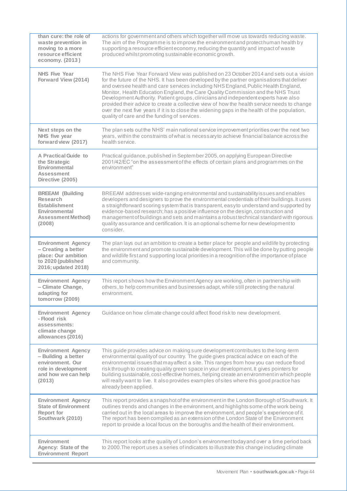| than cure: the role of<br>waste prevention in<br>moving to a more<br>resource efficient<br>economy. (2013)                   | actions for government and others which together will move us towards reducing waste.<br>The aim of the Programme is to improve the environment and protect human health by<br>supporting a resource efficient economy, reducing the quantity and impact of waste<br>produced whilst promoting sustainable economic growth.                                                                                                                                                                                                                                                                                                                                                                          |
|------------------------------------------------------------------------------------------------------------------------------|------------------------------------------------------------------------------------------------------------------------------------------------------------------------------------------------------------------------------------------------------------------------------------------------------------------------------------------------------------------------------------------------------------------------------------------------------------------------------------------------------------------------------------------------------------------------------------------------------------------------------------------------------------------------------------------------------|
| <b>NHS Five Year</b><br>Forward View (2014)                                                                                  | The NHS Five Year Forward View was published on 23 October 2014 and sets out a vision<br>for the future of the NHS. It has been developed by the partner organisations that deliver<br>and oversee health and care services including NHS England, Public Health England,<br>Monitor, Health Education England, the Care Quality Commission and the NHS Trust<br>Development Authority. Patient groups, clinicians and independent experts have also<br>provided their advice to create a collective view of how the health service needs to change<br>over the next five years if it is to close the widening gaps in the health of the population,<br>quality of care and the funding of services. |
| Next steps on the<br>NHS five year<br>forward view (2017)                                                                    | The plan sets out the NHS' main national service improvement priorities over the next two<br>years, within the constraints of what is necessary to achieve financial balance across the<br>health service.                                                                                                                                                                                                                                                                                                                                                                                                                                                                                           |
| A Practical Guide to<br>the Strategic<br>Environmental<br><b>Assessment</b><br>Directive (2005)                              | Practical guidance, published in September 2005, on applying European Directive<br>2001/42/EC "on the assessment of the effects of certain plans and programmes on the<br>environment"                                                                                                                                                                                                                                                                                                                                                                                                                                                                                                               |
| <b>BREEAM (Building</b><br>Research<br><b>Establishment</b><br>Environmental<br><b>Assessment Method)</b><br>(2008)          | BREEAM addresses wide-ranging environmental and sustainability issues and enables<br>developers and designers to prove the environmental credentials of their buildings. It uses<br>a straightforward scoring system that is transparent, easy to understand and supported by<br>evidence-based research; has a positive influence on the design, construction and<br>management of buildings and sets and maintains a robust technical standard with rigorous<br>quality assurance and certification. It is an optional scheme for new development to<br>consider.                                                                                                                                  |
| <b>Environment Agency</b><br>- Creating a better<br>place: Our ambition<br>to 2020 (published<br>2016; updated 2018)         | The plan lays out an ambition to create a better place for people and wildlife by protecting<br>the environment and promote sustainable development. This will be done by putting people<br>and wildlife first and supporting local priorities in a recognition of the importance of place<br>and community.                                                                                                                                                                                                                                                                                                                                                                                         |
| <b>Environment Agency</b><br>- Climate Change,<br>adapting for<br>tomorrow (2009)                                            | This report shows how the Environment Agency are working, often in partnership with<br>others, to help communities and businesses adapt, while still protecting the natural<br>environment.                                                                                                                                                                                                                                                                                                                                                                                                                                                                                                          |
| <b>Environment Agency</b><br>- Flood risk<br>assessments:<br>climate change<br>allowances (2016)                             | Guidance on how climate change could affect flood risk to new development.                                                                                                                                                                                                                                                                                                                                                                                                                                                                                                                                                                                                                           |
| <b>Environment Agency</b><br>- Building a better<br>environment. Our<br>role in development<br>and how we can help<br>(2013) | This guide provides advice on making sure development contributes to the long-term<br>environmental quality of our country. The guide gives practical advice on each of the<br>environmental issues that may affect a site. This ranges from how you can reduce flood<br>risk through to creating quality green space in your development. It gives pointers for<br>building sustainable, cost-effective homes, helping create an environment in which people<br>will really want to live. It also provides examples of sites where this good practice has<br>already been applied.                                                                                                                  |
| <b>Environment Agency</b><br><b>State of Environment</b><br><b>Report for</b><br>Southwark (2010)                            | This report provides a snapshot of the environment in the London Borough of Southwark. It<br>outlines trends and changes in the environment, and highlights some of the work being<br>carried out in the local areas to improve the environment, and people's experience of it.<br>The report has been compiled as an extension of the London State of the Environment<br>report to provide a local focus on the boroughs and the health of their environment.                                                                                                                                                                                                                                       |
| Environment<br>Agency: State of the<br><b>Environment Report</b>                                                             | This report looks at the quality of London's environment today and over a time period back<br>to 2000. The report uses a series of indicators to illustrate this change including climate                                                                                                                                                                                                                                                                                                                                                                                                                                                                                                            |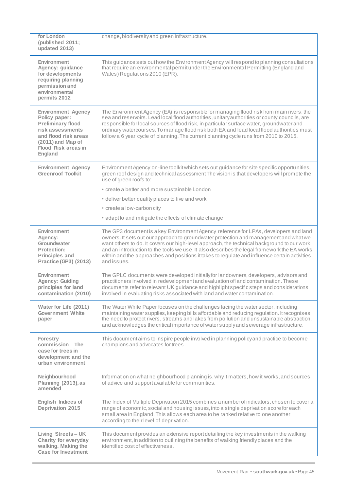| for London<br>(published 2011;<br>updated 2013)                                                                                                                                  | change, biodiversity and green infrastructure.                                                                                                                                                                                                                                                                                                                                                                                                                                            |
|----------------------------------------------------------------------------------------------------------------------------------------------------------------------------------|-------------------------------------------------------------------------------------------------------------------------------------------------------------------------------------------------------------------------------------------------------------------------------------------------------------------------------------------------------------------------------------------------------------------------------------------------------------------------------------------|
| <b>Environment</b><br>Agency: guidance<br>for developments<br>requiring planning<br>permission and<br>environmental<br>permits 2012                                              | This guidance sets out how the Environment Agency will respond to planning consultations<br>that require an environmental permit under the Environmental Permitting (England and<br>Wales) Regulations 2010 (EPR).                                                                                                                                                                                                                                                                        |
| <b>Environment Agency</b><br>Policy paper:<br><b>Preliminary flood</b><br>risk assessments<br>and flood risk areas<br>(2011) and Map of<br><b>Flood Risk areas in</b><br>England | The Environment Agency (EA) is responsible for managing flood risk from main rivers, the<br>sea and reservoirs. Lead local flood authorities, unitary authorities or county councils, are<br>responsible for local sources of flood risk, in particular surface water, groundwater and<br>ordinary watercourses. To manage flood risk both EA and lead local flood authorities must<br>follow a 6 year cycle of planning. The current planning cycle runs from 2010 to 2015.              |
| <b>Environment Agency</b><br><b>Greenroof Toolkit</b>                                                                                                                            | Environment Agency on-line toolkit which sets out guidance for site specific opportunities,<br>green roof design and technical assessment The vision is that developers will promote the<br>use of green roofs to:                                                                                                                                                                                                                                                                        |
|                                                                                                                                                                                  | • create a better and more sustainable London                                                                                                                                                                                                                                                                                                                                                                                                                                             |
|                                                                                                                                                                                  | • deliver better quality places to live and work                                                                                                                                                                                                                                                                                                                                                                                                                                          |
|                                                                                                                                                                                  | • create a low-carbon city                                                                                                                                                                                                                                                                                                                                                                                                                                                                |
|                                                                                                                                                                                  | • adapt to and mitigate the effects of climate change                                                                                                                                                                                                                                                                                                                                                                                                                                     |
| Environment<br>Agency:<br>Groundwater<br><b>Protection:</b><br><b>Principles and</b><br><b>Practice (GP3) (2013)</b>                                                             | The GP3 documentis a key Environment Agency reference for LPAs, developers and land<br>owners. It sets out our approach to groundwater protection and management and what we<br>want others to do. It covers our high-level approach, the technical background to our work<br>and an introduction to the tools we use. It also describes the legal framework the EA works<br>within and the approaches and positions it takes to regulate and influence certain activities<br>and issues. |
| <b>Environment</b><br>Agency: Guiding<br>principles for land<br>contamination (2010)                                                                                             | The GPLC documents were developed initially for landowners, developers, advisors and<br>practitioners involved in redevelopment and evaluation of land contamination. These<br>documents refer to relevant UK guidance and highlight specific steps and considerations<br>involved in evaluating risks associated with land and water contamination.                                                                                                                                      |
| Water for Life (2011)<br><b>Government White</b><br>paper                                                                                                                        | The Water White Paper focuses on the challenges facing the water sector, including<br>maintaining water supplies, keeping bills affordable and reducing regulation. It recognises<br>the need to protect rivers, streams and lakes from pollution and unsustainable abstraction,<br>and acknowledges the critical importance of water supply and sewerage infrastructure.                                                                                                                 |
| Forestry<br>commission - The<br>case for trees in<br>development and the<br>urban environment                                                                                    | This document aims to inspire people involved in planning policy and practice to become<br>champions and advocates for trees.                                                                                                                                                                                                                                                                                                                                                             |
| Neighbourhood<br>Planning (2013), as<br>amended                                                                                                                                  | Information on what neighbourhood planning is, why it matters, how it works, and sources<br>of advice and support available for communities.                                                                                                                                                                                                                                                                                                                                              |
| <b>English Indices of</b><br>Deprivation 2015                                                                                                                                    | The Index of Multiple Deprivation 2015 combines a number of indicators, chosen to cover a<br>range of economic, social and housing issues, into a single deprivation score for each<br>small area in England. This allows each area to be ranked relative to one another<br>according to their level of deprivation.                                                                                                                                                                      |
| Living Streets - UK<br>Charity for everyday<br>walking. Making the<br><b>Case for Investment</b>                                                                                 | This document provides an extensive report detailing the key investments in the walking<br>environment, in addition to outlining the benefits of walking friendlyplaces and the<br>identified cost of effectiveness.                                                                                                                                                                                                                                                                      |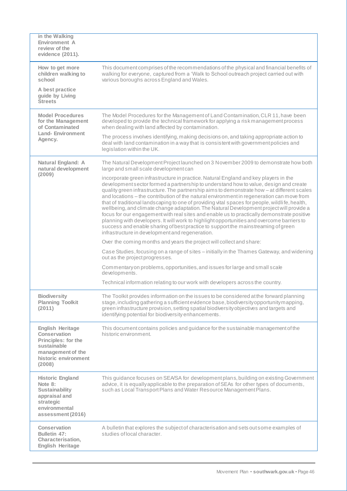| in the Walking<br>Environment A<br>review of the<br>evidence (2011).                                                                        |                                                                                                                                                                                                                                                                                                                                                                                                                                                                                                                                                                                                                                                                                                                                                                                                                                                                                                             |
|---------------------------------------------------------------------------------------------------------------------------------------------|-------------------------------------------------------------------------------------------------------------------------------------------------------------------------------------------------------------------------------------------------------------------------------------------------------------------------------------------------------------------------------------------------------------------------------------------------------------------------------------------------------------------------------------------------------------------------------------------------------------------------------------------------------------------------------------------------------------------------------------------------------------------------------------------------------------------------------------------------------------------------------------------------------------|
| How to get more<br>children walking to<br>school                                                                                            | This document comprises of the recommendations of the physical and financial benefits of<br>walking for everyone, captured from a 'Walk to School outreach project carried out with<br>various boroughs across England and Wales.                                                                                                                                                                                                                                                                                                                                                                                                                                                                                                                                                                                                                                                                           |
| A best practice<br>guide by Living<br><b>Streets</b>                                                                                        |                                                                                                                                                                                                                                                                                                                                                                                                                                                                                                                                                                                                                                                                                                                                                                                                                                                                                                             |
| <b>Model Procedures</b><br>for the Management<br>of Contaminated                                                                            | The Model Procedures for the Management of Land Contamination, CLR 11, have been<br>developed to provide the technical framework for applying a risk management process<br>when dealing with land affected by contamination.                                                                                                                                                                                                                                                                                                                                                                                                                                                                                                                                                                                                                                                                                |
| <b>Land-Environment</b><br>Agency.                                                                                                          | The process involves identifying, making decisions on, and taking appropriate action to<br>deal with land contamination in a way that is consistent with government policies and<br>legislation within the UK.                                                                                                                                                                                                                                                                                                                                                                                                                                                                                                                                                                                                                                                                                              |
| Natural England: A<br>natural development                                                                                                   | The Natural Development Project launched on 3 November 2009 to demonstrate how both<br>large and small scale development can                                                                                                                                                                                                                                                                                                                                                                                                                                                                                                                                                                                                                                                                                                                                                                                |
| (2009)                                                                                                                                      | incorporate green infrastructure in practice. Natural England and key players in the<br>development sector formed a partnership to understand how to value, design and create<br>quality green infrastructure. The partnership aims to demonstrate how - at different scales<br>and locations – the contribution of the natural environment in regeneration can move from<br>that of traditional landscaping to one of providing vital spaces for people, wildlife, health,<br>wellbeing, and climate change adaptation. The Natural Development project will provide a<br>focus for our engagement with real sites and enable us to practically demonstrate positive<br>planning with developers. It will work to highlight opportunities and overcome barriers to<br>success and enable sharing of best practice to support the mainstreaming of green<br>infrastructure in development and regeneration. |
|                                                                                                                                             | Over the coming months and years the project will collect and share:                                                                                                                                                                                                                                                                                                                                                                                                                                                                                                                                                                                                                                                                                                                                                                                                                                        |
|                                                                                                                                             | Case Studies, focusing on a range of sites - initially in the Thames Gateway, and widening<br>out as the project progresses.                                                                                                                                                                                                                                                                                                                                                                                                                                                                                                                                                                                                                                                                                                                                                                                |
|                                                                                                                                             | Commentary on problems, opportunities, and issues for large and small scale<br>developments.                                                                                                                                                                                                                                                                                                                                                                                                                                                                                                                                                                                                                                                                                                                                                                                                                |
|                                                                                                                                             | Technical information relating to our work with developers across the country.                                                                                                                                                                                                                                                                                                                                                                                                                                                                                                                                                                                                                                                                                                                                                                                                                              |
| <b>Biodiversity</b><br><b>Planning Toolkit</b><br>(2011)                                                                                    | The Toolkit provides information on the issues to be considered at the forward planning<br>stage, including gathering a sufficient evidence base, biodiversity opportunity mapping,<br>green infrastructure provision, setting spatial biodiversity objectives and targets and<br>identifying potential for biodiversity enhancements.                                                                                                                                                                                                                                                                                                                                                                                                                                                                                                                                                                      |
| <b>English Heritage</b><br><b>Conservation</b><br>Principles: for the<br>sustainable<br>management of the<br>historic environment<br>(2008) | This document contains policies and guidance for the sustainable management of the<br>historic environment.                                                                                                                                                                                                                                                                                                                                                                                                                                                                                                                                                                                                                                                                                                                                                                                                 |
| <b>Historic England</b><br>Note 8:<br><b>Sustainability</b><br>appraisal and<br>strategic<br>environmental<br>assessment (2016)             | This guidance focuses on SEA/SA for development plans, building on existing Government<br>advice, it is equally applicable to the preparation of SEAs for other types of documents,<br>such as Local Transport Plans and Water Resource Management Plans.                                                                                                                                                                                                                                                                                                                                                                                                                                                                                                                                                                                                                                                   |
| Conservation<br>Bulletin 47:<br>Characterisation,<br><b>English Heritage</b>                                                                | A bulletin that explores the subject of characterisation and sets out some examples of<br>studies of local character.                                                                                                                                                                                                                                                                                                                                                                                                                                                                                                                                                                                                                                                                                                                                                                                       |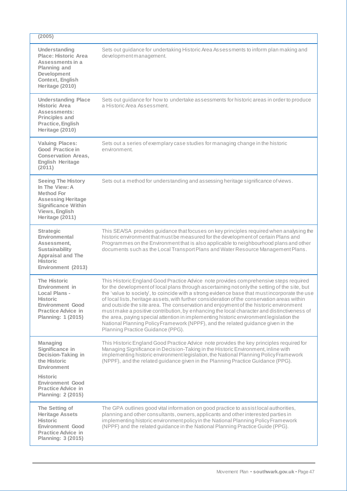| (2005)                                                                                                                                                           |                                                                                                                                                                                                                                                                                                                                                                                                                                                                                                                                                                                                                                                                                                                                                                                                    |
|------------------------------------------------------------------------------------------------------------------------------------------------------------------|----------------------------------------------------------------------------------------------------------------------------------------------------------------------------------------------------------------------------------------------------------------------------------------------------------------------------------------------------------------------------------------------------------------------------------------------------------------------------------------------------------------------------------------------------------------------------------------------------------------------------------------------------------------------------------------------------------------------------------------------------------------------------------------------------|
| Understanding<br><b>Place: Historic Area</b><br>Assessments in a<br><b>Planning and</b><br>Development<br>Context, English<br>Heritage (2010)                    | Sets out guidance for undertaking Historic Area Assessments to inform plan making and<br>development management.                                                                                                                                                                                                                                                                                                                                                                                                                                                                                                                                                                                                                                                                                   |
| <b>Understanding Place</b><br><b>Historic Area</b><br>Assessments:<br><b>Principles and</b><br>Practice, English<br>Heritage (2010)                              | Sets out guidance for how to undertake assessments for historic areas in order to produce<br>a Historic Area Assessment.                                                                                                                                                                                                                                                                                                                                                                                                                                                                                                                                                                                                                                                                           |
| <b>Valuing Places:</b><br><b>Good Practice in</b><br><b>Conservation Areas,</b><br><b>English Heritage</b><br>(2011)                                             | Sets out a series of exemplary case studies for managing change in the historic<br>environment.                                                                                                                                                                                                                                                                                                                                                                                                                                                                                                                                                                                                                                                                                                    |
| <b>Seeing The History</b><br>In The View: A<br><b>Method For</b><br><b>Assessing Heritage</b><br><b>Significance Within</b><br>Views, English<br>Heritage (2011) | Sets out a method for understanding and assessing heritage significance of views.                                                                                                                                                                                                                                                                                                                                                                                                                                                                                                                                                                                                                                                                                                                  |
| <b>Strategic</b><br>Environmental<br>Assessment.<br><b>Sustainability</b><br>Appraisal and The<br><b>Historic</b><br>Environment (2013)                          | This SEA/SA provides guidance that focuses on key principles required when analysing the<br>historic environment that must be measured for the development of certain Plans and<br>Programmes on the Environment that is also applicable to neighbourhood plans and other<br>documents such as the Local Transport Plans and Water Resource Management Plans.                                                                                                                                                                                                                                                                                                                                                                                                                                      |
| <b>The Historic</b><br>Environment in<br>Local Plans -<br><b>Historic</b><br><b>Environment Good</b><br><b>Practice Advice in</b><br>Planning: 1 (2015)          | This Historic England Good Practice Advice note provides comprehensive steps required<br>for the development of local plans through ascertaining not only the setting of the site, but<br>the 'value to society', to coincide with a strong evidence base that must incorporate the use<br>of local lists, heritage assets, with further consideration of the conservation areas within<br>and outside the site area. The conservation and enjoyment of the historic environment<br>must make a positive contribution, by enhancing the local character and distinctiveness of<br>the area, paying special attention in implementing historic environment legislation the<br>National Planning Policy Framework (NPPF), and the related guidance given in the<br>Planning Practice Guidance (PPG). |
| <b>Managing</b><br>Significance in<br>Decision-Taking in<br>the Historic<br>Environment<br><b>Historic</b><br><b>Environment Good</b>                            | This Historic England Good Practice Advice note provides the key principles required for<br>Managing Significance in Decision-Taking in the Historic Environment, inline with<br>implementing historic environment legislation, the National Planning Policy Framework<br>(NPPF), and the related guidance given in the Planning Practice Guidance (PPG).                                                                                                                                                                                                                                                                                                                                                                                                                                          |
| <b>Practice Advice in</b><br><b>Planning: 2 (2015)</b>                                                                                                           |                                                                                                                                                                                                                                                                                                                                                                                                                                                                                                                                                                                                                                                                                                                                                                                                    |
| The Setting of<br><b>Heritage Assets</b><br>Historic<br><b>Environment Good</b><br><b>Practice Advice in</b><br><b>Planning: 3 (2015)</b>                        | The GPA outlines good vital information on good practice to assist local authorities,<br>planning and other consultants, owners, applicants and other interested parties in<br>implementing historic environment policy in the National Planning Policy Framework<br>(NPPF) and the related guidance in the National Planning Practice Guide (PPG).                                                                                                                                                                                                                                                                                                                                                                                                                                                |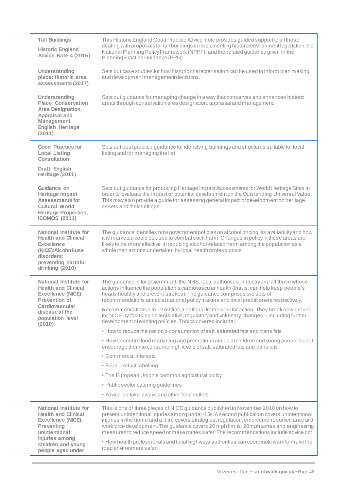| <b>Tall Buildings</b><br><b>Historic England</b><br><b>Advice Note 4 (2015)</b>                                                                                 | This Historic England Good Practice Advice note provides guided support to all those<br>dealing with proposals for tall buildings in implementing historic environment legislation, the<br>National Planning Policy Framework (NPPF), and the related guidance given in the<br>Planning Practice Guidance (PPG).                                                                                                                                                                                                                                               |
|-----------------------------------------------------------------------------------------------------------------------------------------------------------------|----------------------------------------------------------------------------------------------------------------------------------------------------------------------------------------------------------------------------------------------------------------------------------------------------------------------------------------------------------------------------------------------------------------------------------------------------------------------------------------------------------------------------------------------------------------|
| Understanding<br>place: Historic area<br>assessments (2017)                                                                                                     | Sets out case studies for how historic characterisation can be used to inform plan making<br>and development management decisions.                                                                                                                                                                                                                                                                                                                                                                                                                             |
| Understanding<br><b>Place: Conservation</b><br>Area Designation,<br>Appraisal and<br>Management,<br><b>English Heritage</b><br>(2011)                           | Sets out guidance for managing change in a way that conserves and enhances historic<br>areas through conservation area designation, appraisal and management.                                                                                                                                                                                                                                                                                                                                                                                                  |
| <b>Good Practice for</b><br><b>Local Listing</b><br>Consultation<br>Draft, English<br>Heritage (2011)                                                           | Sets out best practice guidance for identifying buildings and structures suitable for local<br>listing and for managing the list.                                                                                                                                                                                                                                                                                                                                                                                                                              |
|                                                                                                                                                                 |                                                                                                                                                                                                                                                                                                                                                                                                                                                                                                                                                                |
| Guidance on<br>Heritage Impact<br><b>Assessments for</b><br><b>Cultural World</b><br><b>Heritage Properties,</b><br><b>ICOMOS (2011)</b>                        | Sets out guidance for producing Heritage Impact Assessments for World Heritage Sites in<br>order to evaluate the impact of potential development on the Outstanding Universal Value.<br>This may also provide a guide for assessing general impact of development on heritage<br>assets and their settings.                                                                                                                                                                                                                                                    |
| <b>National Institute for</b><br><b>Health and Clinical</b><br><b>Excellence</b><br>(NICE):Alcohol-use<br>disorders:<br>preventing harmful<br>drinking (2010)   | The guidance identifies how government policies on alcohol pricing, its availability and how<br>it is marketed could be used to combat such harm. Changes in policy in these areas are<br>likely to be more effective in reducing alcohol-related harm among the population as a<br>whole than actions undertaken by local health professionals.                                                                                                                                                                                                               |
| <b>National Institute for</b><br><b>Health and Clinical</b><br><b>Excellence (NICE):</b><br><b>Prevention of</b>                                                | The guidance is for government, the NHS, local authorities, industry and all those whose<br>actions influence the population's cardiovas cular health (that is, can help keep people's<br>hearts healthy and prevent strokes). The guidance comprises two sets of<br>recommendations aimed at national policy makers and local practitioners respectively.                                                                                                                                                                                                     |
| Cardiovascular<br>disease at the<br>population level<br>(2010)                                                                                                  | Recommendations 1 to 12 outline a national framework for action. They break new ground<br>for NICE by focusing on legislative, regulatory and voluntary changes – including further<br>development of existing policies. Topics covered include:                                                                                                                                                                                                                                                                                                               |
|                                                                                                                                                                 | • How to reduce the nation's consumption of salt, saturated fats and trans fats                                                                                                                                                                                                                                                                                                                                                                                                                                                                                |
|                                                                                                                                                                 | • How to ensure food marketing and promotions aimed at children and young people do not<br>encourage them to consume high levels of salt, saturated fats and trans fats                                                                                                                                                                                                                                                                                                                                                                                        |
|                                                                                                                                                                 | • Commercial interests                                                                                                                                                                                                                                                                                                                                                                                                                                                                                                                                         |
|                                                                                                                                                                 | • Food product labelling                                                                                                                                                                                                                                                                                                                                                                                                                                                                                                                                       |
|                                                                                                                                                                 | • The European Union's common agricultural policy                                                                                                                                                                                                                                                                                                                                                                                                                                                                                                              |
|                                                                                                                                                                 | • Public sector catering guidelines                                                                                                                                                                                                                                                                                                                                                                                                                                                                                                                            |
|                                                                                                                                                                 | • Advice on take-aways and other food outlets.                                                                                                                                                                                                                                                                                                                                                                                                                                                                                                                 |
| National Institute for<br><b>Health and Clinical</b><br><b>Excellence (NICE):</b><br><b>Preventing</b><br>unintentional<br>injuries among<br>children and young | This is one of three pieces of NICE guidance published in November 2010 on how to<br>prevent unintentional injuries among under-15s. A second publication covers unintentional<br>injuries in the home and a third covers strategies, regulation, enforcement, surveillance and<br>workforce development. The guidance covers 20 mph limits, 20mph zones and engineering<br>measures to reduce speed or make routes safer. The recommendations include advice on:<br>• How health professionals and local highways authorities can coordinate work to make the |
| people aged under                                                                                                                                               | road environment safer.                                                                                                                                                                                                                                                                                                                                                                                                                                                                                                                                        |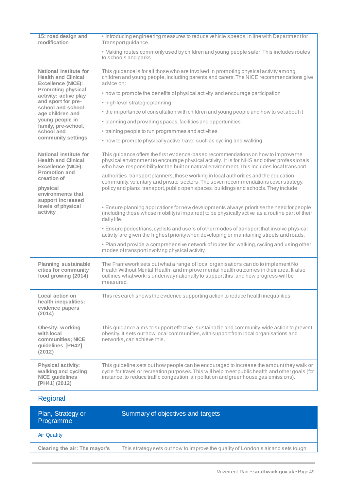| 15: road design and<br>modification                                                         | . Introducing engineering measures to reduce vehicle speeds, in line with Department for<br>Transport guidance.                                                                                                                                                                     |
|---------------------------------------------------------------------------------------------|-------------------------------------------------------------------------------------------------------------------------------------------------------------------------------------------------------------------------------------------------------------------------------------|
|                                                                                             | • Making routes commonly used by children and young people safer. This includes routes<br>to schools and parks.                                                                                                                                                                     |
| <b>National Institute for</b><br><b>Health and Clinical</b><br><b>Excellence (NICE):</b>    | This guidance is for all those who are involved in promoting physical activity among<br>children and young people, including parents and carers. The NICE recommendations give<br>advice on:                                                                                        |
| <b>Promoting physical</b><br>activity: active play                                          | • how to promote the benefits of physical activity and encourage participation                                                                                                                                                                                                      |
| and sport for pre-                                                                          | • high level strategic planning                                                                                                                                                                                                                                                     |
| school and school-<br>age children and                                                      | • the importance of consultation with children and young people and how to set about it                                                                                                                                                                                             |
| young people in<br>family, pre-school,                                                      | • planning and providing spaces, facilities and opportunities                                                                                                                                                                                                                       |
| school and                                                                                  | • training people to run programmes and activities                                                                                                                                                                                                                                  |
| community settings                                                                          | • how to promote physically active travel such as cycling and walking.                                                                                                                                                                                                              |
| National Institute for<br><b>Health and Clinical</b><br><b>Excellence (NICE):</b>           | This guidance offers the first evidence-based recommendations on how to improve the<br>physical environment to encourage physical activity. It is for NHS and other professionals<br>who have responsibility for the built or natural environment. This includes local transport    |
| <b>Promotion and</b><br>creation of<br>physical<br>environments that                        | authorities, transport planners, those working in local authorities and the education,<br>community, voluntary and private sectors. The seven recommendations cover strategy,<br>policy and plans, transport, public open spaces, buildings and schools. They include:              |
| support increased<br>levels of physical<br>activity                                         | • Ensure planning applications for new developments always prioritise the need for people<br>(including those whose mobility is impaired) to be physically active as a routine part of their<br>daily life.                                                                         |
|                                                                                             | • Ensure pedestrians, cyclists and users of other modes of transport that involve physical<br>activity are given the highest priority when developing or maintaining streets and roads.                                                                                             |
|                                                                                             | • Plan and provide a comprehensive network of routes for walking, cycling and using other<br>modes of transport involving physical activity.                                                                                                                                        |
| <b>Planning sustainable</b><br>cities for community<br>food growing (2014)                  | The Framework sets out what a range of local organisations can do to implement No<br>Health Without Mental Health, and improve mental health outcomes in their area. It also<br>outlines what work is underwaynationally to support this, and how progress will be<br>measured.     |
| Local action on<br>health inequalities:<br>evidence papers<br>(2014)                        | This research shows the evidence supporting action to reduce health inequalities.                                                                                                                                                                                                   |
| <b>Obesity: working</b><br>with local<br>communities; NICE<br>guidelines [PH42]<br>(2012)   | This guidance aims to support effective, sustainable and community-wide action to prevent<br>obesity. It sets out how local communities, with support from local organisations and<br>networks, can achieve this.                                                                   |
| <b>Physical activity:</b><br>walking and cycling<br><b>NICE</b> guidelines<br>[PH41] (2012) | This guideline sets out how people can be encouraged to increase the amount they walk or<br>cycle for travel or recreation purposes. This will help meet public health and other goals (for<br>instance, to reduce traffic congestion, air pollution and greenhouse gas emissions). |
| Regional                                                                                    |                                                                                                                                                                                                                                                                                     |
| Plan, Strategy or<br>Programme                                                              | Summary of objectives and targets                                                                                                                                                                                                                                                   |
| <b>Air Quality</b>                                                                          |                                                                                                                                                                                                                                                                                     |
| Clearing the air: The mayor's                                                               | This strategy sets out how to improve the quality of London's air and sets tough                                                                                                                                                                                                    |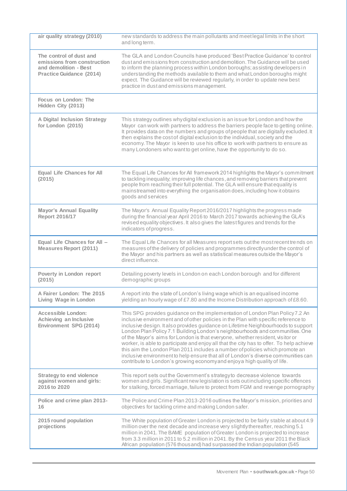| air quality strategy (2010)                                                                                        | new standards to address the main pollutants and meet legal limits in the short<br>and long term.                                                                                                                                                                                                                                                                                                                                                                                                                                                                                                                                                                                                                                                                      |
|--------------------------------------------------------------------------------------------------------------------|------------------------------------------------------------------------------------------------------------------------------------------------------------------------------------------------------------------------------------------------------------------------------------------------------------------------------------------------------------------------------------------------------------------------------------------------------------------------------------------------------------------------------------------------------------------------------------------------------------------------------------------------------------------------------------------------------------------------------------------------------------------------|
| The control of dust and<br>emissions from construction<br>and demolition - Best<br><b>Practice Guidance (2014)</b> | The GLA and London Councils have produced 'Best Practice Guidance' to control<br>dust and emissions from construction and demolition. The Guidance will be used<br>to inform the planning process within London boroughs; assisting developers in<br>understanding the methods available to them and what London boroughs might<br>expect. The Guidance will be reviewed regularly, in order to update new best<br>practice in dust and emissions management.                                                                                                                                                                                                                                                                                                          |
| Focus on London: The<br>Hidden City (2013)                                                                         |                                                                                                                                                                                                                                                                                                                                                                                                                                                                                                                                                                                                                                                                                                                                                                        |
| <b>A Digital Inclusion Strategy</b><br>for London (2015)                                                           | This strategy outlines why digital exclusion is an issue for London and how the<br>Mayor can work with partners to address the barriers people face to getting online.<br>It provides data on the numbers and groups of people that are digitally excluded. It<br>then explains the cost of digital exclusion to the individual, society and the<br>economy. The Mayor is keen to use his office to work with partners to ensure as<br>many Londoners who want to get online, have the opportunity to do so.                                                                                                                                                                                                                                                           |
| <b>Equal Life Chances for All</b><br>(2015)                                                                        | The Equal Life Chances for All framework 2014 highlights the Mayor's commitment<br>to tackling inequality; improving life chances, and removing barriers that prevent<br>people from reaching their full potential. The GLA will ensure that equality is<br>mainstreamed into everything the organisation does, including how it obtains<br>goods and services                                                                                                                                                                                                                                                                                                                                                                                                         |
| <b>Mayor's Annual Equality</b><br>Report 2016/17                                                                   | The Mayor's Annual Equality Report 2016/2017 highlights the progress made<br>during the financial year April 2016 to March 2017 towards achieving the GLA's<br>revised equality objectives. It also gives the latest figures and trends for the<br>indicators of progress.                                                                                                                                                                                                                                                                                                                                                                                                                                                                                             |
| Equal Life Chances for All -<br><b>Measures Report (2011)</b>                                                      | The Equal Life Chances for all Measures report sets out the most recent trends on<br>measures of the delivery of policies and programmes directly under the control of<br>the Mayor and his partners as well as statistical measures outside the Mayor's<br>direct influence.                                                                                                                                                                                                                                                                                                                                                                                                                                                                                          |
| Poverty in London report<br>(2015)                                                                                 | Detailing poverty levels in London on each London borough and for different<br>demographic groups                                                                                                                                                                                                                                                                                                                                                                                                                                                                                                                                                                                                                                                                      |
| A Fairer London: The 2015<br>Living Wage in London                                                                 | A report into the state of London's living wage which is an equalised income<br>yielding an hourly wage of £7.80 and the Income Distribution approach of £8.60.                                                                                                                                                                                                                                                                                                                                                                                                                                                                                                                                                                                                        |
| <b>Accessible London:</b><br>Achieving an Inclusive<br><b>Environment SPG (2014)</b>                               | This SPG provides guidance on the implementation of London Plan Policy 7.2 An<br>inclusive environment and of other policies in the Plan with specific reference to<br>inclusive design. It also provides guidance on Lifetime Neighbourhoods to support<br>London Plan Policy 7.1 Building London's neighbourhoods and communities. One<br>of the Mayor's aims for London is that everyone, whether resident, visitor or<br>worker, is able to participate and enjoy all that the city has to offer. To help achieve<br>this aim the London Plan 2011 includes a number of policies which promote an<br>inclusive environment to help ensure that all of London's diverse communities can<br>contribute to London's growing economy and enjoy a high quality of life. |
| <b>Strategy to end violence</b><br>against women and girls:<br>2016 to 2020                                        | This report sets out the Government's strategy to decrease violence towards<br>women and girls. Significant new legislation is sets out including specific offences<br>for stalking, forced marriage, failure to protect from FGM and revenge pornography                                                                                                                                                                                                                                                                                                                                                                                                                                                                                                              |
| Police and crime plan 2013-<br>16                                                                                  | The Police and Crime Plan 2013-2016 outlines the Mayor's mission, priorities and<br>objectives for tackling crime and making London safer.                                                                                                                                                                                                                                                                                                                                                                                                                                                                                                                                                                                                                             |
| 2015 round population<br>projections                                                                               | The White population of Greater London is projected to be fairly stable at about 4.9<br>million over the next decade and increase very slightly thereafter, reaching 5.1<br>million in 2041. The BAME population of Greater London is projected to increase<br>from 3.3 million in 2011 to 5.2 million in 2041. By the Census year 2011 the Black<br>African population (576 thous and) had surpassed the Indian population (545                                                                                                                                                                                                                                                                                                                                       |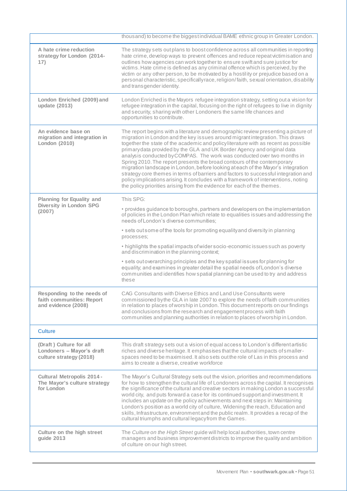|                                                                                 | thousand) to become the biggest individual BAME ethnic group in Greater London.                                                                                                                                                                                                                                                                                                                                                                                                                                                                                                                                                                                                                                                                                                                                                          |
|---------------------------------------------------------------------------------|------------------------------------------------------------------------------------------------------------------------------------------------------------------------------------------------------------------------------------------------------------------------------------------------------------------------------------------------------------------------------------------------------------------------------------------------------------------------------------------------------------------------------------------------------------------------------------------------------------------------------------------------------------------------------------------------------------------------------------------------------------------------------------------------------------------------------------------|
| A hate crime reduction<br>strategy for London (2014-<br>17)                     | The strategy sets out plans to boost confidence across all communities in reporting<br>hate crime, develop ways to prevent offences and reduce repeat victimisation and<br>outlines how agencies can work together to ensure swift and sure justice for<br>victims. Hate crime is defined as any criminal offence which is perceived, by the<br>victim or any other person, to be motivated by a hostility or prejudice based on a<br>personal characteristic, specifically race, religion/faith, sexual orientation, disability<br>and transgender identity.                                                                                                                                                                                                                                                                            |
| London Enriched (2009) and<br>update (2013)                                     | London Enriched is the Mayors refugee integration strategy, setting out a vision for<br>refugee integration in the capital, focusing on the right of refugees to live in dignity<br>and security, sharing with other Londoners the same life chances and<br>opportunities to contribute.                                                                                                                                                                                                                                                                                                                                                                                                                                                                                                                                                 |
| An evidence base on<br>migration and integration in<br>London (2010)            | The report begins with a literature and demographic review presenting a picture of<br>migration in London and the key issues around migrant integration. This draws<br>together the state of the academic and policy literature with as recent as possible<br>primary data provided by the GLA and UK Border Agency and original data<br>analysis conducted by COMPAS. The work was conducted over two months in<br>Spring 2010. The report presents the broad contours of the contemporary<br>migration landscape in London, before looking at each of the Mayor's integration<br>strategy core themes in terms of barriers and factors to successful integration and<br>policy implications arising. It concludes with a framework of interventions, noting<br>the policy priorities arising from the evidence for each of the themes. |
| Planning for Equality and                                                       | This SPG:                                                                                                                                                                                                                                                                                                                                                                                                                                                                                                                                                                                                                                                                                                                                                                                                                                |
| Diversity in London SPG<br>(2007)                                               | • provides guidance to boroughs, partners and developers on the implementation<br>of policies in the London Plan which relate to equalities issues and addressing the<br>needs of London's diverse communities;                                                                                                                                                                                                                                                                                                                                                                                                                                                                                                                                                                                                                          |
|                                                                                 | • sets out some of the tools for promoting equality and diversity in planning<br>processes:                                                                                                                                                                                                                                                                                                                                                                                                                                                                                                                                                                                                                                                                                                                                              |
|                                                                                 | • highlights the spatial impacts of wider socio-economic issues such as poverty<br>and discrimination in the planning context;                                                                                                                                                                                                                                                                                                                                                                                                                                                                                                                                                                                                                                                                                                           |
|                                                                                 | • sets out overarching principles and the key spatial issues for planning for<br>equality; and examines in greater detail the spatial needs of London's diverse<br>communities and identifies how spatial planning can be used to try and address<br>these                                                                                                                                                                                                                                                                                                                                                                                                                                                                                                                                                                               |
| Responding to the needs of<br>faith communities: Report<br>and evidence (2008)  | CAG Consultants with Diverse Ethics and Land Use Consultants were<br>commissioned by the GLA in late 2007 to explore the needs of faith communities<br>in relation to places of worship in London. This document reports on our findings<br>and conclusions from the research and engagement process with faith<br>communities and planning authorities in relation to places of worship in London.                                                                                                                                                                                                                                                                                                                                                                                                                                      |
| <b>Culture</b>                                                                  |                                                                                                                                                                                                                                                                                                                                                                                                                                                                                                                                                                                                                                                                                                                                                                                                                                          |
| (Draft) Culture for all<br>Londoners - Mayor's draft<br>culture strategy (2018) | This draft strategy sets out a vision of equal access to London's different artistic<br>riches and diverse heritage. It emphasises that the cultural impacts of smaller-<br>spaces need to be maximised. It also sets out the role of Las in this process and<br>aims to create a diverse, creative workforce                                                                                                                                                                                                                                                                                                                                                                                                                                                                                                                            |
| <b>Cultural Metropolis 2014 -</b><br>The Mayor's culture strategy<br>for London | The Mayor's Cultural Strategy sets out the vision, priorities and recommendations<br>for how to strengthen the cultural life of Londoners across the capital. It recognises<br>the significance of the cultural and creative sectors in making London a successful<br>world city, and puts forward a case for its continued support and investment. It<br>includes an update on the policy achievements and next steps in: Maintaining<br>London's position as a world city of culture, Widening the reach, Education and<br>skills, Infrastructure, environment and the public realm. It provides a recap of the<br>cultural triumphs and cultural legacy from the Games.                                                                                                                                                               |
| Culture on the high street<br>guide 2013                                        | The Culture on the High Street guide will help local authorities, town centre<br>managers and business improvement districts to improve the quality and ambition<br>of culture on our high street.                                                                                                                                                                                                                                                                                                                                                                                                                                                                                                                                                                                                                                       |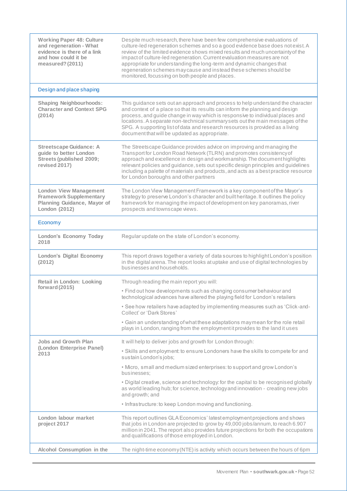| <b>Working Paper 48: Culture</b><br>and regeneration - What<br>evidence is there of a link<br>and how could it be<br>measured? (2011) | Despite much research, there have been few comprehensive evaluations of<br>culture-led regeneration schemes and so a good evidence base does not exist. A<br>review of the limited evidence shows mixed results and much uncertainty of the<br>impact of culture-led regeneration. Current evaluation measures are not<br>appropriate for understanding the long-term and dynamic changes that<br>regeneration schemes may cause and instead these schemes should be<br>monitored, focussing on both people and places. |
|---------------------------------------------------------------------------------------------------------------------------------------|-------------------------------------------------------------------------------------------------------------------------------------------------------------------------------------------------------------------------------------------------------------------------------------------------------------------------------------------------------------------------------------------------------------------------------------------------------------------------------------------------------------------------|
| Design and place shaping                                                                                                              |                                                                                                                                                                                                                                                                                                                                                                                                                                                                                                                         |
| <b>Shaping Neighbourhoods:</b><br><b>Character and Context SPG</b><br>(2014)                                                          | This guidance sets out an approach and process to help understand the character<br>and context of a place so that its results can inform the planning and design<br>process, and guide change in way which is responsive to individual places and<br>locations. A separate non-technical summary sets out the main messages of the<br>SPG. A supporting list of data and research resources is provided as a living<br>document that will be updated as appropriate.                                                    |
| <b>Streetscape Guidance: A</b><br>guide to better London<br><b>Streets (published 2009;</b><br>revised 2017)                          | The Streetscape Guidance provides advice on improving and managing the<br>Transport for London Road Network (TLRN) and promotes consistency of<br>approach and excellence in design and workmanship. The document highlights<br>relevant policies and guidance, sets out specific design principles and guidelines<br>including a palette of materials and products, and acts as a best practice resource<br>for London boroughs and other partners                                                                     |
| <b>London View Management</b><br><b>Framework Supplementary</b><br>Planning Guidance, Mayor of<br>London (2012)                       | The London View Management Framework is a key component of the Mayor's<br>strategy to preserve London's character and built heritage. It outlines the policy<br>framework for managing the impact of development on key panoramas, river<br>prospects and townscape views.                                                                                                                                                                                                                                              |
| Economy                                                                                                                               |                                                                                                                                                                                                                                                                                                                                                                                                                                                                                                                         |
| London's Economy Today<br>2018                                                                                                        | Regular update on the state of London's economy.                                                                                                                                                                                                                                                                                                                                                                                                                                                                        |
| <b>London's Digital Economy</b><br>(2012)                                                                                             | This report draws together a variety of data sources to highlight London's position<br>in the digital arena. The report looks at uptake and use of digital technologies by<br>businesses and households.                                                                                                                                                                                                                                                                                                                |
| <b>Retail in London: Looking</b>                                                                                                      | Through reading the main report you will:                                                                                                                                                                                                                                                                                                                                                                                                                                                                               |
| forward (2015)                                                                                                                        | • Find out how developments such as changing consumer behaviour and<br>technological advances have altered the playing field for London's retailers                                                                                                                                                                                                                                                                                                                                                                     |
|                                                                                                                                       | • See how retailers have adapted by implementing measures such as 'Click-and-<br>Collect' or 'Dark Stores'                                                                                                                                                                                                                                                                                                                                                                                                              |
|                                                                                                                                       | • Gain an understanding of what these adaptations may mean for the role retail<br>plays in London, ranging from the employment it provides to the land it uses                                                                                                                                                                                                                                                                                                                                                          |
| Jobs and Growth Plan                                                                                                                  | It will help to deliver jobs and growth for London through:                                                                                                                                                                                                                                                                                                                                                                                                                                                             |
| (London Enterprise Panel)<br>2013                                                                                                     | • Skills and employment: to ensure Londoners have the skills to compete for and<br>sustain London's jobs;                                                                                                                                                                                                                                                                                                                                                                                                               |
|                                                                                                                                       | · Micro, small and medium sized enterprises: to support and grow London's<br>businesses:                                                                                                                                                                                                                                                                                                                                                                                                                                |
|                                                                                                                                       | • Digital creative, science and technology: for the capital to be recognised globally<br>as world leading hub; for science, technology and innovation - creating new jobs<br>and growth; and                                                                                                                                                                                                                                                                                                                            |
|                                                                                                                                       | • Infrastructure: to keep London moving and functioning.                                                                                                                                                                                                                                                                                                                                                                                                                                                                |
| London labour market<br>project 2017                                                                                                  | This report outlines GLA Economics' latest employment projections and shows<br>that jobs in London are projected to grow by 49,000 jobs/annum, to reach 6.907<br>million in 2041. The report also provides future projections for both the occupations<br>and qualifications of those employed in London.                                                                                                                                                                                                               |
| Alcohol Consumption in the                                                                                                            | The night-time economy (NTE) is activity which occurs between the hours of 6pm                                                                                                                                                                                                                                                                                                                                                                                                                                          |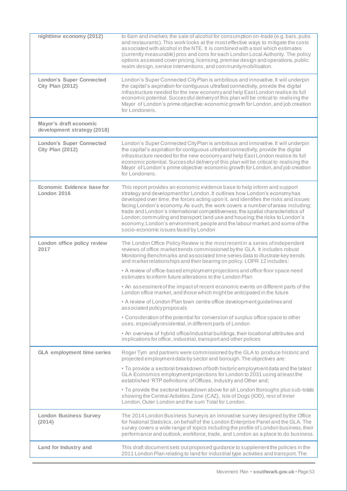| nighttime economy (2012)                                   | to 6am and involves the sale of alcohol for consumption on-trade (e.g. bars, pubs<br>and restaurants). This work looks at the most effective ways to mitigate the costs<br>associated with alcohol in the NTE. It is combined with a tool which estimates<br>(currently measurable) pros and cons for each London Local Authority. The policy<br>options assessed cover pricing, licensing, premise design and operations, public<br>realm design, service interventions, and community mobilisation.                                                                                                                        |
|------------------------------------------------------------|------------------------------------------------------------------------------------------------------------------------------------------------------------------------------------------------------------------------------------------------------------------------------------------------------------------------------------------------------------------------------------------------------------------------------------------------------------------------------------------------------------------------------------------------------------------------------------------------------------------------------|
| <b>London's Super Connected</b><br><b>City Plan (2012)</b> | London's Super Connected City Plan is ambitious and innovative. It will underpin<br>the capital's aspiration for contiguous ultrafast connectivity, provide the digital<br>infrastructure needed for the new economy and help East London realise its full<br>economic potential. Successful delivery of this plan will be critical to realising the<br>Mayor of London's prime objective: economic growth for London, and job creation<br>for Londoners.                                                                                                                                                                    |
| Mayor's draft economic<br>development strategy (2018)      |                                                                                                                                                                                                                                                                                                                                                                                                                                                                                                                                                                                                                              |
| <b>London's Super Connected</b><br><b>City Plan (2012)</b> | London's Super Connected City Plan is ambitious and innovative. It will underpin<br>the capital's aspiration for contiguous ultrafast connectivity, provide the digital<br>infrastructure needed for the new economy and help East London realise its full<br>economic potential. Successful delivery of this plan will be critical to realising the<br>Mayor of London's prime objective: economic growth for London, and job creation<br>for Londoners.                                                                                                                                                                    |
| Economic Evidence base for<br>London 2016                  | This report provides an economic evidence base to help inform and support<br>strategy and development for London. It outlines how London's economy has<br>developed over time, the forces acting upon it, and identifies the risks and issues<br>facing London's economy. As such, the work covers a number of areas including:<br>trade and London's international competitiveness; the spatial characteristics of<br>London; commuting and transport; land use and housing; the risks to London's<br>economy, London's environment; people and the labour market; and some of the<br>socio-economic issues faced by London |
| London office policy review<br>2017                        | The London Office Policy Review is the most recent in a series of independent<br>reviews of office market trends commissioned by the GLA. It includes robust<br>Monitoring Benchmarks and associated time series data to illustrate key trends<br>and market relationships and their bearing on policy. LOPR 12 includes:                                                                                                                                                                                                                                                                                                    |
|                                                            | • A review of office-based employment projections and office floor space need<br>estimates to inform future alterations to the London Plan                                                                                                                                                                                                                                                                                                                                                                                                                                                                                   |
|                                                            | • An assessment of the impact of recent economic events on different parts of the<br>London office market, and those which might be anticipated in the future                                                                                                                                                                                                                                                                                                                                                                                                                                                                |
|                                                            | • A review of London Plan town centre office development guidelines and<br>associated policy proposals                                                                                                                                                                                                                                                                                                                                                                                                                                                                                                                       |
|                                                            | • Consideration of the potential for conversion of surplus office space to other<br>uses, especially residential, in different parts of London                                                                                                                                                                                                                                                                                                                                                                                                                                                                               |
|                                                            | • An overview of hybrid office/industrial buildings, their locational attributes and<br>implications for office, industrial, transport and other polices                                                                                                                                                                                                                                                                                                                                                                                                                                                                     |
| <b>GLA employment time series</b>                          | Roger Tym and partners were commissioned by the GLA to produce historic and<br>projected employment data by sector and borough. The objectives are:                                                                                                                                                                                                                                                                                                                                                                                                                                                                          |
|                                                            | • To provide a sectoral breakdown of both historic employment data and the latest<br>GLA Economics employment projections for London to 2031 using at least the<br>established 'RTP definitions' of Offices, Industry and Other and;                                                                                                                                                                                                                                                                                                                                                                                         |
|                                                            | • To provide the sectoral breakdown above for all London Boroughs plus sub-totals<br>showing the Central Activities Zone (CAZ), Isle of Dogs (IOD), rest of Inner<br>London, Outer London and the sum Total for London.                                                                                                                                                                                                                                                                                                                                                                                                      |
| <b>London Business Survey</b><br>(2014)                    | The 2014 London Business Survey is an innovative survey designed by the Office<br>for National Statistics, on behalf of the London Enterprise Panel and the GLA. The<br>survey covers a wide range of topics including the profile of London business, their<br>performance and outlook, workforce, trade, and London as a place to do business.                                                                                                                                                                                                                                                                             |
| Land for Industry and                                      | This draft document sets out proposed guidance to supplement the policies in the<br>2011 London Plan relating to land for industrial type activities and transport. The                                                                                                                                                                                                                                                                                                                                                                                                                                                      |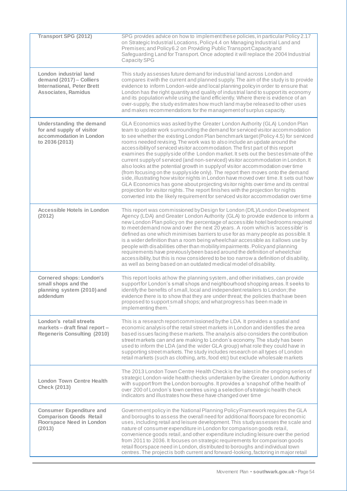| <b>Transport SPG (2012)</b>                                                                                           | SPG provides advice on how to implement these policies, in particular Policy 2.17<br>on Strategic Industrial Locations, Policy 4.4 on Managing Industrial Land and<br>Premises; and Policy 6.2 on Providing Public Transport Capacity and<br>Safeguarding Land for Transport. Once adopted it will replace the 2004 Industrial<br><b>Capacity SPG</b>                                                                                                                                                                                                                                                                                                                                                                                                                                                                                                                                                                                                                                                                                                                                                                  |
|-----------------------------------------------------------------------------------------------------------------------|------------------------------------------------------------------------------------------------------------------------------------------------------------------------------------------------------------------------------------------------------------------------------------------------------------------------------------------------------------------------------------------------------------------------------------------------------------------------------------------------------------------------------------------------------------------------------------------------------------------------------------------------------------------------------------------------------------------------------------------------------------------------------------------------------------------------------------------------------------------------------------------------------------------------------------------------------------------------------------------------------------------------------------------------------------------------------------------------------------------------|
| London industrial land<br>demand (2017) - Colliers<br><b>International, Peter Brett</b><br><b>Associates, Ramidus</b> | This study assesses future demand for industrial land across London and<br>compares it with the current and planned supply. The aim of the study is to provide<br>evidence to inform London-wide and local planning policy in order to ensure that<br>London has the right quantity and quality of industrial land to support its economy<br>and its population while using the land efficiently. Where there is evidence of an<br>over-supply, the study estimates how much land maybe released to other uses<br>and makes recommendations for the management of surplus capacity.                                                                                                                                                                                                                                                                                                                                                                                                                                                                                                                                    |
| Understanding the demand<br>for and supply of visitor<br>accommodation in London<br>to 2036 (2013)                    | GLA Economics was asked by the Greater London Authority (GLA) London Plan<br>team to update work surrounding the demand for serviced visitor accommodation<br>to see whether the existing London Plan benchmark target (Policy 4.5) for serviced<br>rooms needed revising. The work was to also include an update around the<br>accessibility of serviced visitor accommodation. The first part of this report<br>examines the supply side of the London market. It sets out the best estimate of the<br>current supply of serviced (and non-serviced) visitor accommodation in London. It<br>also looks at the potential growth in supply of visitor accommodation over time<br>(from focusing on the supplyside only). The report then moves onto the demand<br>side, illustrating how visitor nights in London have moved over time. It sets out how<br>GLA Economics has gone about projecting visitor nights over time and its central<br>projection for visitor nights. The report finishes with the projection for nights<br>converted into the likely requirement for serviced visitor accommodation over time |
| <b>Accessible Hotels in London</b><br>(2012)                                                                          | This report was commissioned by Design for London (DfL)/London Development<br>Agency (LDA) and Greater London Authority (GLA) to provide evidence to inform a<br>new London Plan policy on the percentage of accessible hotel bedrooms required<br>to meet demand now and over the next 20 years. A room which is 'accessible' is<br>defined as one which minimises barriers to use for as many people as possible. It<br>is a wider definition than a room being wheelchair accessible as it allows use by<br>people with disabilities other than mobility impairments. Policy and planning<br>requirements have previously been based around the definition of wheelchair<br>accessibility, but this is now considered to be too narrow a definition of disability,<br>as well as being based on an outdated medical model of disability.                                                                                                                                                                                                                                                                            |
| <b>Cornered shops: London's</b><br>small shops and the<br>planning system (2010) and<br>addendum                      | This report looks at how the planning system, and other initiatives, can provide<br>support for London's small shops and neighbourhood shopping areas. It seeks to<br>identify the benefits of small, local and independent retailers to London; the<br>evidence there is to show that they are under threat; the policies that have been<br>proposed to support small shops; and what progress has been made in<br>implementing them.                                                                                                                                                                                                                                                                                                                                                                                                                                                                                                                                                                                                                                                                                 |
| London's retail streets<br>markets – draft final report –<br><b>Regeneris Consulting (2010)</b>                       | This is a research report commissioned by the LDA. It provides a spatial and<br>economic analysis of the retail street markets in London and identifies the area<br>based issues facing these markets. The analysis also considers the contribution<br>street markets can and are making to London's economy. The study has been<br>used to inform the LDA (and the wider GLA group) what role they could have in<br>supporting street markets. The study includes research on all types of London<br>retail markets (such as clothing, arts, food etc) but exclude wholesale markets                                                                                                                                                                                                                                                                                                                                                                                                                                                                                                                                  |
| <b>London Town Centre Health</b><br><b>Check (2013)</b>                                                               | The 2013 London Town Centre Health Check is the latest in the ongoing series of<br>strategic London-wide health checks undertaken by the Greater London Authority<br>with support from the London boroughs. It provides a 'snapshot' of the health of<br>over 200 of London's town centres using a selection of strategic health check<br>indicators and illustrates how these have changed over time                                                                                                                                                                                                                                                                                                                                                                                                                                                                                                                                                                                                                                                                                                                  |
| <b>Consumer Expenditure and</b><br><b>Comparison Goods Retail</b><br><b>Floorspace Need in London</b><br>(2013)       | Government policy in the National Planning Policy Framework requires the GLA<br>and boroughs to assess the overall need for additional floorspace for economic<br>uses, including retail and leisure development. This study assesses the scale and<br>nature of consumer expenditure in London for comparison goods retail,<br>convenience goods retail, and other expenditure including leisure over the period<br>from 2011 to 2036. It focuses on strategic requirements for comparison goods<br>retail floorspace need in London, distributed to boroughs and individual town<br>centres. The project is both current and forward-looking, factoring in major retail                                                                                                                                                                                                                                                                                                                                                                                                                                              |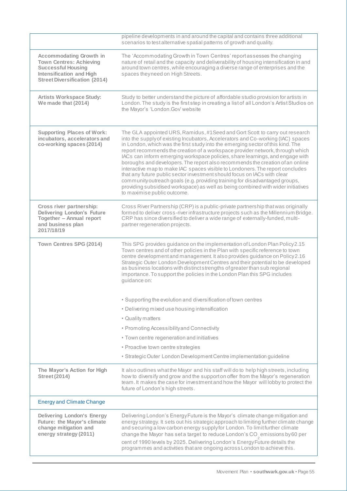|                                                                                                                                                                          | pipeline developments in and around the capital and contains three additional<br>scenarios to test alternative spatial patterns of growth and quality.                                                                                                                                                                                                                                                                                                                                                                                                                                                                                                                                                                                                                                                                                                                |
|--------------------------------------------------------------------------------------------------------------------------------------------------------------------------|-----------------------------------------------------------------------------------------------------------------------------------------------------------------------------------------------------------------------------------------------------------------------------------------------------------------------------------------------------------------------------------------------------------------------------------------------------------------------------------------------------------------------------------------------------------------------------------------------------------------------------------------------------------------------------------------------------------------------------------------------------------------------------------------------------------------------------------------------------------------------|
| <b>Accommodating Growth in</b><br><b>Town Centres: Achieving</b><br><b>Successful Housing</b><br><b>Intensification and High</b><br><b>Street Diversification (2014)</b> | The 'Accommodating Growth in Town Centres' report assesses the changing<br>nature of retail and the capacity and deliverability of housing intensification in and<br>around town centres, while encouraging a diverse range of enterprises and the<br>spaces they need on High Streets.                                                                                                                                                                                                                                                                                                                                                                                                                                                                                                                                                                               |
| <b>Artists Workspace Study:</b><br>We made that (2014)                                                                                                                   | Study to better understand the picture of affordable studio provision for artists in<br>London. The study is the first step in creating a list of all London's Artist Studios on<br>the Mayor's 'London.Gov' website                                                                                                                                                                                                                                                                                                                                                                                                                                                                                                                                                                                                                                                  |
| <b>Supporting Places of Work:</b><br>incubators, accelerators and<br>co-working spaces (2014)                                                                            | The GLA appointed URS, Ramidus, #1 Seed and Gort Scott to carry out research<br>into the supply of existing Incubators, Accelerators and Co-working (IAC) spaces<br>in London, which was the first study into the emerging sector of this kind. The<br>report recommends the creation of a workspace provider network, through which<br>IACs can inform emerging workspace policies, share learnings, and engage with<br>boroughs and developers. The report also recommends the creation of an online<br>interactive map to make IAC spaces visible to Londoners. The report concludes<br>that any future public sector investment should focus on IACs with clear<br>community outreach goals (e.g. providing training for disadvantaged groups,<br>providing subsidised workspace) as well as being combined with wider initiatives<br>to maximise public outcome. |
| Cross river partnership:<br><b>Delivering London's Future</b><br>Together - Annual report<br>and business plan<br>2017/18/19                                             | Cross River Partnership (CRP) is a public-private partnership that was originally<br>formed to deliver cross-river infrastructure projects such as the Millennium Bridge.<br>CRP has since diversified to deliver a wide range of externally-funded, multi-<br>partner regeneration projects.                                                                                                                                                                                                                                                                                                                                                                                                                                                                                                                                                                         |
| Town Centres SPG (2014)                                                                                                                                                  | This SPG provides guidance on the implementation of London Plan Policy 2.15<br>Town centres and of other policies in the Plan with specific reference to town<br>centre development and management. It also provides guidance on Policy 2.16<br>Strategic Outer London Development Centres and their potential to be developed<br>as business locations with distinct strengths of greater than sub regional<br>importance. To support the policies in the London Plan this SPG includes<br>guidance on:                                                                                                                                                                                                                                                                                                                                                              |
|                                                                                                                                                                          | • Supporting the evolution and diversification of town centres                                                                                                                                                                                                                                                                                                                                                                                                                                                                                                                                                                                                                                                                                                                                                                                                        |
|                                                                                                                                                                          | • Delivering mixed use housing intensification                                                                                                                                                                                                                                                                                                                                                                                                                                                                                                                                                                                                                                                                                                                                                                                                                        |
|                                                                                                                                                                          | • Quality matters                                                                                                                                                                                                                                                                                                                                                                                                                                                                                                                                                                                                                                                                                                                                                                                                                                                     |
|                                                                                                                                                                          | • Promoting Accessibility and Connectivity                                                                                                                                                                                                                                                                                                                                                                                                                                                                                                                                                                                                                                                                                                                                                                                                                            |
|                                                                                                                                                                          | • Town centre regeneration and initiatives                                                                                                                                                                                                                                                                                                                                                                                                                                                                                                                                                                                                                                                                                                                                                                                                                            |
|                                                                                                                                                                          | • Proactive town centre strategies                                                                                                                                                                                                                                                                                                                                                                                                                                                                                                                                                                                                                                                                                                                                                                                                                                    |
|                                                                                                                                                                          | · Strategic Outer London Development Centre implementation guideline                                                                                                                                                                                                                                                                                                                                                                                                                                                                                                                                                                                                                                                                                                                                                                                                  |
| The Mayor's Action for High<br><b>Street (2014)</b>                                                                                                                      | It also outlines what the Mayor and his staff will do to help high streets, including<br>how to diversify and grow and the support on offer from the Mayor's regeneration<br>team. It makes the case for investment and how the Mayor will lobby to protect the<br>future of London's high streets.                                                                                                                                                                                                                                                                                                                                                                                                                                                                                                                                                                   |
| <b>Energy and Climate Change</b>                                                                                                                                         |                                                                                                                                                                                                                                                                                                                                                                                                                                                                                                                                                                                                                                                                                                                                                                                                                                                                       |
| <b>Delivering London's Energy</b><br><b>Future: the Mayor's climate</b><br>change mitigation and<br>energy strategy (2011)                                               | Delivering London's Energy Future is the Mayor's climate change mitigation and<br>energy strategy. It sets out his strategic approach to limiting further climate change<br>and securing a low carbon energy supply for London. To limit further climate<br>change the Mayor has set a target to reduce London's CO <sub>2</sub> emissions by 60 per<br>cent of 1990 levels by 2025. Delivering London's Energy Future details the<br>programmes and activities that are ongoing across London to achieve this.                                                                                                                                                                                                                                                                                                                                                       |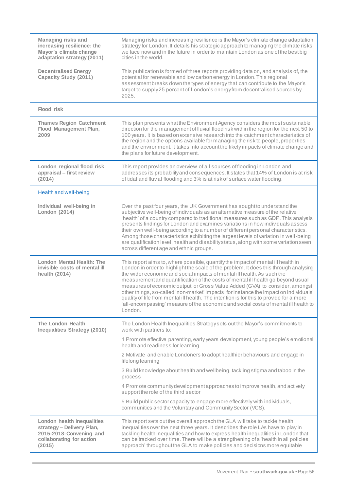| <b>Managing risks and</b><br>increasing resilience: the<br>Mayor's climate change<br>adaptation strategy (2011)           | Managing risks and increasing resilience is the Mayor's climate change adaptation<br>strategy for London. It details his strategic approach to managing the climate risks<br>we face now and in the future in order to maintain London as one of the best big<br>cities in the world.                                                                                                                                                                                                                                                                                                                                                                                                                          |
|---------------------------------------------------------------------------------------------------------------------------|----------------------------------------------------------------------------------------------------------------------------------------------------------------------------------------------------------------------------------------------------------------------------------------------------------------------------------------------------------------------------------------------------------------------------------------------------------------------------------------------------------------------------------------------------------------------------------------------------------------------------------------------------------------------------------------------------------------|
| <b>Decentralised Energy</b><br>Capacity Study (2011)                                                                      | This publication is formed of three reports providing data on, and analysis of, the<br>potential for renewable and low carbon energy in London. This regional<br>assessment breaks down the types of energy that can contribute to the Mayor's<br>target to supply 25 percent of London's energy from decentralised sources by<br>2025.                                                                                                                                                                                                                                                                                                                                                                        |
| <b>Flood risk</b>                                                                                                         |                                                                                                                                                                                                                                                                                                                                                                                                                                                                                                                                                                                                                                                                                                                |
| <b>Thames Region Catchment</b><br><b>Flood Management Plan,</b><br>2009                                                   | This plan presents what the Environment Agency considers the most sustainable<br>direction for the management of fluvial flood risk within the region for the next 50 to<br>100 years. It is based on extensive research into the catchment characteristics of<br>the region and the options available for managing the risk to people, properties<br>and the environment. It takes into account the likely impacts of climate change and<br>the plans for future development.                                                                                                                                                                                                                                 |
| London regional flood risk<br>appraisal - first review<br>(2014)                                                          | This report provides an overview of all sources of flooding in London and<br>addresses its probability and consequences. It states that 14% of London is at risk<br>of tidal and fluvial flooding and 3% is at risk of surface water flooding.                                                                                                                                                                                                                                                                                                                                                                                                                                                                 |
| Health and well-being                                                                                                     |                                                                                                                                                                                                                                                                                                                                                                                                                                                                                                                                                                                                                                                                                                                |
| Individual well-being in<br>London (2014)                                                                                 | Over the past four years, the UK Government has sought to understand the<br>subjective well-being of individuals as an alternative measure of the relative<br>'health' of a country compared to traditional measures such as GDP. This analysis<br>presents findings for London and examines variations in how individuals assess<br>their own well-being according to a number of different personal characteristics.<br>Among those characteristics exhibiting the largest levels of variation in well-being<br>are qualification level, health and disability status, along with some variation seen<br>across different age and ethnic groups.                                                             |
| London Mental Health: The<br>invisible costs of mental ill<br>health (2014)                                               | This report aims to, where possible, quantify the impact of mental ill health in<br>London in order to highlight the scale of the problem. It does this through analysing<br>the wider economic and social impacts of mental ill health. As such the<br>measurement and quantification of the costs of mental ill health go beyond usual<br>measures of economic output, or Gross Value Added (GVA) to consider, amongst<br>other things, so-called 'non-market' impacts, for instance the impact on individuals'<br>quality of life from mental ill health. The intention is for this to provide for a more<br>'all-encompassing' measure of the economic and social costs of mental ill health to<br>London. |
| The London Health<br><b>Inequalities Strategy (2010)</b>                                                                  | The London Health Inequalities Strategy sets out the Mayor's commitments to<br>work with partners to:                                                                                                                                                                                                                                                                                                                                                                                                                                                                                                                                                                                                          |
|                                                                                                                           | 1 Promote effective parenting, early years development, young people's emotional<br>health and readiness for learning                                                                                                                                                                                                                                                                                                                                                                                                                                                                                                                                                                                          |
|                                                                                                                           | 2 Motivate and enable Londoners to adopt healthier behaviours and engage in<br>lifelong learning                                                                                                                                                                                                                                                                                                                                                                                                                                                                                                                                                                                                               |
|                                                                                                                           | 3 Build knowledge about health and wellbeing, tackling stigma and taboo in the<br>process                                                                                                                                                                                                                                                                                                                                                                                                                                                                                                                                                                                                                      |
|                                                                                                                           | 4 Promote community development approaches to improve health, and actively<br>support the role of the third sector                                                                                                                                                                                                                                                                                                                                                                                                                                                                                                                                                                                             |
|                                                                                                                           | 5 Build public sector capacity to engage more effectively with individuals,<br>communities and the Voluntary and Community Sector (VCS).                                                                                                                                                                                                                                                                                                                                                                                                                                                                                                                                                                       |
| London health inequalities<br>strategy - Delivery Plan,<br>2015-2018: Convening and<br>collaborating for action<br>(2015) | This report sets out the overall approach the GLA will take to tackle health<br>inequalities over the next three years. It describes the role LAs have to play in<br>tackling health inequalities and how to express health inequalities in London that<br>can be tracked over time. There will be a strengthening of a 'health in all policies<br>approach' throughout the GLA to make policies and decisions more equitable                                                                                                                                                                                                                                                                                  |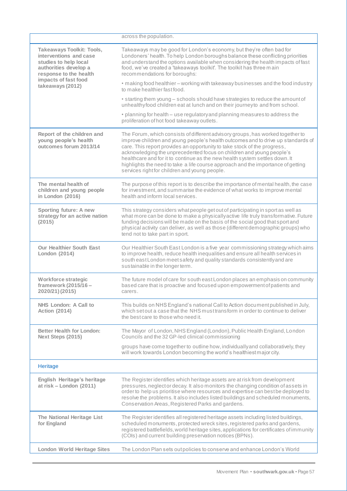|                                                                                                                                        | across the population.                                                                                                                                                                                                                                                                                                                                                                                                                                                                                                                     |
|----------------------------------------------------------------------------------------------------------------------------------------|--------------------------------------------------------------------------------------------------------------------------------------------------------------------------------------------------------------------------------------------------------------------------------------------------------------------------------------------------------------------------------------------------------------------------------------------------------------------------------------------------------------------------------------------|
| <b>Takeaways Toolkit: Tools,</b><br>interventions and case<br>studies to help local<br>authorities develop a<br>response to the health | Takeaways may be good for London's economy, but they're often bad for<br>Londoners' health. To help London boroughs balance these conflicting priorities<br>and understand the options available when considering the health impacts of fast<br>food, we've created a 'takeaways toolkit'. The toolkit has three main<br>recommendations for boroughs:                                                                                                                                                                                     |
| impacts of fast food<br>takeaways (2012)                                                                                               | . making food healthier - working with takeaway businesses and the food industry<br>to make healthier fast food.                                                                                                                                                                                                                                                                                                                                                                                                                           |
|                                                                                                                                        | • starting them young - schools should have strategies to reduce the amount of<br>unhealthyfood children eat at lunch and on their journey to and from school.                                                                                                                                                                                                                                                                                                                                                                             |
|                                                                                                                                        | • planning for health – use regulatory and planning measures to address the<br>proliferation of hot food takeaway outlets.                                                                                                                                                                                                                                                                                                                                                                                                                 |
| Report of the children and<br>young people's health<br>outcomes forum 2013/14                                                          | The Forum, which consists of different advisory groups, has worked together to<br>improve children and young people's health outcomes and to drive up standards of<br>care. This report provides an opportunity to take stock of the progress,<br>acknowledging the unprecedented focus on children and young people's<br>healthcare and for it to continue as the new health system settles down. It<br>highlights the need to take a life course approach and the importance of getting<br>services right for children and young people. |
| The mental health of<br>children and young people<br>in London (2016)                                                                  | The purpose of this report is to describe the importance of mental health, the case<br>for investment, and summarise the evidence of what works to improve mental<br>health and inform local services.                                                                                                                                                                                                                                                                                                                                     |
| Sporting future: A new<br>strategy for an active nation<br>(2015)                                                                      | This strategy considers what people get out of participating in sport as well as<br>what more can be done to make a physically active life truly transformative. Future<br>funding decisions will be made on the basis of the social good that sport and<br>physical activity can deliver, as well as those (different demographic groups) who<br>tend not to take part in sport.                                                                                                                                                          |
| <b>Our Healthier South East</b><br>London (2014)                                                                                       | Our Healthier South East London is a five year commissioning strategy which aims<br>to improve health, reduce health inequalities and ensure all health services in<br>south east London meet safety and quality standards consistently and are<br>sustainable in the longer term.                                                                                                                                                                                                                                                         |
| Workforce strategic<br>framework (2015/16 -<br>2020/21) (2015)                                                                         | The future model of care for south east London places an emphasis on community<br>based care that is proactive and focused upon empowerment of patients and<br>carers.                                                                                                                                                                                                                                                                                                                                                                     |
| NHS London: A Call to<br><b>Action (2014)</b>                                                                                          | This builds on NHS England's national Call to Action document published in July,<br>which set out a case that the NHS must transform in order to continue to deliver<br>the best care to those who need it.                                                                                                                                                                                                                                                                                                                                |
| <b>Better Health for London:</b><br>Next Steps (2015)                                                                                  | The Mayor of London, NHS England (London), Public Health England, London<br>Councils and the 32 GP-led clinical commissioning                                                                                                                                                                                                                                                                                                                                                                                                              |
|                                                                                                                                        | groups have come together to outline how, individually and collaboratively, they<br>will work towards London becoming the world's healthiest major city.                                                                                                                                                                                                                                                                                                                                                                                   |
| Heritage                                                                                                                               |                                                                                                                                                                                                                                                                                                                                                                                                                                                                                                                                            |
| English Heritage's heritage<br>at $risk$ – London (2011)                                                                               | The Register identifies which heritage assets are at risk from development<br>pressures, neglect or decay. It also monitors the changing condition of assets in<br>order to help us prioritise where resources and expertise can best be deployed to<br>resolve the problems. It also includes listed buildings and scheduled monuments,<br>Conservation Areas, Registered Parks and gardens.                                                                                                                                              |
| The National Heritage List<br>for England                                                                                              | The Register identifies all registered heritage assets including listed buildings,<br>scheduled monuments, protected wreck sites, registered parks and gardens,<br>registered battlefields, world heritage sites, applications for certificates of immunity<br>(COIs) and current building preservation notices (BPNs).                                                                                                                                                                                                                    |
| <b>London World Heritage Sites</b>                                                                                                     | The London Plan sets out policies to conserve and enhance London's World                                                                                                                                                                                                                                                                                                                                                                                                                                                                   |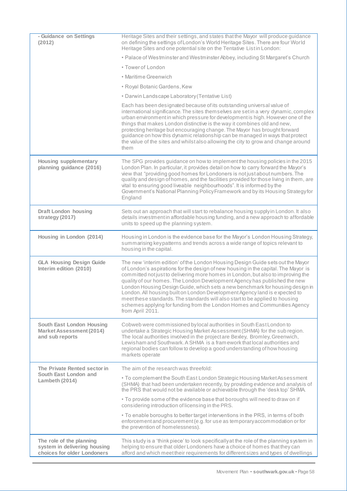| - Guidance on Settings<br>(2012)                                                        | Heritage Sites and their settings, and states that the Mayor will produce guidance<br>on defining the settings of London's World Heritage Sites. There are four World<br>Heritage Sites and one potential site on the Tentative List in London:                                                                                                                                                                                                                                                                                                                                                                                                                                        |
|-----------------------------------------------------------------------------------------|----------------------------------------------------------------------------------------------------------------------------------------------------------------------------------------------------------------------------------------------------------------------------------------------------------------------------------------------------------------------------------------------------------------------------------------------------------------------------------------------------------------------------------------------------------------------------------------------------------------------------------------------------------------------------------------|
|                                                                                         | • Palace of Westminster and Westminster Abbey, including St Margaret's Church                                                                                                                                                                                                                                                                                                                                                                                                                                                                                                                                                                                                          |
|                                                                                         | • Tower of London                                                                                                                                                                                                                                                                                                                                                                                                                                                                                                                                                                                                                                                                      |
|                                                                                         | • Maritime Greenwich                                                                                                                                                                                                                                                                                                                                                                                                                                                                                                                                                                                                                                                                   |
|                                                                                         | • Royal Botanic Gardens, Kew                                                                                                                                                                                                                                                                                                                                                                                                                                                                                                                                                                                                                                                           |
|                                                                                         | • Darwin Landscape Laboratory (Tentative List)                                                                                                                                                                                                                                                                                                                                                                                                                                                                                                                                                                                                                                         |
|                                                                                         | Each has been designated because of its outstanding universal value of<br>international significance. The sites themselves are set in a very dynamic, complex<br>urban environment in which pressure for development is high. However one of the<br>things that makes London distinctive is the way it combines old and new,<br>protecting heritage but encouraging change. The Mayor has brought forward<br>guidance on how this dynamic relationship can be managed in ways that protect<br>the value of the sites and whilst also allowing the city to grow and change around<br>them                                                                                               |
| <b>Housing supplementary</b><br>planning guidance (2016)                                | The SPG provides guidance on how to implement the housing policies in the 2015<br>London Plan. In particular, it provides detail on how to carry forward the Mayor's<br>view that "providing good homes for Londoners is not just about numbers. The<br>quality and design of homes, and the facilities provided for those living in them, are<br>vital to ensuring good liveable neighbourhoods". It is informed by the<br>Government's National Planning Policy Framework and by its Housing Strategy for<br>England                                                                                                                                                                 |
| <b>Draft London housing</b><br>strategy (2017)                                          | Sets out an approach that will start to rebalance housing supplyin London. It also<br>details investment in affordable housing funding, and a new approach to affordable<br>units to speed up the planning system.                                                                                                                                                                                                                                                                                                                                                                                                                                                                     |
| Housing in London (2014)                                                                | Housing in London is the evidence base for the Mayor's London Housing Strategy,<br>summarising keypatterns and trends across a wide range of topics relevant to<br>housing in the capital.                                                                                                                                                                                                                                                                                                                                                                                                                                                                                             |
| <b>GLA Housing Design Guide</b><br>Interim edition (2010)                               | The new 'interim edition' of the London Housing Design Guide sets out the Mayor<br>of London's aspirations for the design of new housing in the capital. The Mayor is<br>committed not just to delivering more homes in London, but also to improving the<br>quality of our homes. The London Development Agency has published the new<br>London Housing Design Guide, which sets a new benchmark for housing design in<br>London. All housing built on London Development Agency land is expected to<br>meet these standards. The standards will also start to be applied to housing<br>schemes applying for funding from the London Homes and Communities Agency<br>from April 2011. |
| South East London Housing<br><b>Market Assessment (2014)</b><br>and sub reports         | Cobweb were commissioned by local authorities in South East London to<br>undertake a Strategic Housing Market Assessment (SHMA) for the sub region.<br>The local authorities involved in the project are Bexley, Bromley, Greenwich,<br>Lewisham and Southwark, A SHMA is a fram ework that local authorities and<br>regional bodies can follow to develop a good understanding of how housing<br>markets operate                                                                                                                                                                                                                                                                      |
| The Private Rented sector in                                                            | The aim of the research was threefold:                                                                                                                                                                                                                                                                                                                                                                                                                                                                                                                                                                                                                                                 |
| South East London and<br>Lambeth (2014)                                                 | • To complement the South East London Strategic Housing Market Assessment<br>(SHMA) that had been undertaken recently, by providing evidence and analysis of<br>the PRS that would not be available or achievable through the 'desk top' SHMA.                                                                                                                                                                                                                                                                                                                                                                                                                                         |
|                                                                                         | . To provide some of the evidence base that boroughs will need to draw on if<br>considering introduction of licensing in the PRS.                                                                                                                                                                                                                                                                                                                                                                                                                                                                                                                                                      |
|                                                                                         | • To enable boroughs to better target interventions in the PRS, in terms of both<br>enforcement and procurement (e.g. for use as temporary accommodation or for<br>the prevention of homelessness).                                                                                                                                                                                                                                                                                                                                                                                                                                                                                    |
| The role of the planning<br>system in delivering housing<br>choices for older Londoners | This study is a 'think piece' to look specifically at the role of the planning system in<br>helping to ensure that older Londoners have a choice of homes that they can<br>afford and which meet their requirements for different sizes and types of dwellings                                                                                                                                                                                                                                                                                                                                                                                                                         |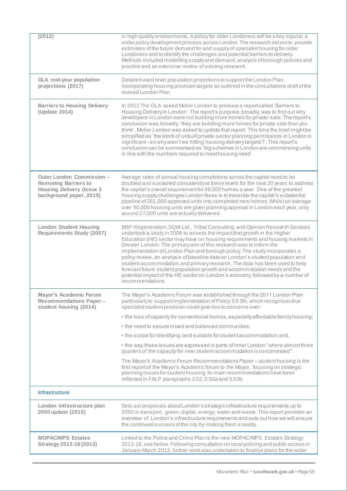| (2012)                                                                                                                  | in high quality environments. A policy for older Londoners will be a key input to a<br>wider policy development process across London. The research set out to provide<br>estimates of the future demand for and supply of specialist housing for older<br>Londoners and to identify the challenges and potential barriers to delivery.<br>Methods included modelling supply and demand, analysis of borough policies and<br>practice and an extensive review of existing research.                                                                                                                                                                                                                                                               |
|-------------------------------------------------------------------------------------------------------------------------|---------------------------------------------------------------------------------------------------------------------------------------------------------------------------------------------------------------------------------------------------------------------------------------------------------------------------------------------------------------------------------------------------------------------------------------------------------------------------------------------------------------------------------------------------------------------------------------------------------------------------------------------------------------------------------------------------------------------------------------------------|
| <b>GLA</b> mid-year population<br>projections (2017)                                                                    | Detailed ward level population projections to support the London Plan.<br>Incorporating housing provision targets as outlined in the consultations draft of the<br>revised London Plan                                                                                                                                                                                                                                                                                                                                                                                                                                                                                                                                                            |
| <b>Barriers to Housing Delivery</b><br>(Update 2014)                                                                    | In 2012 The GLA asked Molior London to produce a report called 'Barriers to<br>Housing Deliveryin London'. The report's purpose, broadly, was to find out why<br>developers in London were not building more homes for private-sale. The report's<br>conclusion was, broadly, 'they are building more homes for private sale than you<br>think'. Molior London was asked to update that report. This time the brief might be<br>simplified as 'the stock of unbuilt private-sector planning permissions in London is<br>significant-so why aren't we hitting housing delivery targets?'. This report's<br>conclusion can be summarised as 'big schemes in London are commencing units<br>in line with the numbers required to meet housing need'. |
| Outer London Commission -<br><b>Removing Barriers to</b><br><b>Housing Delivery (Issue 3</b><br>background paper, 2015) | Average rates of annual housing completions across the capital need to be<br>doubled and sustained consistently at these levels for the next 20 years to address<br>the capital's overall requirement for 49,000 homes a year. One of the greatest<br>housing supply challenges London faces is to translate the capital's substantial<br>pipeline of 261,000 approved units into completed new homes. Whilst on average<br>over 50,000 housing units are given planning approval in London each year, only<br>around 27,000 units are actually delivered.                                                                                                                                                                                        |
| <b>London Student Housing</b><br><b>Requirements Study (2007)</b>                                                       | BBP Regeneration, SQW Ltd., Tribal Consulting, and Opinion Research Services<br>undertook a study in 2006 to assess the impact that growth in the Higher<br>Education (HE) sector may have on housing requirements and housing markets in<br>Greater London. The primaryaim of this research was to inform the<br>implementation of London Plan and borough policy. The study incorporates a<br>policy review, an analysis of baseline data on London's student population and<br>student accommodation, and primary research. The data has been used to help<br>forecast future student population growth and accommodation needs and the<br>potential impact of the HE sector on London's economy, followed by a number of<br>recommendations.  |
| Mayor's Academic Forum<br><b>Recommendations Paper-</b><br>student housing (2014)                                       | The Mayor's Academic Forum was established through the 2011 London Plan<br>particularly to support implementation of Policy 3.8 Bh, which recognises that<br>specialist student provision could give rise to concerns over:                                                                                                                                                                                                                                                                                                                                                                                                                                                                                                                       |
|                                                                                                                         | • the loss of capacity for conventional homes, especially affordable family housing;                                                                                                                                                                                                                                                                                                                                                                                                                                                                                                                                                                                                                                                              |
|                                                                                                                         | • the need to secure mixed and balanced communities;                                                                                                                                                                                                                                                                                                                                                                                                                                                                                                                                                                                                                                                                                              |
|                                                                                                                         | • the scope for identifying land suitable for student accommodation; and,                                                                                                                                                                                                                                                                                                                                                                                                                                                                                                                                                                                                                                                                         |
|                                                                                                                         | • the way these issues are expressed in parts of inner London "where almost three<br>quarters of the capacity for new student accommodation is concentrated".                                                                                                                                                                                                                                                                                                                                                                                                                                                                                                                                                                                     |
|                                                                                                                         | The Mayor's Academic Forum Recommendations Paper - student housing is the<br>first report of the Mayor's Academic forum to the Mayor, focusing on strategic<br>planning is sues for student housing. Its main recommendations have been<br>reflected in FALP paragraphs 3.52, 3.53a and 3.53b.                                                                                                                                                                                                                                                                                                                                                                                                                                                    |
| Infrastructure                                                                                                          |                                                                                                                                                                                                                                                                                                                                                                                                                                                                                                                                                                                                                                                                                                                                                   |
| London infrastructure plan<br>2050 update (2015)                                                                        | Sets out proposals about London's strategic infrastructure requirements up to<br>2050 in transport, green, digital, energy, water and waste. This report provides an<br>overview of London's infrastructure requirements and sets out how we will ensure<br>the continued success of the city by making them a reality.                                                                                                                                                                                                                                                                                                                                                                                                                           |
| <b>MOPAC/MPS Estates</b><br>Strategy 2013-16 (2013)                                                                     | Linked to the Police and Crime Plan is the new MOPAC/MPS Estates Strategy<br>2013-16, see below. Following consultation on local policing and public access in<br>January-March 2013, further work was undertaken to finalise plans for the wider                                                                                                                                                                                                                                                                                                                                                                                                                                                                                                 |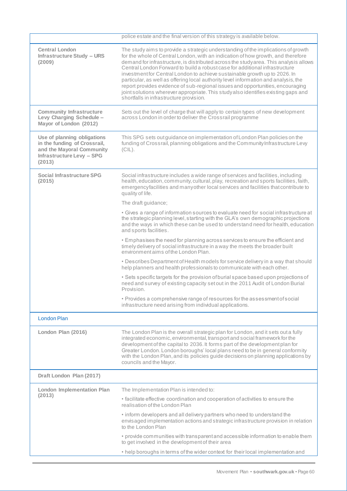|                                                                                                                                        | police estate and the final version of this strategy is available below.                                                                                                                                                                                                                                                                                                                                                                                                                                                                                                                                                                                                                                                              |
|----------------------------------------------------------------------------------------------------------------------------------------|---------------------------------------------------------------------------------------------------------------------------------------------------------------------------------------------------------------------------------------------------------------------------------------------------------------------------------------------------------------------------------------------------------------------------------------------------------------------------------------------------------------------------------------------------------------------------------------------------------------------------------------------------------------------------------------------------------------------------------------|
| <b>Central London</b><br><b>Infrastructure Study - URS</b><br>(2009)                                                                   | The study aims to provide a strategic understanding of the implications of growth<br>for the whole of Central London, with an indication of how growth, and therefore<br>demand for infrastructure, is distributed across the study area. This analysis allows<br>Central London Forward to build a robust case for additional infrastructure<br>investment for Central London to achieve sustainable growth up to 2026. In<br>particular, as well as offering local authority level information and analysis, the<br>report provides evidence of sub-regional issues and opportunities, encouraging<br>joint solutions wherever appropriate. This study also identifies existing gaps and<br>shortfalls in infrastructure provision. |
| <b>Community Infrastructure</b><br>Levy Charging Schedule -<br>Mayor of London (2012)                                                  | Sets out the level of charge that will apply to certain types of new development<br>across London in order to deliver the Crossrail programme                                                                                                                                                                                                                                                                                                                                                                                                                                                                                                                                                                                         |
| Use of planning obligations<br>in the funding of Crossrail,<br>and the Mayoral Community<br><b>Infrastructure Levy - SPG</b><br>(2013) | This SPG sets out guidance on implementation of London Plan policies on the<br>funding of Crossrail, planning obligations and the Community Infrastructure Levy<br>$(CIL)$ .                                                                                                                                                                                                                                                                                                                                                                                                                                                                                                                                                          |
| <b>Social Infrastructure SPG</b><br>(2015)                                                                                             | Social infrastructure includes a wide range of services and facilities, including<br>health, education, community, cultural, play, recreation and sports facilities, faith,<br>emergencyfacilities and many other local services and facilities that contribute to<br>quality of life.                                                                                                                                                                                                                                                                                                                                                                                                                                                |
|                                                                                                                                        | The draft guidance;                                                                                                                                                                                                                                                                                                                                                                                                                                                                                                                                                                                                                                                                                                                   |
|                                                                                                                                        | • Gives a range of information sources to evaluate need for social infrastructure at<br>the strategic planning level, starting with the GLA's own demographic projections<br>and the ways in which these can be used to understand need for health, education<br>and sports facilities.                                                                                                                                                                                                                                                                                                                                                                                                                                               |
|                                                                                                                                        | • Emphasises the need for planning across services to ensure the efficient and<br>timely delivery of social infrastructure in a way the meets the broader built<br>environmentaims of the London Plan.                                                                                                                                                                                                                                                                                                                                                                                                                                                                                                                                |
|                                                                                                                                        | • Describes Department of Health models for service delivery in a way that should<br>help planners and health professionals to communicate with each other.                                                                                                                                                                                                                                                                                                                                                                                                                                                                                                                                                                           |
|                                                                                                                                        | • Sets specific targets for the provision of burial space based upon projections of<br>need and survey of existing capacity set out in the 2011 Audit of London Burial<br>Provision.                                                                                                                                                                                                                                                                                                                                                                                                                                                                                                                                                  |
|                                                                                                                                        | • Provides a comprehensive range of resources for the assessment of social<br>infrastructure need arising from individual applications.                                                                                                                                                                                                                                                                                                                                                                                                                                                                                                                                                                                               |
| <b>London Plan</b>                                                                                                                     |                                                                                                                                                                                                                                                                                                                                                                                                                                                                                                                                                                                                                                                                                                                                       |
| London Plan (2016)                                                                                                                     | The London Plan is the overall strategic plan for London, and it sets out a fully<br>integrated economic, environmental, transport and social framework for the<br>development of the capital to 2036. It forms part of the development plan for<br>Greater London. London boroughs' local plans need to be in general conformity<br>with the London Plan, and its policies guide decisions on planning applications by<br>councils and the Mayor.                                                                                                                                                                                                                                                                                    |
| Draft London Plan (2017)                                                                                                               |                                                                                                                                                                                                                                                                                                                                                                                                                                                                                                                                                                                                                                                                                                                                       |
| <b>London Implementation Plan</b>                                                                                                      | The Implementation Plan is intended to:                                                                                                                                                                                                                                                                                                                                                                                                                                                                                                                                                                                                                                                                                               |
| (2013)                                                                                                                                 | • facilitate effective coordination and cooperation of activities to ensure the<br>realisation of the London Plan                                                                                                                                                                                                                                                                                                                                                                                                                                                                                                                                                                                                                     |
|                                                                                                                                        | . inform developers and all delivery partners who need to understand the<br>envisaged implementation actions and strategic infrastructure provision in relation<br>to the London Plan                                                                                                                                                                                                                                                                                                                                                                                                                                                                                                                                                 |
|                                                                                                                                        | • provide communities with transparent and accessible information to enable them<br>to get involved in the development of their area                                                                                                                                                                                                                                                                                                                                                                                                                                                                                                                                                                                                  |
|                                                                                                                                        | • help boroughs in terms of the wider context for their local implementation and                                                                                                                                                                                                                                                                                                                                                                                                                                                                                                                                                                                                                                                      |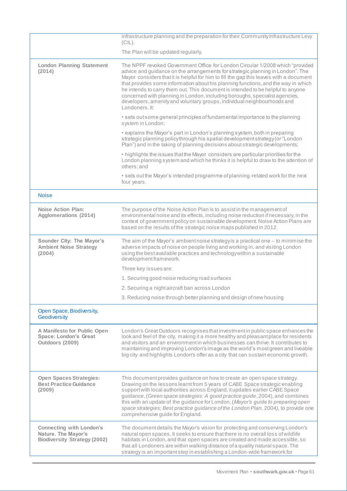|                                                                                               | infrastructure planning and the preparation for their Community Infrastructure Levy<br>(CIL).                                                                                                                                                                                                                                                                                                                                                                                                                                                                                                                 |
|-----------------------------------------------------------------------------------------------|---------------------------------------------------------------------------------------------------------------------------------------------------------------------------------------------------------------------------------------------------------------------------------------------------------------------------------------------------------------------------------------------------------------------------------------------------------------------------------------------------------------------------------------------------------------------------------------------------------------|
|                                                                                               | The Plan will be updated regularly.                                                                                                                                                                                                                                                                                                                                                                                                                                                                                                                                                                           |
| <b>London Planning Statement</b><br>(2014)                                                    | The NPPF revoked Government Office for London Circular 1/2008 which "provided<br>advice and guidance on the arrangements for strategic planning in London". The<br>Mayor considers that it is helpful for him to fill the gap this leaves with a document<br>that provides some information about his planning functions, and the way in which<br>he intends to carry them out. This document is intended to be helpful to anyone<br>concerned with planning in London, including boroughs, specialist agencies,<br>developers, amenity and voluntary groups, individual neighbourhoods and<br>Londoners. It: |
|                                                                                               | • sets out some general principles of fundamental importance to the planning<br>system in London;                                                                                                                                                                                                                                                                                                                                                                                                                                                                                                             |
|                                                                                               | • explains the Mayor's part in London's planning system, both in preparing<br>strategic planning policy through his spatial development strategy (or "London<br>Plan") and in the taking of planning decisions about strategic developments;                                                                                                                                                                                                                                                                                                                                                                  |
|                                                                                               | • highlights the issues that the Mayor considers are particular priorities for the<br>London planning system and which he thinks it is helpful to draw to the attention of<br>others; and                                                                                                                                                                                                                                                                                                                                                                                                                     |
|                                                                                               | • sets out the Mayor's intended programme of planning-related work for the next<br>four years.                                                                                                                                                                                                                                                                                                                                                                                                                                                                                                                |
| <b>Noise</b>                                                                                  |                                                                                                                                                                                                                                                                                                                                                                                                                                                                                                                                                                                                               |
| <b>Noise Action Plan:</b><br><b>Agglomerations (2014)</b>                                     | The purpose of the Noise Action Plan is to assist in the management of<br>environmental noise and its effects, including noise reduction if necessary, in the<br>context of government policy on sustainable development. Noise Action Plans are<br>based on the results of the strategic noise maps published in 2012.                                                                                                                                                                                                                                                                                       |
| Sounder City: The Mayor's<br><b>Ambient Noise Strategy</b><br>(2004)                          | The aim of the Mayor's ambient noise strategy is a practical one $-$ to minimise the<br>adverse impacts of noise on people living and working in, and visiting London<br>using the best available practices and technology within a sustainable<br>development framework.                                                                                                                                                                                                                                                                                                                                     |
|                                                                                               | Three key issues are:                                                                                                                                                                                                                                                                                                                                                                                                                                                                                                                                                                                         |
|                                                                                               | 1. Securing good noise reducing road surfaces                                                                                                                                                                                                                                                                                                                                                                                                                                                                                                                                                                 |
|                                                                                               | 2. Securing a night aircraft ban across London                                                                                                                                                                                                                                                                                                                                                                                                                                                                                                                                                                |
|                                                                                               | 3. Reducing noise through better planning and design of new housing                                                                                                                                                                                                                                                                                                                                                                                                                                                                                                                                           |
| Open Space, Biodiversity,<br>Geodiversity                                                     |                                                                                                                                                                                                                                                                                                                                                                                                                                                                                                                                                                                                               |
| A Manifesto for Public Open<br><b>Space: London's Great</b><br>Outdoors (2009)                | London's Great Outdoors recognises that investment in public space enhances the<br>look and feel of the city, making it a more healthy and pleasant place for residents<br>and visitors and an environment in which businesses can thrive. It contributes to<br>maintaining and improving London's image as the world's most green and liveable<br>big city and highlights London's offer as a city that can sustain economic growth.                                                                                                                                                                         |
| <b>Open Spaces Strategies:</b><br><b>Best Practice Guidance</b><br>(2009)                     | This document provides guidance on how to create an open space strategy.<br>Drawing on the lessons learnt from 5 years of CABE Space strategic enabling<br>support with local authorities across England, it updates earlier CABE Space<br>guidance, (Green space strategies: A good practice guide, 2004), and combines<br>this with an update of the guidance for London, (Mayor's guide to preparing open<br>space strategies; Best practice guidance of the London Plan, 2004), to provide one<br>comprehensive guide for England.                                                                        |
| <b>Connecting with London's</b><br>Nature. The Mayor's<br><b>Biodiversity Strategy (2002)</b> | The document details the Mayor's vision for protecting and conserving London's<br>natural open spaces. It seeks to ensure that there is no overall loss of wildlife<br>habitats in London, and that open spaces are created and made accessible, so<br>that all Londoners are within walking distance of a quality natural space. The<br>strategy is an important step in establishing a London-wide framework for                                                                                                                                                                                            |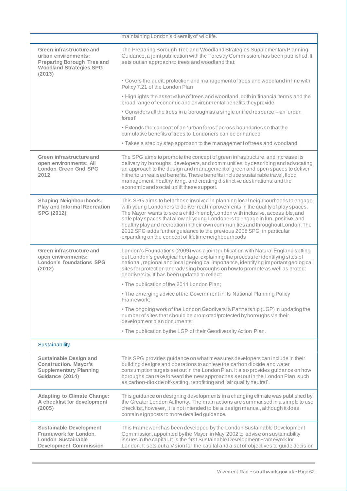|                                                                                                                                  | maintaining London's diversity of wildlife.                                                                                                                                                                                                                                                                                                                                                                                                                                                                                                                  |
|----------------------------------------------------------------------------------------------------------------------------------|--------------------------------------------------------------------------------------------------------------------------------------------------------------------------------------------------------------------------------------------------------------------------------------------------------------------------------------------------------------------------------------------------------------------------------------------------------------------------------------------------------------------------------------------------------------|
| Green infrastructure and<br>urban environments:<br><b>Preparing Borough Tree and</b><br><b>Woodland Strategies SPG</b><br>(2013) | The Preparing Borough Tree and Woodland Strategies Supplementary Planning<br>Guidance, a joint publication with the Forestry Commission, has been published. It<br>sets out an approach to trees and woodland that:                                                                                                                                                                                                                                                                                                                                          |
|                                                                                                                                  | • Covers the audit, protection and management of trees and woodland in line with<br>Policy 7.21 of the London Plan                                                                                                                                                                                                                                                                                                                                                                                                                                           |
|                                                                                                                                  | . Highlights the asset value of trees and woodland, both in financial terms and the<br>broad range of economic and environmental benefits they provide                                                                                                                                                                                                                                                                                                                                                                                                       |
|                                                                                                                                  | • Considers all the trees in a borough as a single unified resource – an 'urban<br>forest                                                                                                                                                                                                                                                                                                                                                                                                                                                                    |
|                                                                                                                                  | • Extends the concept of an 'urban forest' across boundaries so that the<br>cumulative benefits of trees to Londoners can be enhanced                                                                                                                                                                                                                                                                                                                                                                                                                        |
|                                                                                                                                  | • Takes a step by step approach to the management of trees and woodland.                                                                                                                                                                                                                                                                                                                                                                                                                                                                                     |
| Green infrastructure and<br>open environments: All<br><b>London Green Grid SPG</b><br>2012                                       | The SPG aims to promote the concept of green infrastructure, and increase its<br>delivery by boroughs, developers, and communities, by describing and advocating<br>an approach to the design and management of green and open spaces to deliver<br>hitherto unrealised benefits. These benefits include sustainable travel, flood<br>management, healthyliving, and creating distinctive destinations; and the<br>economic and social uplift these support.                                                                                                 |
| <b>Shaping Neighbourhoods:</b><br><b>Play and Informal Recreation</b><br>SPG (2012)                                              | This SPG aims to help those involved in planning local neighbourhoods to engage<br>with young Londoners to deliver real improvements in the quality of play spaces.<br>The Mayor wants to see a child-friendly London with inclusive, accessible, and<br>safe play spaces that allow all young Londoners to engage in fun, positive, and<br>healthy play and recreation in their own communities and throughout London. The<br>2012 SPG adds further guidance to the previous 2008 SPG, in particular<br>expanding on the concept of lifetime neighbourhoods |
| Green infrastructure and<br>open environments:<br>London's foundations SPG<br>(2012)                                             | London's Foundations (2009) was a joint publication with Natural England setting<br>out London's geological heritage, explaining the process for identifying sites of<br>national, regional and local geological importance, identifying important geological<br>sites for protection and advising boroughs on how to promote as well as protect<br>geodiversity. It has been updated to reflect:                                                                                                                                                            |
|                                                                                                                                  | . The publication of the 2011 London Plan;                                                                                                                                                                                                                                                                                                                                                                                                                                                                                                                   |
|                                                                                                                                  | . The emerging advice of the Government in its National Planning Policy<br>Framework:                                                                                                                                                                                                                                                                                                                                                                                                                                                                        |
|                                                                                                                                  | . The ongoing work of the London Geodiversity Partnership (LGP) in updating the<br>number of sites that should be promoted/protected by boroughs via their<br>development plan documents;                                                                                                                                                                                                                                                                                                                                                                    |
|                                                                                                                                  | . The publication by the LGP of their Geodiversity Action Plan.                                                                                                                                                                                                                                                                                                                                                                                                                                                                                              |
| Sustainability                                                                                                                   |                                                                                                                                                                                                                                                                                                                                                                                                                                                                                                                                                              |
| <b>Sustainable Design and</b><br><b>Construction. Mayor's</b><br><b>Supplementary Planning</b><br>Guidance (2014)                | This SPG provides guidance on what measures developers can include in their<br>building designs and operations to achieve the carbon dioxide and water<br>consumption targets set out in the London Plan. It also provides guidance on how<br>boroughs can take forward the new approaches set out in the London Plan, such<br>as carbon-dioxide off-setting, retrofitting and 'air quality neutral'.                                                                                                                                                        |
| <b>Adapting to Climate Change:</b><br>A checklist for development<br>(2005)                                                      | This guidance on designing developments in a changing climate was published by<br>the Greater London Authority. The main actions are summarised in a simple to use<br>checklist, however, it is not intended to be a design manual, although it does<br>contain signposts to more detailed guidance.                                                                                                                                                                                                                                                         |
| <b>Sustainable Development</b><br>Framework for London.<br><b>London Sustainable</b><br><b>Development Commission</b>            | This Framework has been developed by the London Sustainable Development<br>Commission, appointed by the Mayor in May 2002 to advise on sustainability<br>issues in the capital. It is the first Sustainable Development Framework for<br>London. It sets out a Vision for the capital and a set of objectives to guide decision                                                                                                                                                                                                                              |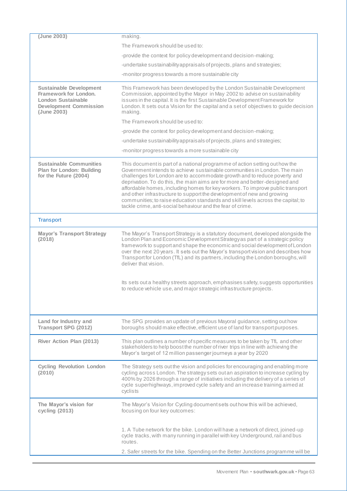| (June 2003)                                                                                                                          | making.                                                                                                                                                                                                                                                                                                                                                                                                                                                                                                                                                                                                                             |
|--------------------------------------------------------------------------------------------------------------------------------------|-------------------------------------------------------------------------------------------------------------------------------------------------------------------------------------------------------------------------------------------------------------------------------------------------------------------------------------------------------------------------------------------------------------------------------------------------------------------------------------------------------------------------------------------------------------------------------------------------------------------------------------|
|                                                                                                                                      | The Framework should be used to:                                                                                                                                                                                                                                                                                                                                                                                                                                                                                                                                                                                                    |
|                                                                                                                                      | -provide the context for policy development and decision-making;                                                                                                                                                                                                                                                                                                                                                                                                                                                                                                                                                                    |
|                                                                                                                                      | -undertake sustainability appraisals of projects, plans and strategies;                                                                                                                                                                                                                                                                                                                                                                                                                                                                                                                                                             |
|                                                                                                                                      | -monitor progress towards a more sustainable city                                                                                                                                                                                                                                                                                                                                                                                                                                                                                                                                                                                   |
| <b>Sustainable Development</b><br>Framework for London.<br><b>London Sustainable</b><br><b>Development Commission</b><br>(June 2003) | This Framework has been developed by the London Sustainable Development<br>Commission, appointed by the Mayor in May 2002 to advise on sustainability<br>issues in the capital. It is the first Sustainable Development Framework for<br>London. It sets out a Vision for the capital and a set of objectives to guide decision<br>making.                                                                                                                                                                                                                                                                                          |
|                                                                                                                                      | The Framework should be used to:                                                                                                                                                                                                                                                                                                                                                                                                                                                                                                                                                                                                    |
|                                                                                                                                      | -provide the context for policy development and decision-making;                                                                                                                                                                                                                                                                                                                                                                                                                                                                                                                                                                    |
|                                                                                                                                      | -undertake sustainability appraisals of projects, plans and strategies;                                                                                                                                                                                                                                                                                                                                                                                                                                                                                                                                                             |
|                                                                                                                                      | -monitor progress towards a more sustainable city                                                                                                                                                                                                                                                                                                                                                                                                                                                                                                                                                                                   |
| <b>Sustainable Communities</b><br>Plan for London: Building<br>for the Future (2004)                                                 | This document is part of a national programme of action setting out how the<br>Government intends to achieve sustainable communities in London. The main<br>challenges for London are to accommodate growth and to reduce poverty and<br>deprivation. To do this, the main aims are for more and better-designed and<br>affordable homes, including homes for key workers. To improve public transport<br>and other infrastructure to support the development of new and growing<br>communities; to raise education standards and skill levels across the capital; to<br>tackle crime, anti-social behaviour and the fear of crime. |
| <b>Transport</b>                                                                                                                     |                                                                                                                                                                                                                                                                                                                                                                                                                                                                                                                                                                                                                                     |
| <b>Mayor's Transport Strategy</b><br>(2018)                                                                                          | The Mayor's Transport Strategy is a statutory document, developed alongside the<br>London Plan and Economic Development Strategy as part of a strategic policy<br>framework to support and shape the economic and social development of London<br>over the next 20 years. It sets out the Mayor's transport vision and describes how<br>Transport for London (TfL) and its partners, including the London boroughs, will<br>deliver that vision.<br>Its sets out a healthy streets approach, emphasises safety, suggests opportunities<br>to reduce vehicle use, and major strategic infrastructure projects.                       |
| Land for Industry and                                                                                                                | The SPG provides an update of previous Mayoral guidance, setting out how                                                                                                                                                                                                                                                                                                                                                                                                                                                                                                                                                            |
| <b>Transport SPG (2012)</b>                                                                                                          | boroughs should make effective, efficient use of land for transport purposes.                                                                                                                                                                                                                                                                                                                                                                                                                                                                                                                                                       |
| River Action Plan (2013)                                                                                                             | This plan outlines a number of specific measures to be taken by TfL and other<br>stakeholders to help boost the number of river trips in line with achieving the<br>Mayor's target of 12 million passenger journeys a year by 2020                                                                                                                                                                                                                                                                                                                                                                                                  |
| <b>Cycling Revolution London</b><br>(2010)                                                                                           | The Strategy sets out the vision and policies for encouraging and enabling more<br>cycling across London. The strategy sets out an aspiration to increase cycling by<br>400% by 2026 through a range of initiatives including the delivery of a series of<br>cycle superhighways, improved cycle safety and an increase training aimed at<br>cyclists                                                                                                                                                                                                                                                                               |
| The Mayor's vision for<br>cycling (2013)                                                                                             | The Mayor's Vision for Cycling document sets out how this will be achieved,<br>focusing on four key outcomes:                                                                                                                                                                                                                                                                                                                                                                                                                                                                                                                       |
|                                                                                                                                      | 1. A Tube network for the bike. London will have a network of direct, joined-up<br>cycle tracks, with many running in parallel with key Underground, rail and bus<br>routes.                                                                                                                                                                                                                                                                                                                                                                                                                                                        |
|                                                                                                                                      | 2. Safer streets for the bike. Spending on the Better Junctions programme will be                                                                                                                                                                                                                                                                                                                                                                                                                                                                                                                                                   |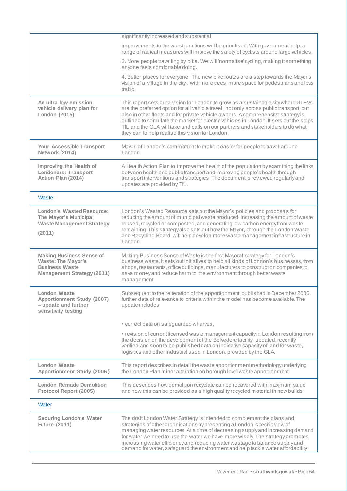|                                                                                                                            | significantly increased and substantial                                                                                                                                                                                                                                                                                                                                                                                                                                                           |
|----------------------------------------------------------------------------------------------------------------------------|---------------------------------------------------------------------------------------------------------------------------------------------------------------------------------------------------------------------------------------------------------------------------------------------------------------------------------------------------------------------------------------------------------------------------------------------------------------------------------------------------|
|                                                                                                                            | improvements to the worst junctions will be prioritised. With government help, a<br>range of radical measures will improve the safety of cyclists around large vehicles.                                                                                                                                                                                                                                                                                                                          |
|                                                                                                                            | 3. More people travelling by bike. We will 'normalise' cycling, making it something<br>anyone feels comfortable doing.                                                                                                                                                                                                                                                                                                                                                                            |
|                                                                                                                            | 4. Better places for everyone. The new bike routes are a step towards the Mayor's<br>vision of a 'village in the city', with more trees, more space for pedestrians and less<br>traffic.                                                                                                                                                                                                                                                                                                          |
| An ultra low emission<br>vehicle delivery plan for<br>London (2015)                                                        | This report sets out a vision for London to grow as a sustainable citywhere ULEVs<br>are the preferred option for all vehicle travel, not only across public transport, but<br>also in other fleets and for private vehicle owners. A comprehensive strategy is<br>outlined to stimulate the market for electric vehicles in London. It sets out the steps<br>TfL and the GLA will take and calls on our partners and stakeholders to do what<br>they can to help realise this vision for London. |
| Your Accessible Transport<br>Network (2014)                                                                                | Mayor of London's commitment to make it easier for people to travel around<br>London.                                                                                                                                                                                                                                                                                                                                                                                                             |
| Improving the Health of<br><b>Londoners: Transport</b><br>Action Plan (2014)                                               | A Health Action Plan to improve the health of the population by examining the links<br>between health and public transport and improving people's health through<br>transport interventions and strategies. The document is reviewed regularly and<br>updates are provided by TfL.                                                                                                                                                                                                                |
| Waste                                                                                                                      |                                                                                                                                                                                                                                                                                                                                                                                                                                                                                                   |
| <b>London's Wasted Resource:</b><br><b>The Mayor's Municipal</b><br><b>Waste Management Strategy</b><br>(2011)             | London's Wasted Resource sets out the Mayor's policies and proposals for<br>reducing the amount of municipal waste produced, increasing the amount of waste<br>reused, recycled or composted, and generating low carbon energy from waste<br>remaining. This strategy also sets out how the Mayor, through the London Waste<br>and Recycling Board, will help develop more waste management infrastructure in<br>London.                                                                          |
| <b>Making Business Sense of</b><br><b>Waste: The Mayor's</b><br><b>Business Waste</b><br><b>Management Strategy (2011)</b> | Making Business Sense of Waste is the first Mayoral strategy for London's<br>business waste. It sets out initiatives to help all kinds of London's businesses, from<br>shops, restaurants, office buildings, manufacturers to construction companies to<br>save money and reduce harm to the environment through better waste<br>management.                                                                                                                                                      |
| <b>London Waste</b><br><b>Apportionment Study (2007)</b><br>- update and further<br>sensitivity testing                    | Subsequent to the reiteration of the apportionment, published in December 2006,<br>further data of relevance to criteria within the model has become available. The<br>update includes                                                                                                                                                                                                                                                                                                            |
|                                                                                                                            | • correct data on safeguarded wharves,                                                                                                                                                                                                                                                                                                                                                                                                                                                            |
|                                                                                                                            | • revision of current licensed waste management capacity in London resulting from<br>the decision on the development of the Belvedere facility, updated, recently<br>verified and soon to be published data on indicative capacity of land for waste,<br>logistics and other industrial used in London, provided by the GLA.                                                                                                                                                                      |
| <b>London Waste</b><br><b>Apportionment Study (2006)</b>                                                                   | This report describes in detail the waste apportionment methodology underlying<br>the London Plan minor alteration on borough level waste apportionment.                                                                                                                                                                                                                                                                                                                                          |
| <b>London Remade Demolition</b><br>Protocol Report (2005)                                                                  | This describes how demolition recyclate can be recovered with maximum value<br>and how this can be provided as a high quality recycled material in new builds.                                                                                                                                                                                                                                                                                                                                    |
| Water                                                                                                                      |                                                                                                                                                                                                                                                                                                                                                                                                                                                                                                   |
| <b>Securing London's Water</b><br><b>Future (2011)</b>                                                                     | The draft London Water Strategy is intended to complement the plans and<br>strategies of other organisations bypresenting a London-specific view of<br>managing water resources. At a time of decreasing supply and increasing demand<br>for water we need to use the water we have more wisely. The strategy promotes<br>increasing water efficiency and reducing water wastage to balance supply and<br>demand for water, safeguard the environment and help tackle water affordability         |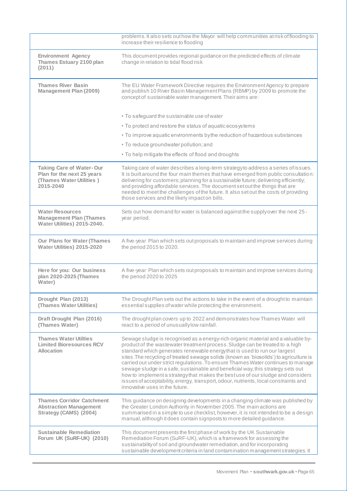|                                                                                                        | problems. It also sets out how the Mayor will help communities at risk of flooding to<br>increase their resilience to flooding                                                                                                                                                                                                                                                                                                                                                                                                                                                                                                                                                                                             |
|--------------------------------------------------------------------------------------------------------|----------------------------------------------------------------------------------------------------------------------------------------------------------------------------------------------------------------------------------------------------------------------------------------------------------------------------------------------------------------------------------------------------------------------------------------------------------------------------------------------------------------------------------------------------------------------------------------------------------------------------------------------------------------------------------------------------------------------------|
| <b>Environment Agency</b><br>Thames Estuary 2100 plan<br>(2011)                                        | This document provides regional guidance on the predicted effects of climate<br>change in relation to tidal flood risk                                                                                                                                                                                                                                                                                                                                                                                                                                                                                                                                                                                                     |
| <b>Thames River Basin</b><br><b>Management Plan (2009)</b>                                             | The EU Water Framework Directive requires the Environment Agency to prepare<br>and publish 10 River Basin Management Plans (RBMP) by 2009 to promote the<br>concept of sustainable water management. Their aims are:                                                                                                                                                                                                                                                                                                                                                                                                                                                                                                       |
|                                                                                                        | • To safeguard the sustainable use of water                                                                                                                                                                                                                                                                                                                                                                                                                                                                                                                                                                                                                                                                                |
|                                                                                                        | • To protect and restore the status of aquatic ecosystems                                                                                                                                                                                                                                                                                                                                                                                                                                                                                                                                                                                                                                                                  |
|                                                                                                        | • To improve aquatic environments by the reduction of hazardous substances                                                                                                                                                                                                                                                                                                                                                                                                                                                                                                                                                                                                                                                 |
|                                                                                                        | • To reduce groundwater pollution; and                                                                                                                                                                                                                                                                                                                                                                                                                                                                                                                                                                                                                                                                                     |
|                                                                                                        | • To help mitigate the effects of flood and droughts                                                                                                                                                                                                                                                                                                                                                                                                                                                                                                                                                                                                                                                                       |
| <b>Taking Care of Water-Our</b><br>Plan for the next 25 years<br>(Thames Water Utilities)<br>2015-2040 | Taking care of water describes a long-term strategy to address a series of issues.<br>It is built around the four main themes that have emerged from public consultation:<br>delivering for customers; planning for a sustainable future; delivering efficiently;<br>and providing affordable services. The document set out the things that are<br>needed to meet the challenges of the future. It also set out the costs of providing<br>those services and the likely impact on bills.                                                                                                                                                                                                                                  |
| <b>Water Resources</b><br><b>Management Plan (Thames</b><br>Water Utilities) 2015-2040.                | Sets out how demand for water is balanced against the supply over the next 25-<br>year period.                                                                                                                                                                                                                                                                                                                                                                                                                                                                                                                                                                                                                             |
| <b>Our Plans for Water (Thames</b><br>Water Utilities) 2015-2020                                       | A five-year Plan which sets out proposals to maintain and improve services during<br>the period 2015 to 2020.                                                                                                                                                                                                                                                                                                                                                                                                                                                                                                                                                                                                              |
| Here for you: Our business<br>plan 2020-2025 (Thames<br>Water)                                         | A five-year Plan which sets out proposals to maintain and improve services during<br>the period 2020 to 2025                                                                                                                                                                                                                                                                                                                                                                                                                                                                                                                                                                                                               |
| Drought Plan (2013)<br>(Thames Water Utilities)                                                        | The Drought Plan sets out the actions to take in the event of a drought to maintain<br>essential supplies of water while protecting the environment.                                                                                                                                                                                                                                                                                                                                                                                                                                                                                                                                                                       |
| Draft Drought Plan (2016)<br>(Thames Water)                                                            | The drought plan covers up to 2022 and demonstrates how Thames Water will<br>react to a period of unusually low rainfall.                                                                                                                                                                                                                                                                                                                                                                                                                                                                                                                                                                                                  |
| <b>Thames Water Utilties</b><br><b>Limited Bioresources RCV</b><br><b>Allocation</b>                   | Sewage sludge is recognised as a energy-rich organic material and a valuable by-<br>product of the wastewater treatment process. Sludge can be treated to a high<br>standard which generates renewable energy that is used to run our largest<br>sites. The recycling of treated sewage solids (known as 'biosolids') to agriculture is<br>carried out under strict regulations. To ensure Thames Water continues to manage<br>sewage sludge in a safe, sustainable and beneficial way, this strategy sets out<br>how to implement a strategy that makes the best use of our sludge and considers<br>issues of acceptability, energy, transport, odour, nutrients, local constraints and<br>innovative uses in the future. |
| <b>Thames Corridor Catchment</b><br><b>Abstraction Management</b><br>Strategy (CAMS) (2004)            | This guidance on designing developments in a changing climate was published by<br>the Greater London Authority in November 2005. The main actions are<br>summarised in a simple to use checklist, however, it is not intended to be a design<br>manual, although it does contain signposts to more detailed guidance.                                                                                                                                                                                                                                                                                                                                                                                                      |
| <b>Sustainable Remediation</b><br>Forum UK (SuRF-UK) (2010)                                            | This document presents the first phase of work by the UK Sustainable<br>Remediation Forum (SuRF-UK), which is a framework for assessing the<br>sustainability of soil and groundwater remediation, and for incorporating<br>sustainable development criteria in land contamination management strategies. It                                                                                                                                                                                                                                                                                                                                                                                                               |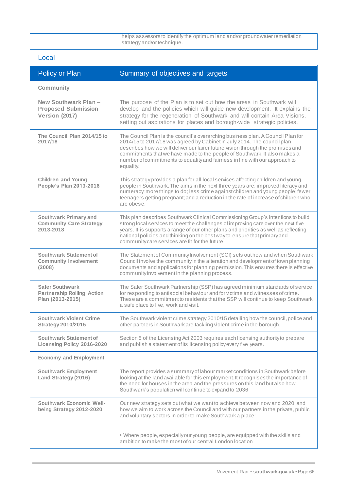helps assessors to identify the optimum land and/or groundwater remediation strategy and/or technique.

## Local

| Policy or Plan                                                                  | Summary of objectives and targets                                                                                                                                                                                                                                                                                                                                                                                      |
|---------------------------------------------------------------------------------|------------------------------------------------------------------------------------------------------------------------------------------------------------------------------------------------------------------------------------------------------------------------------------------------------------------------------------------------------------------------------------------------------------------------|
| Community                                                                       |                                                                                                                                                                                                                                                                                                                                                                                                                        |
| New Southwark Plan-<br><b>Proposed Submission</b><br>Version (2017)             | The purpose of the Plan is to set out how the areas in Southwark will<br>develop and the policies which will guide new development. It explains the<br>strategy for the regeneration of Southwark and will contain Area Visions,<br>setting out aspirations for places and borough-wide strategic policies.                                                                                                            |
| The Council Plan 2014/15 to<br>2017/18                                          | The Council Plan is the council's overarching business plan. A Council Plan for<br>2014/15 to 2017/18 was agreed by Cabinet in July 2014. The council plan<br>describes how we will deliver our fairer future vision through the promises and<br>commitments that we have made to the people of Southwark. It also makes a<br>number of commitments to equality and fairness in line with our approach to<br>equality. |
| <b>Children and Young</b><br>People's Plan 2013-2016                            | This strategy provides a plan for all local services affecting children and young<br>people in Southwark. The aims in the next three years are: improved literacy and<br>numeracy; more things to do; less crime against children and young people; fewer<br>teenagers getting pregnant; and a reduction in the rate of increase of children who<br>are obese.                                                         |
| Southwark Primary and<br><b>Community Care Strategy</b><br>2013-2018            | This plan describes Southwark Clinical Commissioning Group's intentions to build<br>strong local services to meet the challenges of improving care over the next five<br>years. It is supports a range of our other plans and priorities as well as reflecting<br>national policies and thinking on the best way to ensure that primary and<br>community care services are fit for the future.                         |
| <b>Southwark Statement of</b><br><b>Community Involvement</b><br>(2008)         | The Statement of Community Involvement (SCI) sets out how and when Southwark<br>Council involve the community in the alteration and development of town planning<br>documents and applications for planning permission. This ensures there is effective<br>community involvement in the planning process.                                                                                                              |
| <b>Safer Southwark</b><br><b>Partnership Rolling Action</b><br>Plan (2013-2015) | The Safer Southwark Partnership (SSP) has agreed minimum standards of service<br>for responding to antisocial behaviour and for victims and witnesses of crime.<br>These are a commitment to residents that the SSP will continue to keep Southwark<br>a safe place to live, work and visit.                                                                                                                           |
| <b>Southwark Violent Crime</b><br><b>Strategy 2010/2015</b>                     | The Southwark violent crime strategy 2010/15 detailing how the council, police and<br>other partners in Southwark are tackling violent crime in the borough.                                                                                                                                                                                                                                                           |
| <b>Southwark Statement of</b><br><b>Licensing Policy 2016-2020</b>              | Section 5 of the Licensing Act 2003 requires each licensing authority to prepare<br>and publish a statement of its licensing policy every five years.                                                                                                                                                                                                                                                                  |
| <b>Economy and Employment</b>                                                   |                                                                                                                                                                                                                                                                                                                                                                                                                        |
| <b>Southwark Employment</b><br>Land Strategy (2016)                             | The report provides a summary of labour market conditions in Southwark before<br>looking at the land available for this employment. It recognises the importance of<br>the need for houses in the area and the pressures on this land but also how<br>Southwark's population will continue to expand to 2036                                                                                                           |
| <b>Southwark Economic Well-</b><br>being Strategy 2012-2020                     | Our new strategy sets out what we want to achieve between now and 2020, and<br>how we aim to work across the Council and with our partners in the private, public<br>and voluntary sectors in order to make Southwark a place:                                                                                                                                                                                         |
|                                                                                 | . Where people, especiallyour young people, are equipped with the skills and<br>ambition to make the most of our central London location                                                                                                                                                                                                                                                                               |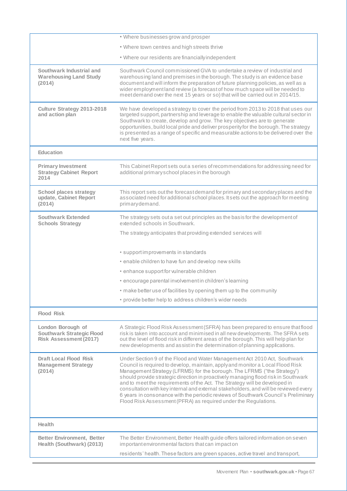|                                                                                        | • Where businesses grow and prosper                                                                                                                                                                                                                                                                                                                                                                                                                                                                                                                                                                                                                         |
|----------------------------------------------------------------------------------------|-------------------------------------------------------------------------------------------------------------------------------------------------------------------------------------------------------------------------------------------------------------------------------------------------------------------------------------------------------------------------------------------------------------------------------------------------------------------------------------------------------------------------------------------------------------------------------------------------------------------------------------------------------------|
|                                                                                        | • Where town centres and high streets thrive                                                                                                                                                                                                                                                                                                                                                                                                                                                                                                                                                                                                                |
|                                                                                        | • Where our residents are financially independent                                                                                                                                                                                                                                                                                                                                                                                                                                                                                                                                                                                                           |
| Southwark Industrial and<br><b>Warehousing Land Study</b><br>(2014)                    | Southwark Council commissioned GVA to undertake a review of industrial and<br>warehousing land and premises in the borough. The study is an evidence base<br>document and will inform the preparation of future planning policies, as well as a<br>wider employment land review (a forecast of how much space will be needed to<br>meet demand over the next 15 years or so) that will be carried out in 2014/15.                                                                                                                                                                                                                                           |
| Culture Strategy 2013-2018<br>and action plan                                          | We have developed a strategy to cover the period from 2013 to 2018 that uses our<br>targeted support, partnership and leverage to enable the valuable cultural sector in<br>Southwark to create, develop and grow. The key objectives are to generate<br>opportunities, build local pride and deliver prosperity for the borough. The strategy<br>is presented as a range of specific and measurable actions to be delivered over the<br>next five years.                                                                                                                                                                                                   |
| <b>Education</b>                                                                       |                                                                                                                                                                                                                                                                                                                                                                                                                                                                                                                                                                                                                                                             |
| <b>Primary Investment</b><br><b>Strategy Cabinet Report</b><br>2014                    | This Cabinet Report sets out a series of recommendations for addressing need for<br>additional primary school places in the borough                                                                                                                                                                                                                                                                                                                                                                                                                                                                                                                         |
| <b>School places strategy</b><br>update, Cabinet Report<br>(2014)                      | This report sets out the forecast demand for primary and secondary places and the<br>associated need for additional school places. It sets out the approach for meeting<br>primary demand.                                                                                                                                                                                                                                                                                                                                                                                                                                                                  |
| <b>Southwark Extended</b><br><b>Schools Strategy</b>                                   | The strategy sets out a set out principles as the basis for the development of<br>extended schools in Southwark.                                                                                                                                                                                                                                                                                                                                                                                                                                                                                                                                            |
|                                                                                        | The strategy anticipates that providing extended services will                                                                                                                                                                                                                                                                                                                                                                                                                                                                                                                                                                                              |
|                                                                                        | • supportimprovements in standards                                                                                                                                                                                                                                                                                                                                                                                                                                                                                                                                                                                                                          |
|                                                                                        | • enable children to have fun and develop new skills                                                                                                                                                                                                                                                                                                                                                                                                                                                                                                                                                                                                        |
|                                                                                        | • enhance support for vulnerable children                                                                                                                                                                                                                                                                                                                                                                                                                                                                                                                                                                                                                   |
|                                                                                        | • encourage parental involvement in children's learning                                                                                                                                                                                                                                                                                                                                                                                                                                                                                                                                                                                                     |
|                                                                                        | • make better use of facilities by opening them up to the community                                                                                                                                                                                                                                                                                                                                                                                                                                                                                                                                                                                         |
|                                                                                        | • provide better help to address children's wider needs                                                                                                                                                                                                                                                                                                                                                                                                                                                                                                                                                                                                     |
| <b>Flood Risk</b>                                                                      |                                                                                                                                                                                                                                                                                                                                                                                                                                                                                                                                                                                                                                                             |
|                                                                                        |                                                                                                                                                                                                                                                                                                                                                                                                                                                                                                                                                                                                                                                             |
| London Borough of<br><b>Southwark Strategic Flood</b><br><b>Risk Assessment (2017)</b> | A Strategic Flood Risk Assessment (SFRA) has been prepared to ensure that flood<br>risk is taken into account and minimised in all new developments. The SFRA sets<br>out the level of flood risk in different areas of the borough. This will help plan for<br>new developments and assist in the determination of planning applications.                                                                                                                                                                                                                                                                                                                  |
| <b>Draft Local Flood Risk</b><br><b>Management Strategy</b><br>(2014)                  | Under Section 9 of the Flood and Water Management Act 2010 Act, Southwark<br>Council is required to develop, maintain, apply and monitor a Local Flood Risk<br>Management Strategy (LFRMS) for the borough. The LFRMS ("the Strategy")<br>should provide strategic direction in proactively managing flood risk in Southwark<br>and to meet the requirements of the Act. The Strategy will be developed in<br>consultation with key internal and external stakeholders, and will be reviewed every<br>6 years in consonance with the periodic reviews of Southwark Council's Preliminary<br>Flood Risk Assessment (PFRA) as required under the Regulations. |
| Health                                                                                 |                                                                                                                                                                                                                                                                                                                                                                                                                                                                                                                                                                                                                                                             |
| <b>Better Environment, Better</b><br>Health (Southwark) (2013)                         | The Better Environment, Better Health guide offers tailored information on seven<br>important environmental factors that can impact on                                                                                                                                                                                                                                                                                                                                                                                                                                                                                                                      |
|                                                                                        | residents' health. These factors are green spaces, active travel and transport,                                                                                                                                                                                                                                                                                                                                                                                                                                                                                                                                                                             |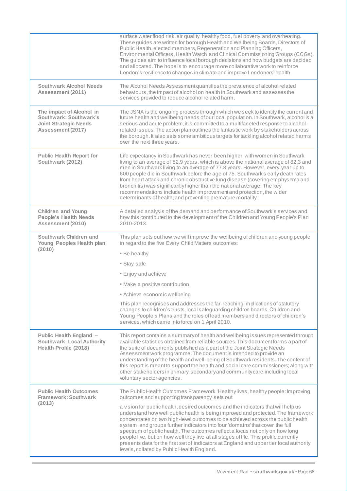|                                                                                                         | surface water flood risk, air quality, healthy food, fuel poverty and overheating.<br>These guides are written for borough Health and Wellbeing Boards, Directors of<br>Public Health, elected members, Regeneration and Planning Officers,<br>Environmental Officers, Health Watch and Clinical Commissioning Groups (CCGs).<br>The guides aim to influence local borough decisions and how budgets are decided<br>and allocated. The hope is to encourage more collaborative work to reinforce<br>London's resilience to changes in climate and improve Londoners' health.                                                                                                                                                                                                                  |
|---------------------------------------------------------------------------------------------------------|-----------------------------------------------------------------------------------------------------------------------------------------------------------------------------------------------------------------------------------------------------------------------------------------------------------------------------------------------------------------------------------------------------------------------------------------------------------------------------------------------------------------------------------------------------------------------------------------------------------------------------------------------------------------------------------------------------------------------------------------------------------------------------------------------|
| <b>Southwark Alcohol Needs</b><br>Assessment (2011)                                                     | The Alcohol Needs Assessment quantifies the prevalence of alcohol related<br>behaviours, the impact of alcohol on health in Southwark and assesses the<br>services provided to reduce alcohol related harm.                                                                                                                                                                                                                                                                                                                                                                                                                                                                                                                                                                                   |
| The impact of Alcohol in<br>Southwark: Southwark's<br><b>Joint Strategic Needs</b><br>Assessment (2017) | The JSNA is the ongoing process through which we seek to identify the current and<br>future health and wellbeing needs of our local population. In Southwark, alcohol is a<br>serious and acute problem, it is committed to a multifaceted response to alcohol-<br>related issues. The action plan outlines the fantastic work by stakeholders across<br>the borough. It also sets some ambitious targets for tackling alcohol related harms<br>over the next three years.                                                                                                                                                                                                                                                                                                                    |
| <b>Public Health Report for</b><br>Southwark (2012)                                                     | Life expectancy in Southwark has never been higher, with women in Southwark<br>living to an average of 82.9 years, which is above the national average of 82.3 and<br>men in Southwark living to an average of 77.8 years. However, every year up to<br>600 people die in Southwark before the age of 75. Southwark's early death rates<br>from heart attack and chronic obstructive lung disease (covering emphysema and<br>bronchitis) was significantly higher than the national average. The key<br>recommendations include health improvement and protection, the wider<br>determinants of health, and preventing premature mortality.                                                                                                                                                   |
| <b>Children and Young</b><br><b>People's Health Needs</b><br>Assessment (2010)                          | A detailed analysis of the demand and performance of Southwark's services and<br>how this contributed to the development of the Children and Young People's Plan<br>2010-2013.                                                                                                                                                                                                                                                                                                                                                                                                                                                                                                                                                                                                                |
| Southwark Children and<br>Young Peoples Health plan<br>(2010)                                           | This plan sets out how we will improve the wellbeing of children and young people<br>in regard to the five Every Child Matters outcomes:<br>• Be healthy<br>• Stay safe<br>• Enjoy and achieve<br>• Make a positive contribution                                                                                                                                                                                                                                                                                                                                                                                                                                                                                                                                                              |
|                                                                                                         | • Achieve economic wellbeing<br>This plan recognises and addresses the far-reaching implications of statutory<br>changes to children's trusts, local safeguarding children boards, Children and<br>Young People's Plans and the roles of lead members and directors of children's<br>services, which came into force on 1 April 2010.                                                                                                                                                                                                                                                                                                                                                                                                                                                         |
| Public Health England -<br><b>Southwark: Local Authority</b><br>Health Profile (2018)                   | This report contains a summary of health and wellbeing issues represented through<br>available statistics obtained from reliable sources. This document forms a part of<br>the suite of documents published as a part of the Joint Strategic Needs<br>Assessment work programme. The document is intended to provide an<br>understanding of the health and well-being of Southwark residents. The content of<br>this report is meant to support the health and social care commissioners; along with<br>other stakeholders in primary, secondary and community care including local<br>voluntary sector agencies.                                                                                                                                                                             |
| <b>Public Health Outcomes</b><br><b>Framework: Southwark</b><br>(2013)                                  | The Public Health Outcomes Framework 'Healthylives, healthy people: Improving<br>outcomes and supporting transparency' sets out<br>a vision for public health, desired outcomes and the indicators that will help us<br>understand how well public health is being improved and protected. The framework<br>concentrates on two high-level outcomes to be achieved across the public health<br>system, and groups further indicators into four 'domains' that cover the full<br>spectrum of public health. The outcomes reflect a focus not only on how long<br>people live, but on how well they live at all stages of life. This profile currently<br>presents data for the first set of indicators at England and upper tier local authority<br>levels, collated by Public Health England. |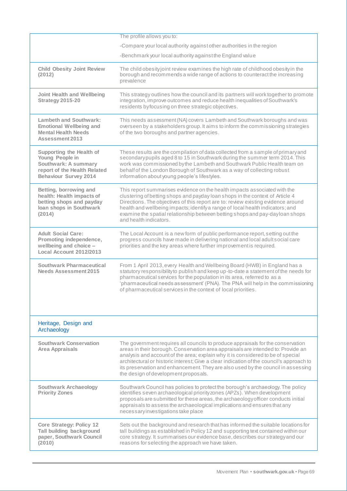|                                                                                                                                     | The profile allows you to:                                                                                                                                                                                                                                                                                                                                                                                                                                                     |
|-------------------------------------------------------------------------------------------------------------------------------------|--------------------------------------------------------------------------------------------------------------------------------------------------------------------------------------------------------------------------------------------------------------------------------------------------------------------------------------------------------------------------------------------------------------------------------------------------------------------------------|
|                                                                                                                                     | -Compare your local authority against other authorities in the region                                                                                                                                                                                                                                                                                                                                                                                                          |
|                                                                                                                                     | -Benchmark your local authority against the England value                                                                                                                                                                                                                                                                                                                                                                                                                      |
| <b>Child Obesity Joint Review</b><br>(2012)                                                                                         | The child obesity joint review examines the high rate of childhood obesity in the<br>borough and recommends a wide range of actions to counteract the increasing<br>prevalence                                                                                                                                                                                                                                                                                                 |
| <b>Joint Health and Wellbeing</b><br><b>Strategy 2015-20</b>                                                                        | This strategy outlines how the council and its partners will work together to promote<br>integration, improve outcomes and reduce health inequalities of Southwark's<br>residents by focusing on three strategic objectives.                                                                                                                                                                                                                                                   |
| <b>Lambeth and Southwark:</b><br><b>Emotional Wellbeing and</b><br><b>Mental Health Needs</b><br>Assessment 2013                    | This needs assessment (NA) covers Lambeth and Southwark boroughs and was<br>overseen by a stakeholders group. It aims to inform the commissioning strategies<br>of the two boroughs and partner agencies.                                                                                                                                                                                                                                                                      |
| Supporting the Health of<br>Young People in<br>Southwark: A summary<br>report of the Health Related<br><b>Behaviour Survey 2014</b> | These results are the compilation of data collected from a sample of primary and<br>secondary pupils aged 8 to 15 in Southwark during the summer term 2014. This<br>work was commissioned by the Lambeth and Southwark Public Health team on<br>behalf of the London Borough of Southwark as a way of collecting robust<br>information about young people's lifestyles.                                                                                                        |
| Betting, borrowing and<br>health: Health impacts of<br>betting shops and payday<br>Ioan shops in Southwark<br>(2014)                | This report summarises evidence on the health impacts associated with the<br>clustering of betting shops and payday loan shops in the context of Article 4<br>Directions. The objectives of this report are to: review existing evidence around<br>health and wellbeing impacts; identify a range of local health indicators; and<br>examine the spatial relationship between betting shops and pay-dayloan shops<br>and health indicators.                                    |
| <b>Adult Social Care:</b><br>Promoting independence,<br>wellbeing and choice -<br>Local Account 2012/2013                           | The Local Account is a new form of public performance report, setting out the<br>progress councils have made in delivering national and local adult social care<br>priorities and the key areas where further improvement is required.                                                                                                                                                                                                                                         |
| Southwark Pharmaceutical<br><b>Needs Assessment 2015</b>                                                                            | From 1 April 2013, every Health and Wellbeing Board (HWB) in England has a<br>statutory responsibility to publish and keep up-to-date a statement of the needs for<br>pharmaceutical services for the population in its area, referred to as a<br>'pharmaceutical needs assessment' (PNA). The PNA will help in the commissioning<br>of pharmaceutical services in the context of local priorities.                                                                            |
| Heritage, Design and<br>Archaeology                                                                                                 |                                                                                                                                                                                                                                                                                                                                                                                                                                                                                |
| <b>Southwark Conservation</b><br><b>Area Appraisals</b>                                                                             | The government requires all councils to produce appraisals for the conservation<br>areas in their borough. Conservation area appraisals are intended to: Provide an<br>analysis and account of the area; explain why it is considered to be of special<br>architectural or historic interest; Give a clear indication of the council's approach to<br>its preservation and enhancement. They are also used by the council in assessing<br>the design of development proposals. |
| <b>Southwark Archaeology</b><br><b>Priority Zones</b>                                                                               | Southwark Council has policies to protect the borough's archaeology. The policy<br>identifies seven archaeological priority zones (APZs). When development<br>proposals are submitted for these areas, the archaeology officer conducts initial<br>appraisals to assess the archaeological implications and ensures that any<br>necessary investigations take place                                                                                                            |
| <b>Core Strategy: Policy 12</b><br>Tall building background<br>paper, Southwark Council<br>(2010)                                   | Sets out the background and research that has informed the suitable locations for<br>tall buildings as established in Policy 12 and supporting text contained within our<br>core strategy. It summarises our evidence base, describes our strategy and our<br>reasons for selecting the approach we have taken.                                                                                                                                                                |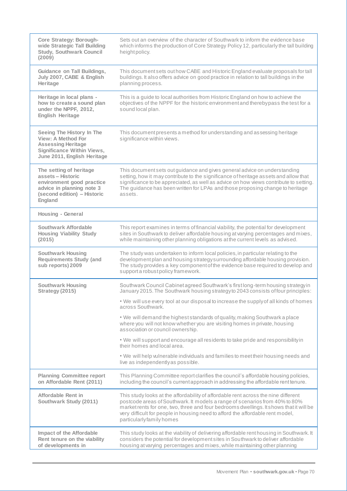| <b>Core Strategy: Borough-</b><br>wide Strategic Tall Building<br><b>Study, Southwark Council</b><br>(2009)                                      | Sets out an overview of the character of Southwark to inform the evidence base<br>which informs the production of Core Strategy Policy 12, particularly the tall building<br>height policy.                                                                                                                                                                                |
|--------------------------------------------------------------------------------------------------------------------------------------------------|----------------------------------------------------------------------------------------------------------------------------------------------------------------------------------------------------------------------------------------------------------------------------------------------------------------------------------------------------------------------------|
| <b>Guidance on Tall Buildings,</b><br>July 2007, CABE & English<br>Heritage                                                                      | This document sets out how CABE and Historic England evaluate proposals for tall<br>buildings. It also offers advice on good practice in relation to tall buildings in the<br>planning process.                                                                                                                                                                            |
| Heritage in local plans -<br>how to create a sound plan<br>under the NPPF, 2012,<br><b>English Heritage</b>                                      | This is a guide to local authorities from Historic England on how to achieve the<br>objectives of the NPPF for the historic environment and therebypass the test for a<br>sound local plan.                                                                                                                                                                                |
| Seeing The History In The<br>View: A Method For<br><b>Assessing Heritage</b><br><b>Significance Within Views,</b><br>June 2011, English Heritage | This document presents a method for understanding and assessing heritage<br>significance within views.                                                                                                                                                                                                                                                                     |
| The setting of heritage<br>assets - Historic<br>environment good practice<br>advice in planning note 3<br>(second edition) - Historic<br>England | This document sets out guidance and gives general advice on understanding<br>setting, how it may contribute to the significance of heritage assets and allow that<br>significance to be appreciated, as well as advice on how views contribute to setting.<br>The guidance has been written for LPAs and those proposing change to heritage<br>assets.                     |
| Housing - General                                                                                                                                |                                                                                                                                                                                                                                                                                                                                                                            |
| Southwark Affordable<br><b>Housing Viability Study</b><br>(2015)                                                                                 | This report examines in terms of financial viability, the potential for development<br>sites in Southwark to deliver affordable housing at varying percentages and mixes,<br>while maintaining other planning obligations at the current levels as advised.                                                                                                                |
| <b>Southwark Housing</b><br><b>Requirements Study (and</b><br>sub reports) 2009                                                                  | The study was undertaken to inform local policies, in particular relating to the<br>development plan and housing strategy surrounding affordable housing provision.<br>The study provides a key component of the evidence base required to develop and<br>support a robust policy framework.                                                                               |
| <b>Southwark Housing</b><br>Strategy (2015)                                                                                                      | Southwark Council Cabinet agreed Southwark's first long-term housing strategy in<br>January 2015. The Southwark housing strategy to 2043 consists of four principles:                                                                                                                                                                                                      |
|                                                                                                                                                  | . We will use every tool at our disposal to increase the supply of all kinds of homes<br>across Southwark.                                                                                                                                                                                                                                                                 |
|                                                                                                                                                  | . We will demand the highest standards of quality, making Southwark a place<br>where you will not know whether you are visiting homes in private, housing<br>association or council ownership.                                                                                                                                                                             |
|                                                                                                                                                  | . We will support and encourage all residents to take pride and responsibility in<br>their homes and local area.                                                                                                                                                                                                                                                           |
|                                                                                                                                                  | . We will help vulnerable individuals and families to meet their housing needs and<br>live as independently as possible.                                                                                                                                                                                                                                                   |
| <b>Planning Committee report</b><br>on Affordable Rent (2011)                                                                                    | This Planning Committee report clarifies the council's affordable housing policies,<br>including the council's current approach in addressing the affordable rent tenure.                                                                                                                                                                                                  |
| Affordable Rent in<br>Southwark Study (2011)                                                                                                     | This study looks at the affordability of affordable rent across the nine different<br>postcode areas of Southwark. It models a range of scenarios from 40% to 80%<br>market rents for one, two, three and four bedrooms dwellings. It shows that it will be<br>very difficult for people in housing need to afford the affordable rent model,<br>particularly family homes |
| <b>Impact of the Affordable</b><br>Rent tenure on the viability<br>of developments in                                                            | This study looks at the viability of delivering affordable rent housing in Southwark. It<br>considers the potential for development sites in Southwark to deliver affordable<br>housing at varying percentages and mixes, while maintaining other planning                                                                                                                 |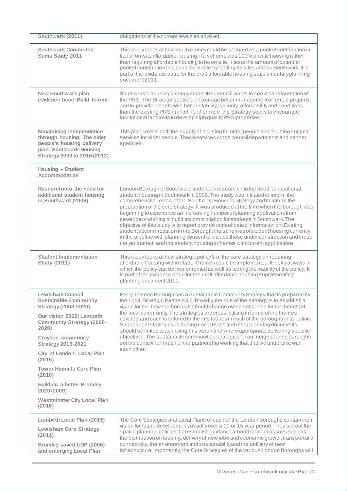| Southwark (2011)                                                                                                                                     | obligations at the current levels as advised.                                                                                                                                                                                                                                                                                                                                                                                                                                                                                                                                                                                                                                                                                                                                                                                        |
|------------------------------------------------------------------------------------------------------------------------------------------------------|--------------------------------------------------------------------------------------------------------------------------------------------------------------------------------------------------------------------------------------------------------------------------------------------------------------------------------------------------------------------------------------------------------------------------------------------------------------------------------------------------------------------------------------------------------------------------------------------------------------------------------------------------------------------------------------------------------------------------------------------------------------------------------------------------------------------------------------|
| <b>Southwark Commuted</b><br>Sums Study 2011                                                                                                         | This study looks at how much money could be secured as a pooled contribution in<br>lieu of on-site affordable housing, if a scheme was 100% private housing rather<br>than requiring affordable housing to be on site. It tests the amount of potential<br>pooled contribution that could be viable by testing 35 sites across Southwark. It is<br>part of the evidence base for the draft affordable housing supplementary planning<br>document 2011.                                                                                                                                                                                                                                                                                                                                                                               |
| <b>New Southwark plan</b><br>evidence base: Build to rent                                                                                            | Southwark's housing strategy states the Council wants to see a transformation of<br>the PRS. The Strategy seeks to encourage better management of rented property<br>and to provide tenants with better stability, security, affordability and conditions<br>than the existing PRS market. Furthermore, the Strategy seeks to encourage<br>institutional landlords to develop high quality PRS properties.                                                                                                                                                                                                                                                                                                                                                                                                                           |
| <b>Maximising independence</b><br>through housing: The older<br>people's housing delivery<br>plan: Southwark Housing<br>Strategy 2009 to 2016 (2012) | This plan covers both the supply of housing for older people and housing support<br>services for older people. These services cross council departments and partner<br>agencies.                                                                                                                                                                                                                                                                                                                                                                                                                                                                                                                                                                                                                                                     |
| Housing - Student<br>Accommodation                                                                                                                   |                                                                                                                                                                                                                                                                                                                                                                                                                                                                                                                                                                                                                                                                                                                                                                                                                                      |
| Research into the need for<br>additional student housing<br>in Southwark (2008)                                                                      | London Borough of Southwark undertook research into the need for additional<br>student housing in Southwark in 2008. The study was initiated to inform the<br>comprehensive review of the Southwark Housing Strategy and to inform the<br>preparation of the core strategy. It was produced at the time when the borough was<br>beginning to experience an increasing number of planning applications from<br>developers wishing to build accommodation for students in Southwark. The<br>objective of this study is to report provide consolidated information on: Existing<br>student accommodation in the Borough; the schemes of student housing currently<br>in the pipeline with planning consent to include those under construction and those<br>not yet started; and the student housing schemes with current applications. |
| <b>Student Implementation</b><br><b>Study (2011)</b>                                                                                                 | This study looks at how strategic policy 8 of the core strategy on requiring<br>affordable housing within student homes could be implemented. It looks at ways in<br>which the policy can be implemented as well as testing the viability of the policy. It<br>is part of the evidence base for the draft affordable housing supplementary<br>planning document 2011.                                                                                                                                                                                                                                                                                                                                                                                                                                                                |
| <b>Lewisham Council</b><br><b>Sustainable Community</b><br><b>Strategy (2008-2020)</b>                                                               | Every London Borough has a Sustainable Community Strategy that is prepared by<br>the Local Strategic Partnership. Broadly, the role of the strategy is to establish a<br>vision for the how the borough should change over a set period for the benefit of<br>the local community. The strategies are cross-cutting in terms of the themes<br>covered and each is tailored to the key issues in each of the boroughs in question.<br>Subsequent strategies, including Local Plans and other planning documents,<br>should be linked to achieving this vision and where appropriate delivering specific<br>objectives. The sustainable communities strategies for our neighbouring boroughs<br>set the context for much of the partnership working that that we undertake with<br>each other.                                         |
| Our vision 2020: Lambeth<br><b>Community Strategy (2008-</b><br>2020)                                                                                |                                                                                                                                                                                                                                                                                                                                                                                                                                                                                                                                                                                                                                                                                                                                                                                                                                      |
| <b>Croydon community</b><br><b>Strategy 2016-2021</b>                                                                                                |                                                                                                                                                                                                                                                                                                                                                                                                                                                                                                                                                                                                                                                                                                                                                                                                                                      |
| City of London: Local Plan<br>(2015)                                                                                                                 |                                                                                                                                                                                                                                                                                                                                                                                                                                                                                                                                                                                                                                                                                                                                                                                                                                      |
| <b>Tower Hamlets Core Plan</b><br>(2010)                                                                                                             |                                                                                                                                                                                                                                                                                                                                                                                                                                                                                                                                                                                                                                                                                                                                                                                                                                      |
| <b>Building a better Bromley</b><br>2020 (2009)                                                                                                      |                                                                                                                                                                                                                                                                                                                                                                                                                                                                                                                                                                                                                                                                                                                                                                                                                                      |
| <b>Westminster City Local Plan</b><br>(2016)                                                                                                         |                                                                                                                                                                                                                                                                                                                                                                                                                                                                                                                                                                                                                                                                                                                                                                                                                                      |
| Lambeth Local Plan (2015)                                                                                                                            | The Core Strategies and Local Plans of each of the London Boroughs contain their<br>vision for future development, usually over a 10 or 15 year period. They set out the<br>spatial planning policies that establish guidance around strategic issues such as<br>the distribution of housing, delivery of new jobs and economic growth, transport and<br>connectivity, the environment and sustainability and the delivery of new<br>infrastructure. Importantly, the Core Strategies of the various London Boroughs will                                                                                                                                                                                                                                                                                                            |
| <b>Lewisham Core Strategy</b><br>(2011)                                                                                                              |                                                                                                                                                                                                                                                                                                                                                                                                                                                                                                                                                                                                                                                                                                                                                                                                                                      |
| Bromley saved UDP (2006)<br>and emerging Local Plan                                                                                                  |                                                                                                                                                                                                                                                                                                                                                                                                                                                                                                                                                                                                                                                                                                                                                                                                                                      |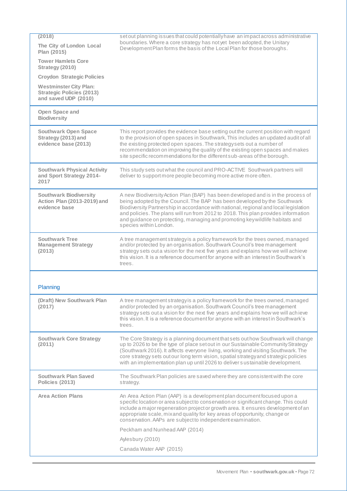| (2018)                                                                                    | set out planning issues that could potentially have an impact across administrative                                                                                                                                                                                                                                                                                                                                                                   |
|-------------------------------------------------------------------------------------------|-------------------------------------------------------------------------------------------------------------------------------------------------------------------------------------------------------------------------------------------------------------------------------------------------------------------------------------------------------------------------------------------------------------------------------------------------------|
| The City of London Local<br>Plan (2015)                                                   | boundaries. Where a core strategy has not yet been adopted, the Unitary<br>Development Plan forms the basis of the Local Plan for those boroughs.                                                                                                                                                                                                                                                                                                     |
| <b>Tower Hamlets Core</b><br>Strategy (2010)                                              |                                                                                                                                                                                                                                                                                                                                                                                                                                                       |
| <b>Croydon Strategic Policies</b>                                                         |                                                                                                                                                                                                                                                                                                                                                                                                                                                       |
| <b>Westminster City Plan:</b><br><b>Strategic Policies (2013)</b><br>and saved UDP (2010) |                                                                                                                                                                                                                                                                                                                                                                                                                                                       |
| Open Space and<br><b>Biodiversity</b>                                                     |                                                                                                                                                                                                                                                                                                                                                                                                                                                       |
| <b>Southwark Open Space</b><br>Strategy (2013) and<br>evidence base (2013)                | This report provides the evidence base setting out the current position with regard<br>to the provision of open spaces in Southwark, This includes an updated audit of all<br>the existing protected open spaces. The strategy sets out a number of<br>recommendation on improving the quality of the existing open spaces and makes<br>site specific recommendations for the different sub-areas of the borough.                                     |
| <b>Southwark Physical Activity</b><br>and Sport Strategy 2014-<br>2017                    | This study sets out what the council and PRO-ACTIVE Southwark partners will<br>deliver to support more people becoming more active more often.                                                                                                                                                                                                                                                                                                        |
| <b>Southwark Biodiversity</b><br>Action Plan (2013-2019) and<br>evidence base             | A new Biodiversity Action Plan (BAP) has been developed and is in the process of<br>being adopted by the Council. The BAP has been developed by the Southwark<br>Biodiversity Partnership in accordance with national, regional and local legislation<br>and policies. The plans will run from 2012 to 2018. This plan provides information<br>and guidance on protecting, managing and promoting key wildlife habitats and<br>species within London. |
| <b>Southwark Tree</b><br><b>Management Strategy</b><br>(2013)                             | A tree management strategy is a policy framework for the trees owned, managed<br>and/or protected by an organisation. Southwark Council's tree management<br>strategy sets out a vision for the next five years and explains how we will achieve<br>this vision. It is a reference document for anyone with an interest in Southwark's<br>trees.                                                                                                      |
| Planning                                                                                  |                                                                                                                                                                                                                                                                                                                                                                                                                                                       |
| (Draft) New Southwark Plan<br>(2017)                                                      | A tree management strategy is a policy framework for the trees owned, managed<br>and/or protected by an organisation. Southwark Council's tree management<br>strategy sets out a vision for the next five years and explains how we will achieve<br>this vision. It is a reference document for anyone with an interest in Southwark's<br>trees.                                                                                                      |
| <b>Southwark Core Strategy</b><br>(2011)                                                  | The Core Strategy is a planning document that sets out how Southwark will change<br>up to 2026 to be the type of place set out in our Sustainable Community Strategy<br>(Southwark 2016). It affects everyone living, working and visiting Southwark. The<br>core strategy sets out our long term vision, spatial strategy and strategic policies<br>with an implementation plan up until 2026 to deliver sustainable development.                    |
| <b>Southwark Plan Saved</b><br>Policies (2013)                                            | The Southwark Plan policies are saved where they are consistent with the core<br>strategy.                                                                                                                                                                                                                                                                                                                                                            |
| <b>Area Action Plans</b>                                                                  | An Area Action Plan (AAP) is a development plan document focused upon a<br>specific location or area subject to conservation or significant change. This could<br>include a major regeneration project or growth area. It ensures development of an<br>appropriate scale, mixand quality for key areas of opportunity, change or<br>conservation. AAPs are subject to independent examination.                                                        |
|                                                                                           | Peckham and Nunhead AAP (2014)                                                                                                                                                                                                                                                                                                                                                                                                                        |
|                                                                                           | Aylesbury (2010)                                                                                                                                                                                                                                                                                                                                                                                                                                      |
|                                                                                           | Canada Water AAP (2015)                                                                                                                                                                                                                                                                                                                                                                                                                               |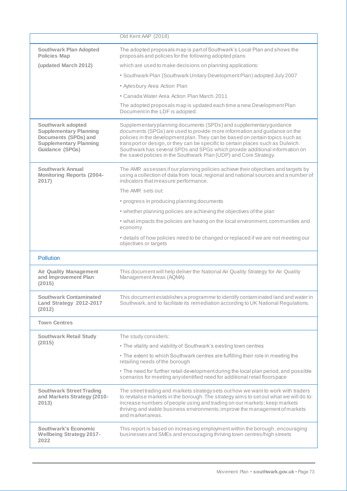|                                                                                                                                | Old Kent AAP (2018)                                                                                                                                                                                                                                                                                                                                                                                                                                                    |
|--------------------------------------------------------------------------------------------------------------------------------|------------------------------------------------------------------------------------------------------------------------------------------------------------------------------------------------------------------------------------------------------------------------------------------------------------------------------------------------------------------------------------------------------------------------------------------------------------------------|
| <b>Southwark Plan Adopted</b><br><b>Policies Map</b>                                                                           | The adopted proposals map is part of Southwark's Local Plan and shows the<br>proposals and policies for the following adopted plans                                                                                                                                                                                                                                                                                                                                    |
| (updated March 2012)                                                                                                           | which are used to make decisions on planning applications:                                                                                                                                                                                                                                                                                                                                                                                                             |
|                                                                                                                                | • Southwark Plan (Southwark Unitary Development Plan) adopted July 2007                                                                                                                                                                                                                                                                                                                                                                                                |
|                                                                                                                                | • Aylesbury Area Action Plan                                                                                                                                                                                                                                                                                                                                                                                                                                           |
|                                                                                                                                | • Canada Water Area Action Plan March 2011                                                                                                                                                                                                                                                                                                                                                                                                                             |
|                                                                                                                                | The adopted proposals map is updated each time a new Development Plan<br>Document in the LDF is adopted.                                                                                                                                                                                                                                                                                                                                                               |
| Southwark adopted<br><b>Supplementary Planning</b><br>Documents (SPDs) and<br><b>Supplementary Planning</b><br>Guidance (SPGs) | Supplementaryplanning documents (SPDs) and supplementary guidance<br>documents (SPGs) are used to provide more information and guidance on the<br>policies in the development plan. They can be based on certain topics such as<br>transport or design, or they can be specific to certain places such as Dulwich.<br>Southwark has several SPDs and SPGs which provide additional information on<br>the saved policies in the Southwark Plan (UDP) and Core Strategy. |
| Southwark Annual<br><b>Monitoring Reports (2004-</b><br>2017)                                                                  | The AMR assesses if our planning policies achieve their objectives and targets by<br>using a collection of data from local, regional and national sources and a number of<br>indicators that measure performance.                                                                                                                                                                                                                                                      |
|                                                                                                                                | The AMR sets out:                                                                                                                                                                                                                                                                                                                                                                                                                                                      |
|                                                                                                                                | • progress in producing planning documents                                                                                                                                                                                                                                                                                                                                                                                                                             |
|                                                                                                                                | • whether planning policies are achieving the objectives of the plan                                                                                                                                                                                                                                                                                                                                                                                                   |
|                                                                                                                                | • what impacts the policies are having on the local environment, communities and<br>economy                                                                                                                                                                                                                                                                                                                                                                            |
|                                                                                                                                | • details of how policies need to be changed or replaced if we are not meeting our<br>objectives or targets                                                                                                                                                                                                                                                                                                                                                            |
| <b>Pollution</b>                                                                                                               |                                                                                                                                                                                                                                                                                                                                                                                                                                                                        |
| <b>Air Quality Management</b><br>and Improvement Plan<br>(2015)                                                                | This document will help deliver the National Air Quality Strategy for Air Quality<br>Management Areas (AQMA).                                                                                                                                                                                                                                                                                                                                                          |
| <b>Southwark Contaminated</b><br>Land Strategy 2012-2017<br>(2012)                                                             | This document establishes a programme to identify contaminated land and water in<br>Southwark, and to facilitate its remediation according to UK National Regulations.                                                                                                                                                                                                                                                                                                 |
| <b>Town Centres</b>                                                                                                            |                                                                                                                                                                                                                                                                                                                                                                                                                                                                        |
| <b>Southwark Retail Study</b>                                                                                                  | The study considers:                                                                                                                                                                                                                                                                                                                                                                                                                                                   |
| (2015)                                                                                                                         | • The vitality and viability of Southwark's existing town centres                                                                                                                                                                                                                                                                                                                                                                                                      |
|                                                                                                                                | . The extent to which Southwark centres are fulfilling their role in meeting the<br>retailing needs of the borough                                                                                                                                                                                                                                                                                                                                                     |
|                                                                                                                                | • The need for further retail development during the local plan period, and possible<br>scenarios for meeting anyidentified need for additional retail floorspace                                                                                                                                                                                                                                                                                                      |
| <b>Southwark Street Trading</b><br>and Markets Strategy (2010-<br>2013)                                                        | The street trading and markets strategy sets out how we want to work with traders<br>to revitalise markets in the borough. The strategy aims to set out what we will do to:<br>increase numbers of people using and trading on our markets; keep markets<br>thriving and viable business environments; improve the management of markets<br>and market areas.                                                                                                          |
| <b>Southwark's Economic</b><br><b>Wellbeing Strategy 2017-</b><br>2022                                                         | This report is based on increasing employment within the borough, encouraging<br>businesses and SMEs and encouraging thriving town centres/high streets                                                                                                                                                                                                                                                                                                                |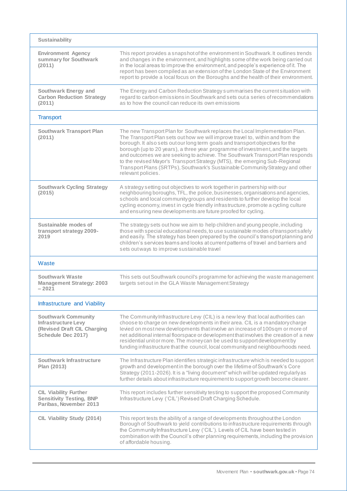| <b>Sustainability</b>                                                                                         |                                                                                                                                                                                                                                                                                                                                                                                                                                                                                                                                                                                                           |
|---------------------------------------------------------------------------------------------------------------|-----------------------------------------------------------------------------------------------------------------------------------------------------------------------------------------------------------------------------------------------------------------------------------------------------------------------------------------------------------------------------------------------------------------------------------------------------------------------------------------------------------------------------------------------------------------------------------------------------------|
| <b>Environment Agency</b><br>summary for Southwark<br>(2011)                                                  | This report provides a snapshot of the environment in Southwark. It outlines trends<br>and changes in the environment, and highlights some of the work being carried out<br>in the local areas to improve the environment, and people's experience of it. The<br>report has been compiled as an extension of the London State of the Environment<br>report to provide a local focus on the Boroughs and the health of their environment.                                                                                                                                                                  |
| Southwark Energy and<br><b>Carbon Reduction Strategy</b><br>(2011)                                            | The Energy and Carbon Reduction Strategy summarises the current situation with<br>regard to carbon emissions in Southwark and sets out a series of recommendations<br>as to how the council can reduce its own emissions                                                                                                                                                                                                                                                                                                                                                                                  |
| <b>Transport</b>                                                                                              |                                                                                                                                                                                                                                                                                                                                                                                                                                                                                                                                                                                                           |
| <b>Southwark Transport Plan</b><br>(2011)                                                                     | The new Transport Plan for Southwark replaces the Local Implementation Plan.<br>The Transport Plan sets out how we will improve travel to, within and from the<br>borough. It also sets out our long term goals and transport objectives for the<br>borough (up to 20 years), a three year programme of investment, and the targets<br>and outcomes we are seeking to achieve. The Southwark Transport Plan responds<br>to the revised Mayor's Transport Strategy (MTS), the emerging Sub-Regional<br>Transport Plans (SRTPs), Southwark's Sustainable Community Strategy and other<br>relevant policies. |
| <b>Southwark Cycling Strategy</b><br>(2015)                                                                   | A strategy setting out objectives to work together in partnership with our<br>neighbouring boroughs, TFL, the police, businesses, organisations and agencies,<br>schools and local community groups and residents to further develop the local<br>cycling economy, invest in cycle friendly infrastructure, promote a cycling culture<br>and ensuring new developments are future proofed for cycling.                                                                                                                                                                                                    |
| Sustainable modes of<br>transport strategy 2009-<br>2019                                                      | The strategy sets out how we aim to help children and young people, including<br>those with special educational needs, to use sustainable modes of transport safely<br>and easily. The strategy has been prepared by the council's transport planning and<br>children's services teams and looks at current patterns of travel and barriers and<br>sets out ways to improve sustainable travel                                                                                                                                                                                                            |
| Waste                                                                                                         |                                                                                                                                                                                                                                                                                                                                                                                                                                                                                                                                                                                                           |
| Southwark Waste<br><b>Management Strategy: 2003</b><br>$-2021$                                                | This sets out Southwark council's programme for achieving the waste management<br>targets set out in the GLA Waste Management Strategy                                                                                                                                                                                                                                                                                                                                                                                                                                                                    |
| Infrastructure and Viability                                                                                  |                                                                                                                                                                                                                                                                                                                                                                                                                                                                                                                                                                                                           |
| <b>Southwark Community</b><br><b>Infrastructure Levy</b><br>(Revised Draft CIL Charging<br>Schedule Dec 2017) | The Community Infrastructure Levy (CIL) is a new levy that local authorities can<br>choose to charge on new developments in their area. CIL is a mandatory charge<br>levied on most new developments that involve an increase of 100sqm or more of<br>net additional internal floorspace or development that involves the creation of a new<br>residential unit or more. The money can be used to support development by<br>funding infrastructure that the council, local community and neighbourhoods need.                                                                                             |
| Southwark Infrastructure<br>Plan (2013)                                                                       | The Infrastructure Plan identifies strategic infrastructure which is needed to support<br>growth and development in the borough over the lifetime of Southwark's Core<br>Strategy (2011-2026). It is a "living document" which will be updated regularly as<br>further details about infrastructure requirement to support growth become clearer.                                                                                                                                                                                                                                                         |
| <b>CIL Viability Further</b><br><b>Sensitivity Testing, BNP</b><br>Paribas, November 2013                     | This report includes further sensitivity testing to support the proposed Community<br>Infrastructure Levy ('CIL') Revised Draft Charging Schedule.                                                                                                                                                                                                                                                                                                                                                                                                                                                        |
| CIL Viability Study (2014)                                                                                    | This report tests the ability of a range of developments throughout the London<br>Borough of Southwark to yield contributions to infrastructure requirements through<br>the Community Infrastructure Levy ('CIL'). Levels of CIL have been tested in<br>combination with the Council's other planning requirements, including the provision<br>of affordable housing.                                                                                                                                                                                                                                     |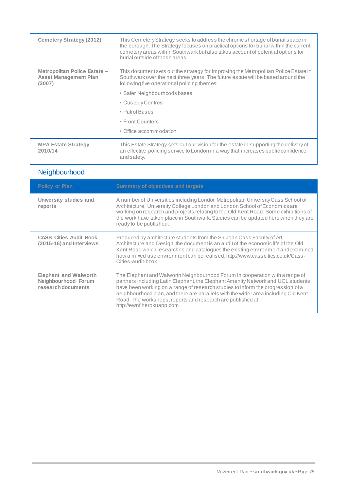| <b>Cemetery Strategy (2012)</b>                                        | This Cemetery Strategy seeks to address the chronic shortage of burial space in<br>the borough. The Strategy focuses on practical options for burial within the current<br>cemetery areas within Southwark but also takes account of potential options for<br>burial outside of those areas. |
|------------------------------------------------------------------------|----------------------------------------------------------------------------------------------------------------------------------------------------------------------------------------------------------------------------------------------------------------------------------------------|
| Metropolitan Police Estate -<br><b>Asset Management Plan</b><br>(2007) | This document sets out the strategy for improving the Metropolitan Police Estate in<br>Southwark over the next three years. The future estate will be based around the<br>following five operational policing themes:                                                                        |
|                                                                        | • Safer Neighbourhoods bases                                                                                                                                                                                                                                                                 |
|                                                                        | • Custody Centres                                                                                                                                                                                                                                                                            |
|                                                                        | • Patrol Bases                                                                                                                                                                                                                                                                               |
|                                                                        | • Front Counters                                                                                                                                                                                                                                                                             |
|                                                                        | • Office accommodation                                                                                                                                                                                                                                                                       |
| <b>MPA Estate Strategy</b><br>2010/14                                  | This Estate Strategy sets out our vision for the estate in supporting the delivery of<br>an effective policing service to London in a way that increases public confidence<br>and safety.                                                                                                    |

## Neighbourhood

| <b>Policy or Plan</b>                                                     | <b>Summary of objectives and targets</b>                                                                                                                                                                                                                                                                                                                                                                                             |
|---------------------------------------------------------------------------|--------------------------------------------------------------------------------------------------------------------------------------------------------------------------------------------------------------------------------------------------------------------------------------------------------------------------------------------------------------------------------------------------------------------------------------|
| University studies and<br>reports                                         | A number of Universities including London Metropolitan University Cass School of<br>Architecture, University College London and London School of Economics are<br>working on research and projects relating to the Old Kent Road. Some exhibitions of<br>the work have taken place in Southwark. Studies can be updated here when they are<br>ready to be published.                                                                 |
| <b>CASS Cities Audit Book</b><br>(2015-16) and Interviews                 | Produced by architecture students from the Sir John Cass Faculty of Art,<br>Architecture and Design, the document is an audit of the economic life of the Old<br>Kent Road which researches and catalogues the existing environment and examined<br>how a mixed use environment can be realised. http://www.casscities.co.uk/Cass-<br>Cities-audit-book                                                                              |
| <b>Elephant and Walworth</b><br>Neighbourhood Forum<br>research documents | The Elephant and Walworth Neighbourhood Forum in cooperation with a range of<br>partners including Latin Elephant, the Elephant Amenity Network and UCL students<br>have been working on a range of research studies to inform the progression of a<br>neighbourhood plan, and there are parallels with the wider area including Old Kent<br>Road. The workshops, reports and research are published at<br>http://ewnf.herokuapp.com |